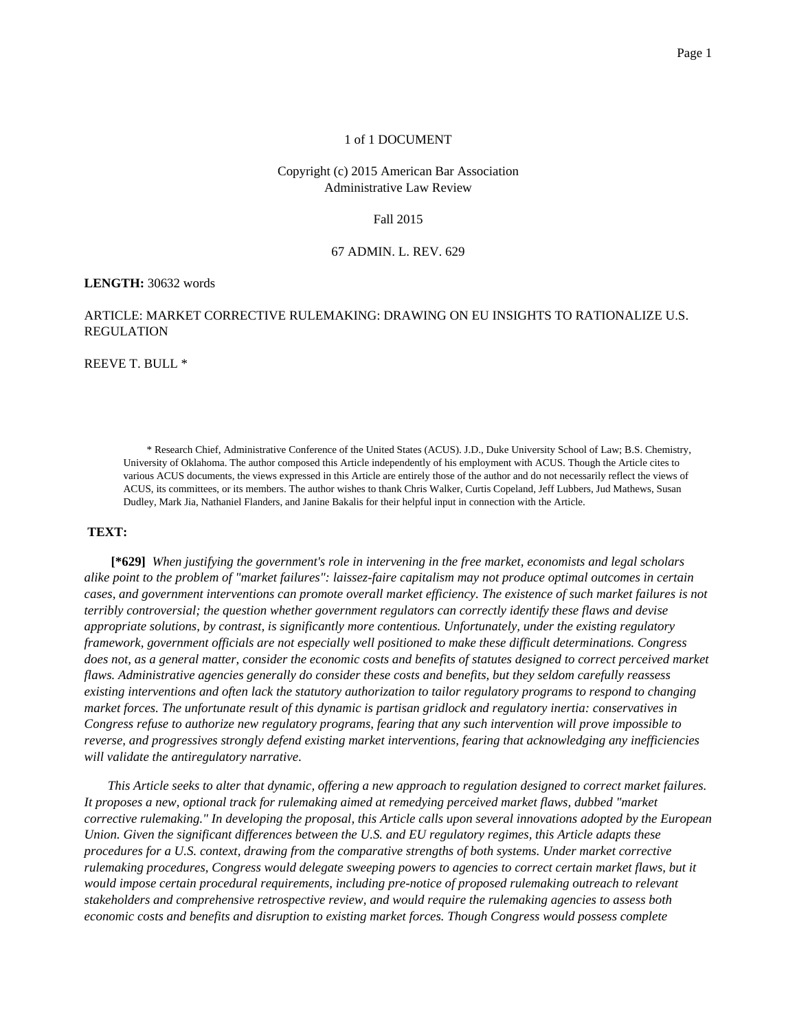## 1 of 1 DOCUMENT

## Copyright (c) 2015 American Bar Association Administrative Law Review

Fall 2015

## 67 ADMIN. L. REV. 629

## **LENGTH:** 30632 words

# ARTICLE: MARKET CORRECTIVE RULEMAKING: DRAWING ON EU INSIGHTS TO RATIONALIZE U.S. REGULATION

REEVE T. BULL \*

\* Research Chief, Administrative Conference of the United States (ACUS). J.D., Duke University School of Law; B.S. Chemistry, University of Oklahoma. The author composed this Article independently of his employment with ACUS. Though the Article cites to various ACUS documents, the views expressed in this Article are entirely those of the author and do not necessarily reflect the views of ACUS, its committees, or its members. The author wishes to thank Chris Walker, Curtis Copeland, Jeff Lubbers, Jud Mathews, Susan Dudley, Mark Jia, Nathaniel Flanders, and Janine Bakalis for their helpful input in connection with the Article.

## **TEXT:**

**[\*629]** *When justifying the government's role in intervening in the free market, economists and legal scholars alike point to the problem of "market failures": laissez-faire capitalism may not produce optimal outcomes in certain cases, and government interventions can promote overall market efficiency. The existence of such market failures is not terribly controversial; the question whether government regulators can correctly identify these flaws and devise appropriate solutions, by contrast, is significantly more contentious. Unfortunately, under the existing regulatory framework, government officials are not especially well positioned to make these difficult determinations. Congress does not, as a general matter, consider the economic costs and benefits of statutes designed to correct perceived market flaws. Administrative agencies generally do consider these costs and benefits, but they seldom carefully reassess existing interventions and often lack the statutory authorization to tailor regulatory programs to respond to changing market forces. The unfortunate result of this dynamic is partisan gridlock and regulatory inertia: conservatives in Congress refuse to authorize new regulatory programs, fearing that any such intervention will prove impossible to reverse, and progressives strongly defend existing market interventions, fearing that acknowledging any inefficiencies will validate the antiregulatory narrative*.

*This Article seeks to alter that dynamic, offering a new approach to regulation designed to correct market failures. It proposes a new, optional track for rulemaking aimed at remedying perceived market flaws, dubbed "market corrective rulemaking." In developing the proposal, this Article calls upon several innovations adopted by the European Union. Given the significant differences between the U.S. and EU regulatory regimes, this Article adapts these procedures for a U.S. context, drawing from the comparative strengths of both systems. Under market corrective rulemaking procedures, Congress would delegate sweeping powers to agencies to correct certain market flaws, but it would impose certain procedural requirements, including pre-notice of proposed rulemaking outreach to relevant stakeholders and comprehensive retrospective review, and would require the rulemaking agencies to assess both economic costs and benefits and disruption to existing market forces. Though Congress would possess complete*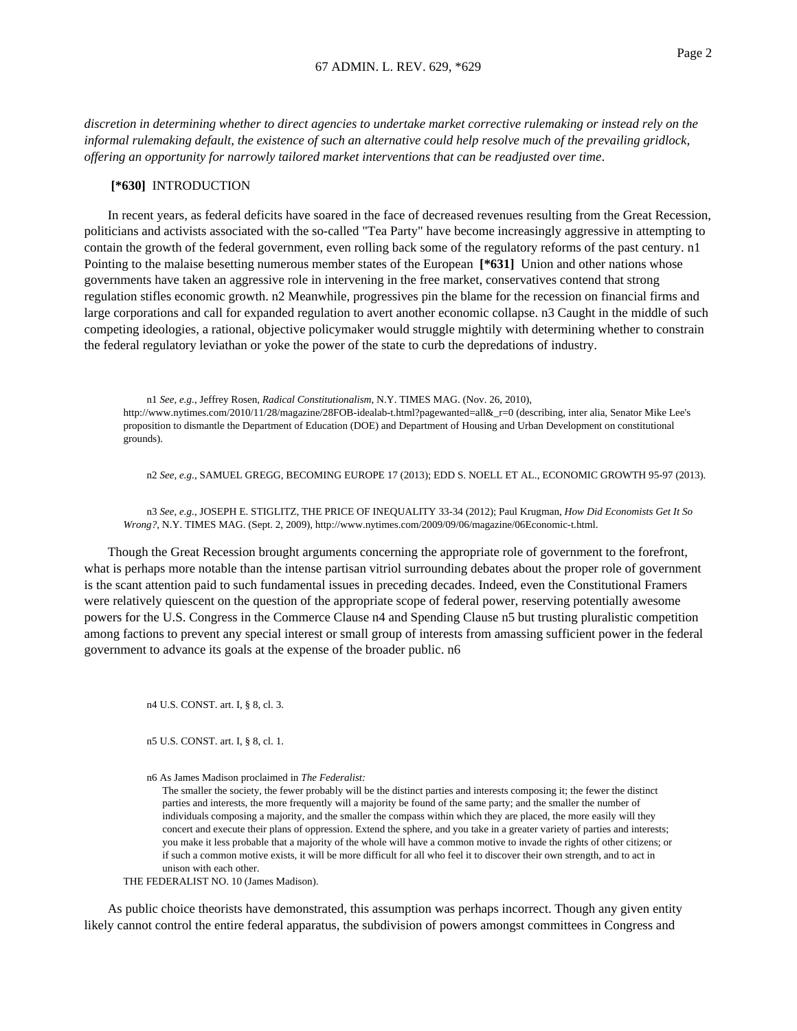*discretion in determining whether to direct agencies to undertake market corrective rulemaking or instead rely on the informal rulemaking default, the existence of such an alternative could help resolve much of the prevailing gridlock, offering an opportunity for narrowly tailored market interventions that can be readjusted over time*.

## **[\*630]** INTRODUCTION

In recent years, as federal deficits have soared in the face of decreased revenues resulting from the Great Recession, politicians and activists associated with the so-called "Tea Party" have become increasingly aggressive in attempting to contain the growth of the federal government, even rolling back some of the regulatory reforms of the past century. n1 Pointing to the malaise besetting numerous member states of the European **[\*631]** Union and other nations whose governments have taken an aggressive role in intervening in the free market, conservatives contend that strong regulation stifles economic growth. n2 Meanwhile, progressives pin the blame for the recession on financial firms and large corporations and call for expanded regulation to avert another economic collapse. n3 Caught in the middle of such competing ideologies, a rational, objective policymaker would struggle mightily with determining whether to constrain the federal regulatory leviathan or yoke the power of the state to curb the depredations of industry.

n1 *See, e.g.*, Jeffrey Rosen, *Radical Constitutionalism*, N.Y. TIMES MAG. (Nov. 26, 2010), http://www.nytimes.com/2010/11/28/magazine/28FOB-idealab-t.html?pagewanted=all& r=0 (describing, inter alia, Senator Mike Lee's proposition to dismantle the Department of Education (DOE) and Department of Housing and Urban Development on constitutional grounds).

n2 *See, e.g.*, SAMUEL GREGG, BECOMING EUROPE 17 (2013); EDD S. NOELL ET AL., ECONOMIC GROWTH 95-97 (2013).

n3 *See, e.g.*, JOSEPH E. STIGLITZ, THE PRICE OF INEQUALITY 33-34 (2012); Paul Krugman, *How Did Economists Get It So Wrong?*, N.Y. TIMES MAG. (Sept. 2, 2009), http://www.nytimes.com/2009/09/06/magazine/06Economic-t.html.

Though the Great Recession brought arguments concerning the appropriate role of government to the forefront, what is perhaps more notable than the intense partisan vitriol surrounding debates about the proper role of government is the scant attention paid to such fundamental issues in preceding decades. Indeed, even the Constitutional Framers were relatively quiescent on the question of the appropriate scope of federal power, reserving potentially awesome powers for the U.S. Congress in the Commerce Clause n4 and Spending Clause n5 but trusting pluralistic competition among factions to prevent any special interest or small group of interests from amassing sufficient power in the federal government to advance its goals at the expense of the broader public. n6

n4 U.S. CONST. art. I, § 8, cl. 3.

n5 U.S. CONST. art. I, § 8, cl. 1.

n6 As James Madison proclaimed in *The Federalist:*

The smaller the society, the fewer probably will be the distinct parties and interests composing it; the fewer the distinct parties and interests, the more frequently will a majority be found of the same party; and the smaller the number of individuals composing a majority, and the smaller the compass within which they are placed, the more easily will they concert and execute their plans of oppression. Extend the sphere, and you take in a greater variety of parties and interests; you make it less probable that a majority of the whole will have a common motive to invade the rights of other citizens; or if such a common motive exists, it will be more difficult for all who feel it to discover their own strength, and to act in unison with each other.

THE FEDERALIST NO. 10 (James Madison).

As public choice theorists have demonstrated, this assumption was perhaps incorrect. Though any given entity likely cannot control the entire federal apparatus, the subdivision of powers amongst committees in Congress and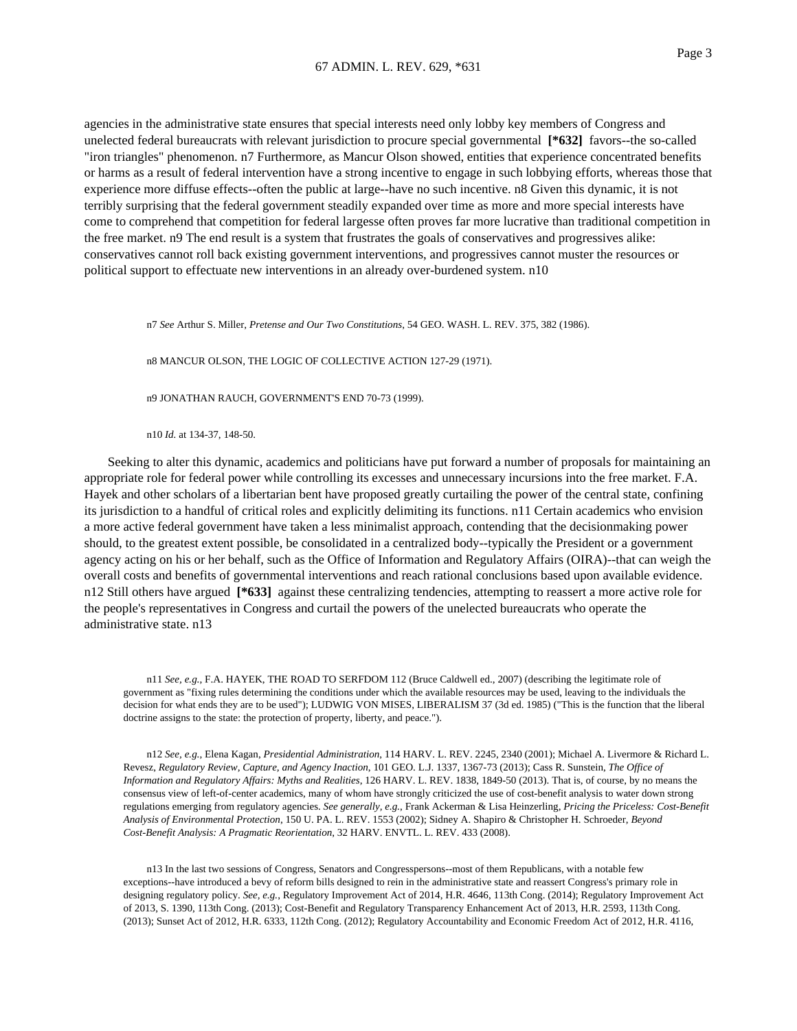agencies in the administrative state ensures that special interests need only lobby key members of Congress and unelected federal bureaucrats with relevant jurisdiction to procure special governmental **[\*632]** favors--the so-called "iron triangles" phenomenon. n7 Furthermore, as Mancur Olson showed, entities that experience concentrated benefits or harms as a result of federal intervention have a strong incentive to engage in such lobbying efforts, whereas those that experience more diffuse effects--often the public at large--have no such incentive. n8 Given this dynamic, it is not terribly surprising that the federal government steadily expanded over time as more and more special interests have come to comprehend that competition for federal largesse often proves far more lucrative than traditional competition in the free market. n9 The end result is a system that frustrates the goals of conservatives and progressives alike: conservatives cannot roll back existing government interventions, and progressives cannot muster the resources or political support to effectuate new interventions in an already over-burdened system. n10

n7 *See* Arthur S. Miller, *Pretense and Our Two Constitutions*, 54 GEO. WASH. L. REV. 375, 382 (1986).

n8 MANCUR OLSON, THE LOGIC OF COLLECTIVE ACTION 127-29 (1971).

n9 JONATHAN RAUCH, GOVERNMENT'S END 70-73 (1999).

n10 *Id.* at 134-37, 148-50.

Seeking to alter this dynamic, academics and politicians have put forward a number of proposals for maintaining an appropriate role for federal power while controlling its excesses and unnecessary incursions into the free market. F.A. Hayek and other scholars of a libertarian bent have proposed greatly curtailing the power of the central state, confining its jurisdiction to a handful of critical roles and explicitly delimiting its functions. n11 Certain academics who envision a more active federal government have taken a less minimalist approach, contending that the decisionmaking power should, to the greatest extent possible, be consolidated in a centralized body--typically the President or a government agency acting on his or her behalf, such as the Office of Information and Regulatory Affairs (OIRA)--that can weigh the overall costs and benefits of governmental interventions and reach rational conclusions based upon available evidence. n12 Still others have argued [\*633] against these centralizing tendencies, attempting to reassert a more active role for the people's representatives in Congress and curtail the powers of the unelected bureaucrats who operate the administrative state. n13

n11 *See, e.g.*, F.A. HAYEK, THE ROAD TO SERFDOM 112 (Bruce Caldwell ed., 2007) (describing the legitimate role of government as "fixing rules determining the conditions under which the available resources may be used, leaving to the individuals the decision for what ends they are to be used"); LUDWIG VON MISES, LIBERALISM 37 (3d ed. 1985) ("This is the function that the liberal doctrine assigns to the state: the protection of property, liberty, and peace.").

n12 *See, e.g.*, Elena Kagan, *Presidential Administration*, 114 HARV. L. REV. 2245, 2340 (2001); Michael A. Livermore & Richard L. Revesz, *Regulatory Review, Capture, and Agency Inaction*, 101 GEO. L.J. 1337, 1367-73 (2013); Cass R. Sunstein, *The Office of Information and Regulatory Affairs: Myths and Realities*, 126 HARV. L. REV. 1838, 1849-50 (2013). That is, of course, by no means the consensus view of left-of-center academics, many of whom have strongly criticized the use of cost-benefit analysis to water down strong regulations emerging from regulatory agencies. *See generally, e.g.*, Frank Ackerman & Lisa Heinzerling, *Pricing the Priceless: Cost-Benefit Analysis of Environmental Protection*, 150 U. PA. L. REV. 1553 (2002); Sidney A. Shapiro & Christopher H. Schroeder, *Beyond Cost-Benefit Analysis: A Pragmatic Reorientation*, 32 HARV. ENVTL. L. REV. 433 (2008).

n13 In the last two sessions of Congress, Senators and Congresspersons--most of them Republicans, with a notable few exceptions--have introduced a bevy of reform bills designed to rein in the administrative state and reassert Congress's primary role in designing regulatory policy. *See, e.g.*, Regulatory Improvement Act of 2014, H.R. 4646, 113th Cong. (2014); Regulatory Improvement Act of 2013, S. 1390, 113th Cong. (2013); Cost-Benefit and Regulatory Transparency Enhancement Act of 2013, H.R. 2593, 113th Cong. (2013); Sunset Act of 2012, H.R. 6333, 112th Cong. (2012); Regulatory Accountability and Economic Freedom Act of 2012, H.R. 4116,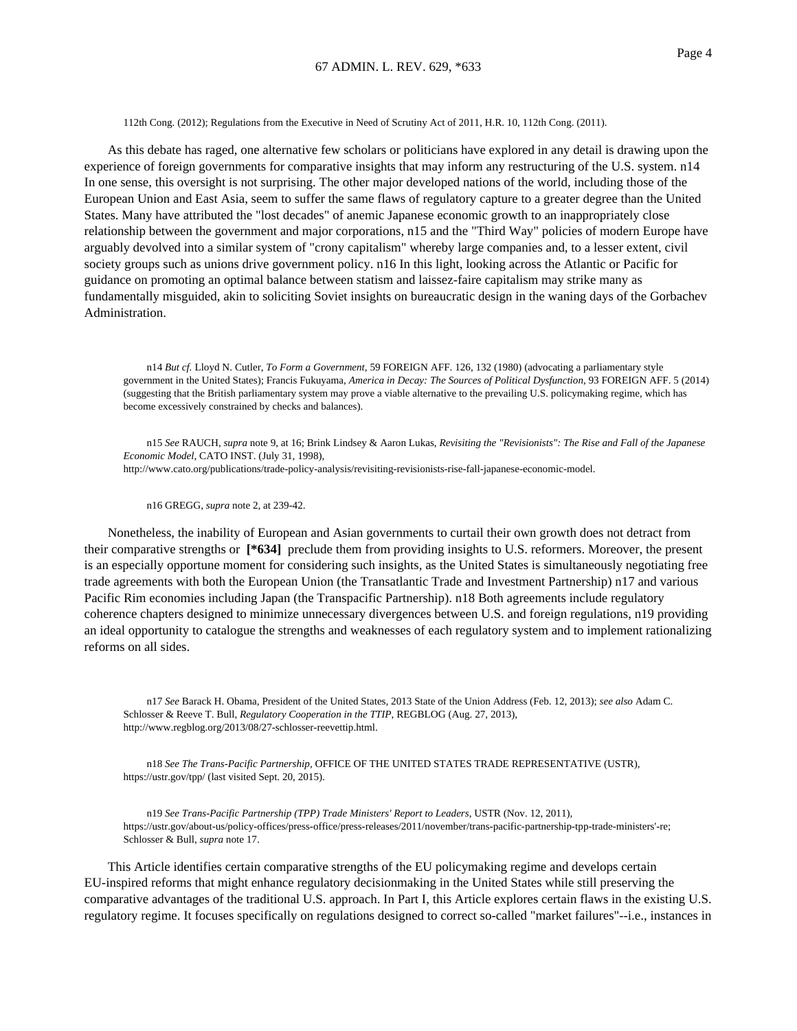112th Cong. (2012); Regulations from the Executive in Need of Scrutiny Act of 2011, H.R. 10, 112th Cong. (2011).

As this debate has raged, one alternative few scholars or politicians have explored in any detail is drawing upon the experience of foreign governments for comparative insights that may inform any restructuring of the U.S. system. n14 In one sense, this oversight is not surprising. The other major developed nations of the world, including those of the European Union and East Asia, seem to suffer the same flaws of regulatory capture to a greater degree than the United States. Many have attributed the "lost decades" of anemic Japanese economic growth to an inappropriately close relationship between the government and major corporations, n15 and the "Third Way" policies of modern Europe have arguably devolved into a similar system of "crony capitalism" whereby large companies and, to a lesser extent, civil society groups such as unions drive government policy. n16 In this light, looking across the Atlantic or Pacific for guidance on promoting an optimal balance between statism and laissez-faire capitalism may strike many as fundamentally misguided, akin to soliciting Soviet insights on bureaucratic design in the waning days of the Gorbachev Administration.

n14 *But cf.* Lloyd N. Cutler, *To Form a Government*, 59 FOREIGN AFF. 126, 132 (1980) (advocating a parliamentary style government in the United States); Francis Fukuyama, *America in Decay: The Sources of Political Dysfunction*, 93 FOREIGN AFF. 5 (2014) (suggesting that the British parliamentary system may prove a viable alternative to the prevailing U.S. policymaking regime, which has become excessively constrained by checks and balances).

n15 *See* RAUCH, *supra* note 9, at 16; Brink Lindsey & Aaron Lukas, *Revisiting the "Revisionists": The Rise and Fall of the Japanese Economic Model*, CATO INST. (July 31, 1998), http://www.cato.org/publications/trade-policy-analysis/revisiting-revisionists-rise-fall-japanese-economic-model.

n16 GREGG, *supra* note 2, at 239-42.

Nonetheless, the inability of European and Asian governments to curtail their own growth does not detract from their comparative strengths or **[\*634]** preclude them from providing insights to U.S. reformers. Moreover, the present is an especially opportune moment for considering such insights, as the United States is simultaneously negotiating free trade agreements with both the European Union (the Transatlantic Trade and Investment Partnership) n17 and various Pacific Rim economies including Japan (the Transpacific Partnership). n18 Both agreements include regulatory coherence chapters designed to minimize unnecessary divergences between U.S. and foreign regulations, n19 providing an ideal opportunity to catalogue the strengths and weaknesses of each regulatory system and to implement rationalizing reforms on all sides.

n17 *See* Barack H. Obama, President of the United States, 2013 State of the Union Address (Feb. 12, 2013); *see also* Adam C. Schlosser & Reeve T. Bull, *Regulatory Cooperation in the TTIP*, REGBLOG (Aug. 27, 2013), http://www.regblog.org/2013/08/27-schlosser-reevettip.html.

n18 *See The Trans-Pacific Partnership*, OFFICE OF THE UNITED STATES TRADE REPRESENTATIVE (USTR), https://ustr.gov/tpp/ (last visited Sept. 20, 2015).

n19 *See Trans-Pacific Partnership (TPP) Trade Ministers' Report to Leaders*, USTR (Nov. 12, 2011), https://ustr.gov/about-us/policy-offices/press-office/press-releases/2011/november/trans-pacific-partnership-tpp-trade-ministers'-re; Schlosser & Bull, *supra* note 17.

This Article identifies certain comparative strengths of the EU policymaking regime and develops certain EU-inspired reforms that might enhance regulatory decisionmaking in the United States while still preserving the comparative advantages of the traditional U.S. approach. In Part I, this Article explores certain flaws in the existing U.S. regulatory regime. It focuses specifically on regulations designed to correct so-called "market failures"--i.e., instances in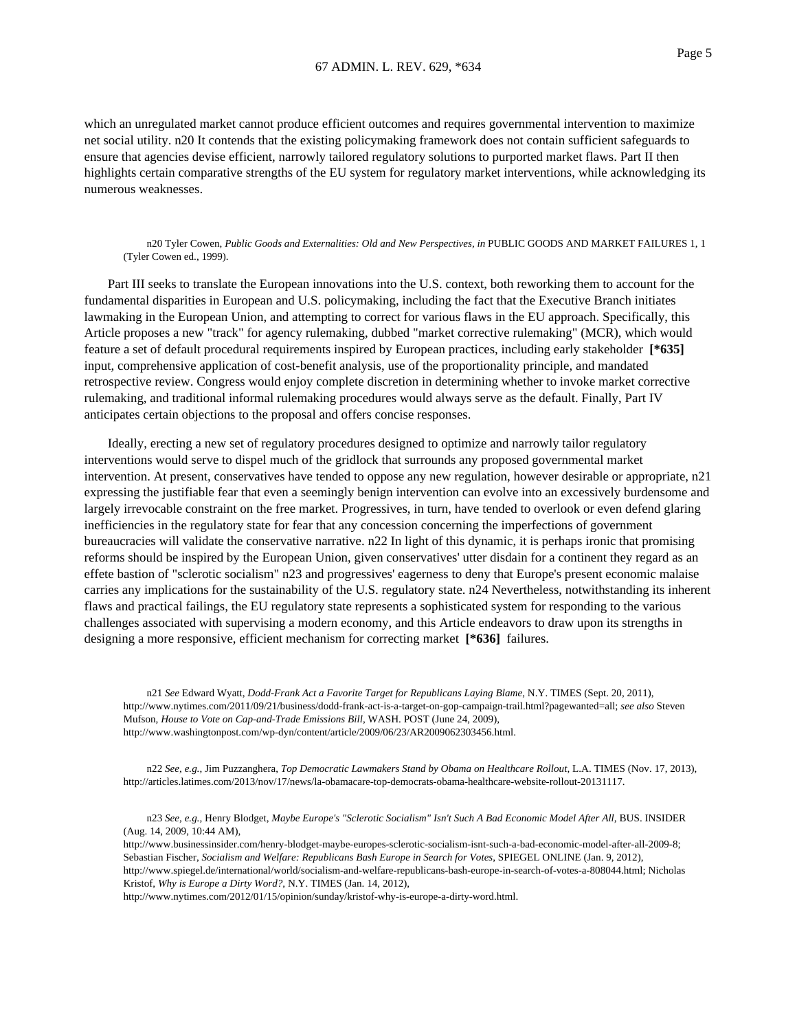which an unregulated market cannot produce efficient outcomes and requires governmental intervention to maximize net social utility. n20 It contends that the existing policymaking framework does not contain sufficient safeguards to ensure that agencies devise efficient, narrowly tailored regulatory solutions to purported market flaws. Part II then highlights certain comparative strengths of the EU system for regulatory market interventions, while acknowledging its numerous weaknesses.

n20 Tyler Cowen, *Public Goods and Externalities: Old and New Perspectives, in* PUBLIC GOODS AND MARKET FAILURES 1, 1 (Tyler Cowen ed., 1999).

Part III seeks to translate the European innovations into the U.S. context, both reworking them to account for the fundamental disparities in European and U.S. policymaking, including the fact that the Executive Branch initiates lawmaking in the European Union, and attempting to correct for various flaws in the EU approach. Specifically, this Article proposes a new "track" for agency rulemaking, dubbed "market corrective rulemaking" (MCR), which would feature a set of default procedural requirements inspired by European practices, including early stakeholder **[\*635]** input, comprehensive application of cost-benefit analysis, use of the proportionality principle, and mandated retrospective review. Congress would enjoy complete discretion in determining whether to invoke market corrective rulemaking, and traditional informal rulemaking procedures would always serve as the default. Finally, Part IV anticipates certain objections to the proposal and offers concise responses.

Ideally, erecting a new set of regulatory procedures designed to optimize and narrowly tailor regulatory interventions would serve to dispel much of the gridlock that surrounds any proposed governmental market intervention. At present, conservatives have tended to oppose any new regulation, however desirable or appropriate, n21 expressing the justifiable fear that even a seemingly benign intervention can evolve into an excessively burdensome and largely irrevocable constraint on the free market. Progressives, in turn, have tended to overlook or even defend glaring inefficiencies in the regulatory state for fear that any concession concerning the imperfections of government bureaucracies will validate the conservative narrative. n22 In light of this dynamic, it is perhaps ironic that promising reforms should be inspired by the European Union, given conservatives' utter disdain for a continent they regard as an effete bastion of "sclerotic socialism" n23 and progressives' eagerness to deny that Europe's present economic malaise carries any implications for the sustainability of the U.S. regulatory state. n24 Nevertheless, notwithstanding its inherent flaws and practical failings, the EU regulatory state represents a sophisticated system for responding to the various challenges associated with supervising a modern economy, and this Article endeavors to draw upon its strengths in designing a more responsive, efficient mechanism for correcting market **[\*636]** failures.

n21 *See* Edward Wyatt, *Dodd-Frank Act a Favorite Target for Republicans Laying Blame*, N.Y. TIMES (Sept. 20, 2011), http://www.nytimes.com/2011/09/21/business/dodd-frank-act-is-a-target-on-gop-campaign-trail.html?pagewanted=all; *see also* Steven Mufson, *House to Vote on Cap-and-Trade Emissions Bill*, WASH. POST (June 24, 2009), http://www.washingtonpost.com/wp-dyn/content/article/2009/06/23/AR2009062303456.html.

n22 *See, e.g.*, Jim Puzzanghera, *Top Democratic Lawmakers Stand by Obama on Healthcare Rollout*, L.A. TIMES (Nov. 17, 2013), http://articles.latimes.com/2013/nov/17/news/la-obamacare-top-democrats-obama-healthcare-website-rollout-20131117.

n23 *See, e.g.*, Henry Blodget, *Maybe Europe's "Sclerotic Socialism" Isn't Such A Bad Economic Model After All*, BUS. INSIDER (Aug. 14, 2009, 10:44 AM),

http://www.businessinsider.com/henry-blodget-maybe-europes-sclerotic-socialism-isnt-such-a-bad-economic-model-after-all-2009-8; Sebastian Fischer, *Socialism and Welfare: Republicans Bash Europe in Search for Votes*, SPIEGEL ONLINE (Jan. 9, 2012), http://www.spiegel.de/international/world/socialism-and-welfare-republicans-bash-europe-in-search-of-votes-a-808044.html; Nicholas Kristof, *Why is Europe a Dirty Word?*, N.Y. TIMES (Jan. 14, 2012),

http://www.nytimes.com/2012/01/15/opinion/sunday/kristof-why-is-europe-a-dirty-word.html.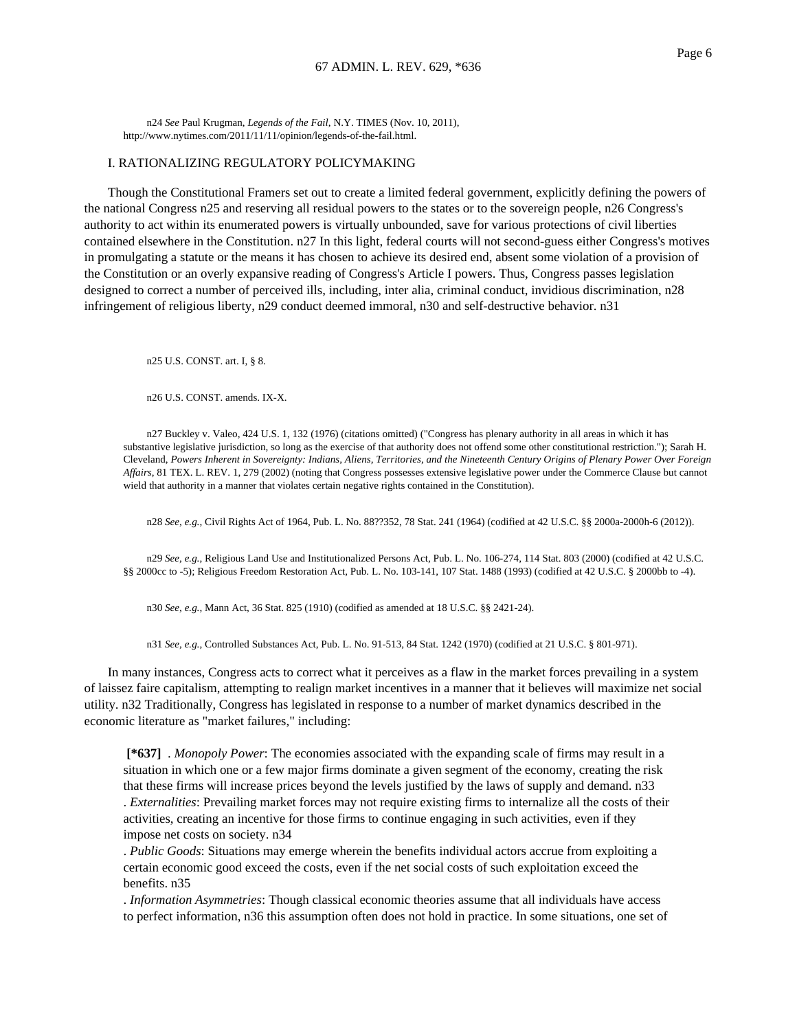n24 *See* Paul Krugman, *Legends of the Fail*, N.Y. TIMES (Nov. 10, 2011), http://www.nytimes.com/2011/11/11/opinion/legends-of-the-fail.html.

### I. RATIONALIZING REGULATORY POLICYMAKING

Though the Constitutional Framers set out to create a limited federal government, explicitly defining the powers of the national Congress n25 and reserving all residual powers to the states or to the sovereign people, n26 Congress's authority to act within its enumerated powers is virtually unbounded, save for various protections of civil liberties contained elsewhere in the Constitution. n27 In this light, federal courts will not second-guess either Congress's motives in promulgating a statute or the means it has chosen to achieve its desired end, absent some violation of a provision of the Constitution or an overly expansive reading of Congress's Article I powers. Thus, Congress passes legislation designed to correct a number of perceived ills, including, inter alia, criminal conduct, invidious discrimination, n28 infringement of religious liberty, n29 conduct deemed immoral, n30 and self-destructive behavior. n31

n25 U.S. CONST. art. I, § 8.

n26 U.S. CONST. amends. IX-X.

n27 Buckley v. Valeo, 424 U.S. 1, 132 (1976) (citations omitted) ("Congress has plenary authority in all areas in which it has substantive legislative jurisdiction, so long as the exercise of that authority does not offend some other constitutional restriction."); Sarah H. Cleveland, *Powers Inherent in Sovereignty: Indians, Aliens, Territories, and the Nineteenth Century Origins of Plenary Power Over Foreign Affairs*, 81 TEX. L. REV. 1, 279 (2002) (noting that Congress possesses extensive legislative power under the Commerce Clause but cannot wield that authority in a manner that violates certain negative rights contained in the Constitution).

n28 *See, e.g.*, Civil Rights Act of 1964, Pub. L. No. 88??352, 78 Stat. 241 (1964) (codified at 42 U.S.C. §§ 2000a-2000h-6 (2012)).

n29 *See, e.g.*, Religious Land Use and Institutionalized Persons Act, Pub. L. No. 106-274, 114 Stat. 803 (2000) (codified at 42 U.S.C. §§ 2000cc to -5); Religious Freedom Restoration Act, Pub. L. No. 103-141, 107 Stat. 1488 (1993) (codified at 42 U.S.C. § 2000bb to -4).

n30 *See, e.g.*, Mann Act, 36 Stat. 825 (1910) (codified as amended at 18 U.S.C. §§ 2421-24).

n31 *See, e.g.*, Controlled Substances Act, Pub. L. No. 91-513, 84 Stat. 1242 (1970) (codified at 21 U.S.C. § 801-971).

In many instances, Congress acts to correct what it perceives as a flaw in the market forces prevailing in a system of laissez faire capitalism, attempting to realign market incentives in a manner that it believes will maximize net social utility. n32 Traditionally, Congress has legislated in response to a number of market dynamics described in the economic literature as "market failures," including:

**[\*637]** . *Monopoly Power*: The economies associated with the expanding scale of firms may result in a situation in which one or a few major firms dominate a given segment of the economy, creating the risk that these firms will increase prices beyond the levels justified by the laws of supply and demand. n33 . *Externalities*: Prevailing market forces may not require existing firms to internalize all the costs of their activities, creating an incentive for those firms to continue engaging in such activities, even if they impose net costs on society. n34

. *Public Goods*: Situations may emerge wherein the benefits individual actors accrue from exploiting a certain economic good exceed the costs, even if the net social costs of such exploitation exceed the benefits. n35

. *Information Asymmetries*: Though classical economic theories assume that all individuals have access to perfect information, n36 this assumption often does not hold in practice. In some situations, one set of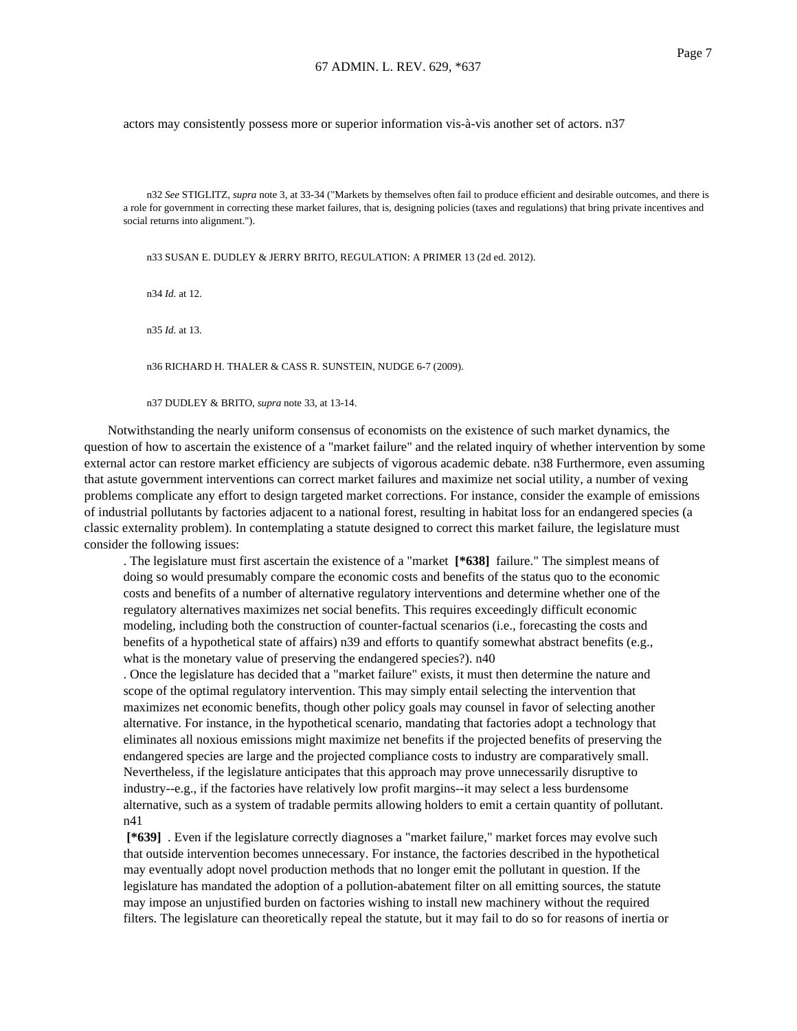actors may consistently possess more or superior information vis-à-vis another set of actors. n37

n32 *See* STIGLITZ, *supra* note 3, at 33-34 ("Markets by themselves often fail to produce efficient and desirable outcomes, and there is a role for government in correcting these market failures, that is, designing policies (taxes and regulations) that bring private incentives and social returns into alignment.").

n33 SUSAN E. DUDLEY & JERRY BRITO, REGULATION: A PRIMER 13 (2d ed. 2012).

n34 *Id.* at 12.

n35 *Id.* at 13.

n36 RICHARD H. THALER & CASS R. SUNSTEIN, NUDGE 6-7 (2009).

n37 DUDLEY & BRITO, *supra* note 33, at 13-14.

Notwithstanding the nearly uniform consensus of economists on the existence of such market dynamics, the question of how to ascertain the existence of a "market failure" and the related inquiry of whether intervention by some external actor can restore market efficiency are subjects of vigorous academic debate. n38 Furthermore, even assuming that astute government interventions can correct market failures and maximize net social utility, a number of vexing problems complicate any effort to design targeted market corrections. For instance, consider the example of emissions of industrial pollutants by factories adjacent to a national forest, resulting in habitat loss for an endangered species (a classic externality problem). In contemplating a statute designed to correct this market failure, the legislature must consider the following issues:

. The legislature must first ascertain the existence of a "market **[\*638]** failure." The simplest means of doing so would presumably compare the economic costs and benefits of the status quo to the economic costs and benefits of a number of alternative regulatory interventions and determine whether one of the regulatory alternatives maximizes net social benefits. This requires exceedingly difficult economic modeling, including both the construction of counter-factual scenarios (i.e., forecasting the costs and benefits of a hypothetical state of affairs) n39 and efforts to quantify somewhat abstract benefits (e.g., what is the monetary value of preserving the endangered species?). n40

. Once the legislature has decided that a "market failure" exists, it must then determine the nature and scope of the optimal regulatory intervention. This may simply entail selecting the intervention that maximizes net economic benefits, though other policy goals may counsel in favor of selecting another alternative. For instance, in the hypothetical scenario, mandating that factories adopt a technology that eliminates all noxious emissions might maximize net benefits if the projected benefits of preserving the endangered species are large and the projected compliance costs to industry are comparatively small. Nevertheless, if the legislature anticipates that this approach may prove unnecessarily disruptive to industry--e.g., if the factories have relatively low profit margins--it may select a less burdensome alternative, such as a system of tradable permits allowing holders to emit a certain quantity of pollutant. n41

**[\*639]** . Even if the legislature correctly diagnoses a "market failure," market forces may evolve such that outside intervention becomes unnecessary. For instance, the factories described in the hypothetical may eventually adopt novel production methods that no longer emit the pollutant in question. If the legislature has mandated the adoption of a pollution-abatement filter on all emitting sources, the statute may impose an unjustified burden on factories wishing to install new machinery without the required filters. The legislature can theoretically repeal the statute, but it may fail to do so for reasons of inertia or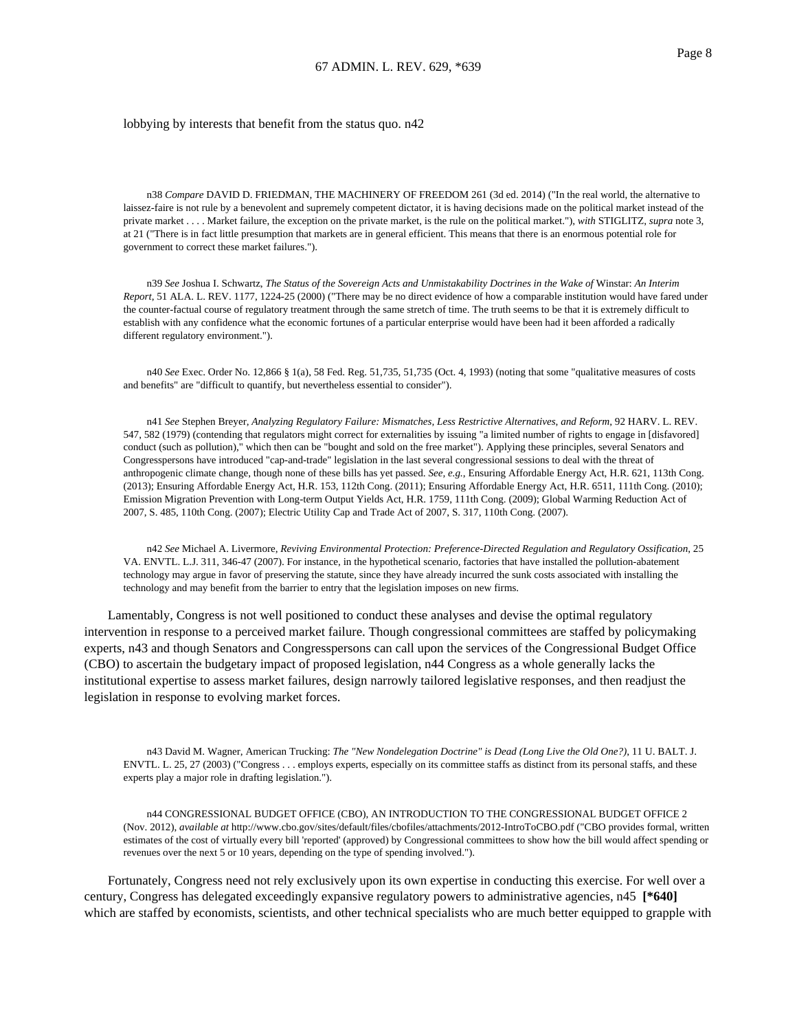### lobbying by interests that benefit from the status quo. n42

n38 *Compare* DAVID D. FRIEDMAN, THE MACHINERY OF FREEDOM 261 (3d ed. 2014) ("In the real world, the alternative to laissez-faire is not rule by a benevolent and supremely competent dictator, it is having decisions made on the political market instead of the private market . . . . Market failure, the exception on the private market, is the rule on the political market."), *with* STIGLITZ, *supra* note 3, at 21 ("There is in fact little presumption that markets are in general efficient. This means that there is an enormous potential role for government to correct these market failures.").

n39 *See* Joshua I. Schwartz, *The Status of the Sovereign Acts and Unmistakability Doctrines in the Wake of* Winstar: *An Interim Report*, 51 ALA. L. REV. 1177, 1224-25 (2000) ("There may be no direct evidence of how a comparable institution would have fared under the counter-factual course of regulatory treatment through the same stretch of time. The truth seems to be that it is extremely difficult to establish with any confidence what the economic fortunes of a particular enterprise would have been had it been afforded a radically different regulatory environment.").

n40 *See* Exec. Order No. 12,866 § 1(a), 58 Fed. Reg. 51,735, 51,735 (Oct. 4, 1993) (noting that some "qualitative measures of costs and benefits" are "difficult to quantify, but nevertheless essential to consider").

n41 *See* Stephen Breyer, *Analyzing Regulatory Failure: Mismatches, Less Restrictive Alternatives*, *and Reform*, 92 HARV. L. REV. 547, 582 (1979) (contending that regulators might correct for externalities by issuing "a limited number of rights to engage in [disfavored] conduct (such as pollution)," which then can be "bought and sold on the free market"). Applying these principles, several Senators and Congresspersons have introduced "cap-and-trade" legislation in the last several congressional sessions to deal with the threat of anthropogenic climate change, though none of these bills has yet passed. *See, e.g.*, Ensuring Affordable Energy Act, H.R. 621, 113th Cong. (2013); Ensuring Affordable Energy Act, H.R. 153, 112th Cong. (2011); Ensuring Affordable Energy Act, H.R. 6511, 111th Cong. (2010); Emission Migration Prevention with Long-term Output Yields Act, H.R. 1759, 111th Cong. (2009); Global Warming Reduction Act of 2007, S. 485, 110th Cong. (2007); Electric Utility Cap and Trade Act of 2007, S. 317, 110th Cong. (2007).

n42 *See* Michael A. Livermore, *Reviving Environmental Protection: Preference-Directed Regulation and Regulatory Ossification*, 25 VA. ENVTL. L.J. 311, 346-47 (2007). For instance, in the hypothetical scenario, factories that have installed the pollution-abatement technology may argue in favor of preserving the statute, since they have already incurred the sunk costs associated with installing the technology and may benefit from the barrier to entry that the legislation imposes on new firms.

Lamentably, Congress is not well positioned to conduct these analyses and devise the optimal regulatory intervention in response to a perceived market failure. Though congressional committees are staffed by policymaking experts, n43 and though Senators and Congresspersons can call upon the services of the Congressional Budget Office (CBO) to ascertain the budgetary impact of proposed legislation, n44 Congress as a whole generally lacks the institutional expertise to assess market failures, design narrowly tailored legislative responses, and then readjust the legislation in response to evolving market forces.

n43 David M. Wagner, American Trucking: *The "New Nondelegation Doctrine" is Dead (Long Live the Old One?)*, 11 U. BALT. J. ENVTL. L. 25, 27 (2003) ("Congress . . . employs experts, especially on its committee staffs as distinct from its personal staffs, and these experts play a major role in drafting legislation.").

n44 CONGRESSIONAL BUDGET OFFICE (CBO), AN INTRODUCTION TO THE CONGRESSIONAL BUDGET OFFICE 2 (Nov. 2012), *available at* http://www.cbo.gov/sites/default/files/cbofiles/attachments/2012-IntroToCBO.pdf ("CBO provides formal, written estimates of the cost of virtually every bill 'reported' (approved) by Congressional committees to show how the bill would affect spending or revenues over the next 5 or 10 years, depending on the type of spending involved.").

Fortunately, Congress need not rely exclusively upon its own expertise in conducting this exercise. For well over a century, Congress has delegated exceedingly expansive regulatory powers to administrative agencies, n45 **[\*640]** which are staffed by economists, scientists, and other technical specialists who are much better equipped to grapple with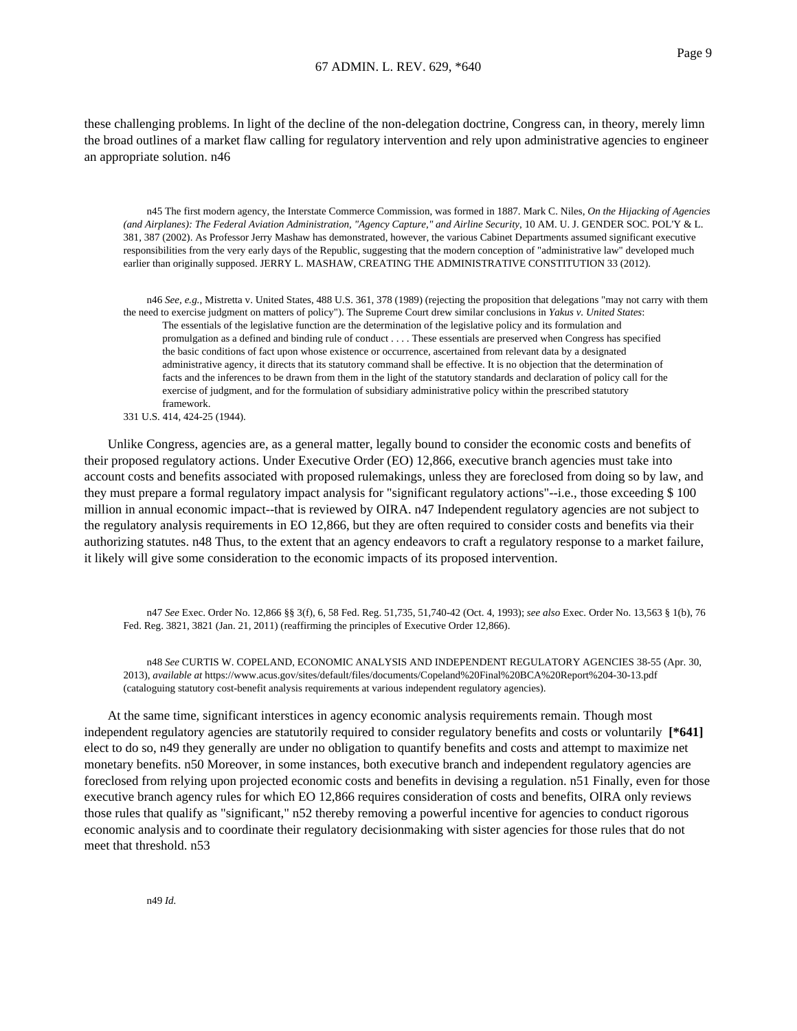these challenging problems. In light of the decline of the non-delegation doctrine, Congress can, in theory, merely limn the broad outlines of a market flaw calling for regulatory intervention and rely upon administrative agencies to engineer an appropriate solution. n46

n45 The first modern agency, the Interstate Commerce Commission, was formed in 1887. Mark C. Niles, *On the Hijacking of Agencies (and Airplanes): The Federal Aviation Administration, "Agency Capture," and Airline Security*, 10 AM. U. J. GENDER SOC. POL'Y & L. 381, 387 (2002). As Professor Jerry Mashaw has demonstrated, however, the various Cabinet Departments assumed significant executive responsibilities from the very early days of the Republic, suggesting that the modern conception of "administrative law" developed much earlier than originally supposed. JERRY L. MASHAW, CREATING THE ADMINISTRATIVE CONSTITUTION 33 (2012).

n46 *See, e.g.*, Mistretta v. United States, 488 U.S. 361, 378 (1989) (rejecting the proposition that delegations "may not carry with them the need to exercise judgment on matters of policy"). The Supreme Court drew similar conclusions in *Yakus v. United States*: The essentials of the legislative function are the determination of the legislative policy and its formulation and promulgation as a defined and binding rule of conduct . . . . These essentials are preserved when Congress has specified the basic conditions of fact upon whose existence or occurrence, ascertained from relevant data by a designated administrative agency, it directs that its statutory command shall be effective. It is no objection that the determination of facts and the inferences to be drawn from them in the light of the statutory standards and declaration of policy call for the exercise of judgment, and for the formulation of subsidiary administrative policy within the prescribed statutory framework.

Unlike Congress, agencies are, as a general matter, legally bound to consider the economic costs and benefits of their proposed regulatory actions. Under Executive Order (EO) 12,866, executive branch agencies must take into account costs and benefits associated with proposed rulemakings, unless they are foreclosed from doing so by law, and they must prepare a formal regulatory impact analysis for "significant regulatory actions"--i.e., those exceeding \$ 100 million in annual economic impact--that is reviewed by OIRA. n47 Independent regulatory agencies are not subject to the regulatory analysis requirements in EO 12,866, but they are often required to consider costs and benefits via their authorizing statutes. n48 Thus, to the extent that an agency endeavors to craft a regulatory response to a market failure, it likely will give some consideration to the economic impacts of its proposed intervention.

n47 *See* Exec. Order No. 12,866 §§ 3(f), 6, 58 Fed. Reg. 51,735, 51,740-42 (Oct. 4, 1993); *see also* Exec. Order No. 13,563 § 1(b), 76 Fed. Reg. 3821, 3821 (Jan. 21, 2011) (reaffirming the principles of Executive Order 12,866).

n48 *See* CURTIS W. COPELAND, ECONOMIC ANALYSIS AND INDEPENDENT REGULATORY AGENCIES 38-55 (Apr. 30, 2013), *available at* https://www.acus.gov/sites/default/files/documents/Copeland%20Final%20BCA%20Report%204-30-13.pdf (cataloguing statutory cost-benefit analysis requirements at various independent regulatory agencies).

At the same time, significant interstices in agency economic analysis requirements remain. Though most independent regulatory agencies are statutorily required to consider regulatory benefits and costs or voluntarily **[\*641]** elect to do so, n49 they generally are under no obligation to quantify benefits and costs and attempt to maximize net monetary benefits. n50 Moreover, in some instances, both executive branch and independent regulatory agencies are foreclosed from relying upon projected economic costs and benefits in devising a regulation. n51 Finally, even for those executive branch agency rules for which EO 12,866 requires consideration of costs and benefits, OIRA only reviews those rules that qualify as "significant," n52 thereby removing a powerful incentive for agencies to conduct rigorous economic analysis and to coordinate their regulatory decisionmaking with sister agencies for those rules that do not meet that threshold. n53

<sup>331</sup> U.S. 414, 424-25 (1944).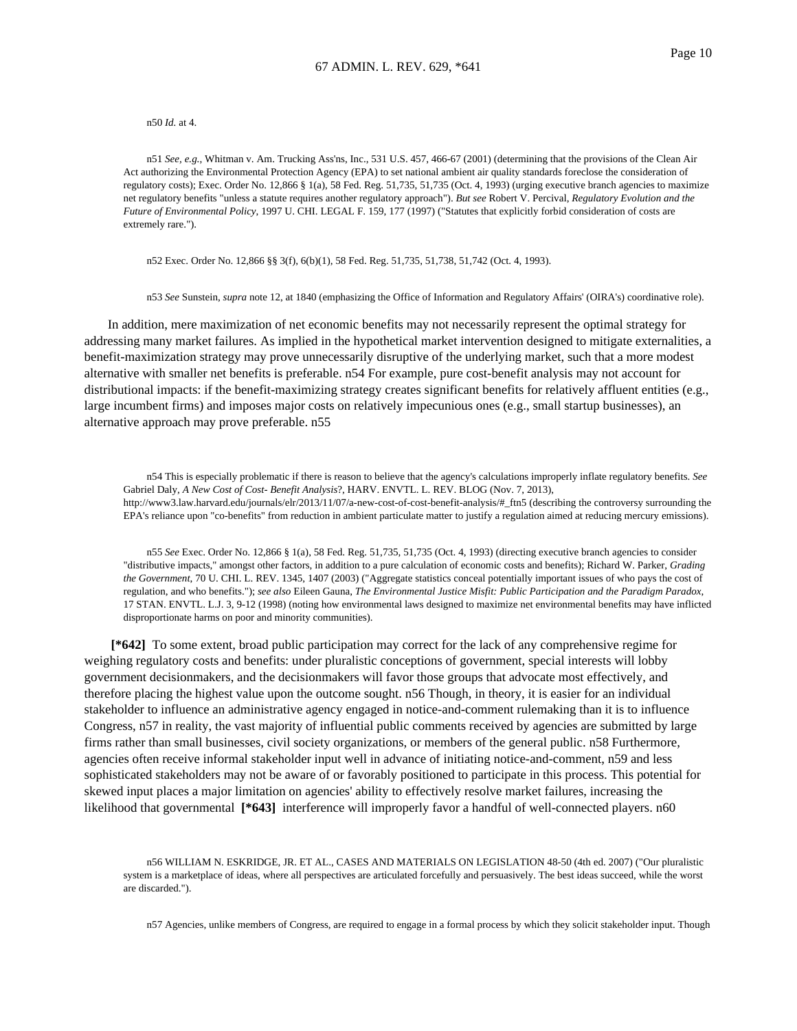n50 *Id.* at 4.

n51 *See, e.g.*, Whitman v. Am. Trucking Ass'ns, Inc., 531 U.S. 457, 466-67 (2001) (determining that the provisions of the Clean Air Act authorizing the Environmental Protection Agency (EPA) to set national ambient air quality standards foreclose the consideration of regulatory costs); Exec. Order No. 12,866 § 1(a), 58 Fed. Reg. 51,735, 51,735 (Oct. 4, 1993) (urging executive branch agencies to maximize net regulatory benefits "unless a statute requires another regulatory approach"). *But see* Robert V. Percival, *Regulatory Evolution and the Future of Environmental Policy*, 1997 U. CHI. LEGAL F. 159, 177 (1997) ("Statutes that explicitly forbid consideration of costs are extremely rare.").

n52 Exec. Order No. 12,866 §§ 3(f), 6(b)(1), 58 Fed. Reg. 51,735, 51,738, 51,742 (Oct. 4, 1993).

n53 *See* Sunstein, *supra* note 12, at 1840 (emphasizing the Office of Information and Regulatory Affairs' (OIRA's) coordinative role).

In addition, mere maximization of net economic benefits may not necessarily represent the optimal strategy for addressing many market failures. As implied in the hypothetical market intervention designed to mitigate externalities, a benefit-maximization strategy may prove unnecessarily disruptive of the underlying market, such that a more modest alternative with smaller net benefits is preferable. n54 For example, pure cost-benefit analysis may not account for distributional impacts: if the benefit-maximizing strategy creates significant benefits for relatively affluent entities (e.g., large incumbent firms) and imposes major costs on relatively impecunious ones (e.g., small startup businesses), an alternative approach may prove preferable. n55

n54 This is especially problematic if there is reason to believe that the agency's calculations improperly inflate regulatory benefits. *See* Gabriel Daly, *A New Cost of Cost- Benefit Analysis*?, HARV. ENVTL. L. REV. BLOG (Nov. 7, 2013), http://www3.law.harvard.edu/journals/elr/2013/11/07/a-new-cost-of-cost-benefit-analysis/#\_ftn5 (describing the controversy surrounding the EPA's reliance upon "co-benefits" from reduction in ambient particulate matter to justify a regulation aimed at reducing mercury emissions).

n55 *See* Exec. Order No. 12,866 § 1(a), 58 Fed. Reg. 51,735, 51,735 (Oct. 4, 1993) (directing executive branch agencies to consider "distributive impacts," amongst other factors, in addition to a pure calculation of economic costs and benefits); Richard W. Parker, *Grading the Government*, 70 U. CHI. L. REV. 1345, 1407 (2003) ("Aggregate statistics conceal potentially important issues of who pays the cost of regulation, and who benefits."); *see also* Eileen Gauna, *The Environmental Justice Misfit: Public Participation and the Paradigm Paradox*, 17 STAN. ENVTL. L.J. 3, 9-12 (1998) (noting how environmental laws designed to maximize net environmental benefits may have inflicted disproportionate harms on poor and minority communities).

**[\*642]** To some extent, broad public participation may correct for the lack of any comprehensive regime for weighing regulatory costs and benefits: under pluralistic conceptions of government, special interests will lobby government decisionmakers, and the decisionmakers will favor those groups that advocate most effectively, and therefore placing the highest value upon the outcome sought. n56 Though, in theory, it is easier for an individual stakeholder to influence an administrative agency engaged in notice-and-comment rulemaking than it is to influence Congress, n57 in reality, the vast majority of influential public comments received by agencies are submitted by large firms rather than small businesses, civil society organizations, or members of the general public. n58 Furthermore, agencies often receive informal stakeholder input well in advance of initiating notice-and-comment, n59 and less sophisticated stakeholders may not be aware of or favorably positioned to participate in this process. This potential for skewed input places a major limitation on agencies' ability to effectively resolve market failures, increasing the likelihood that governmental **[\*643]** interference will improperly favor a handful of well-connected players. n60

n56 WILLIAM N. ESKRIDGE, JR. ET AL., CASES AND MATERIALS ON LEGISLATION 48-50 (4th ed. 2007) ("Our pluralistic system is a marketplace of ideas, where all perspectives are articulated forcefully and persuasively. The best ideas succeed, while the worst are discarded.").

n57 Agencies, unlike members of Congress, are required to engage in a formal process by which they solicit stakeholder input. Though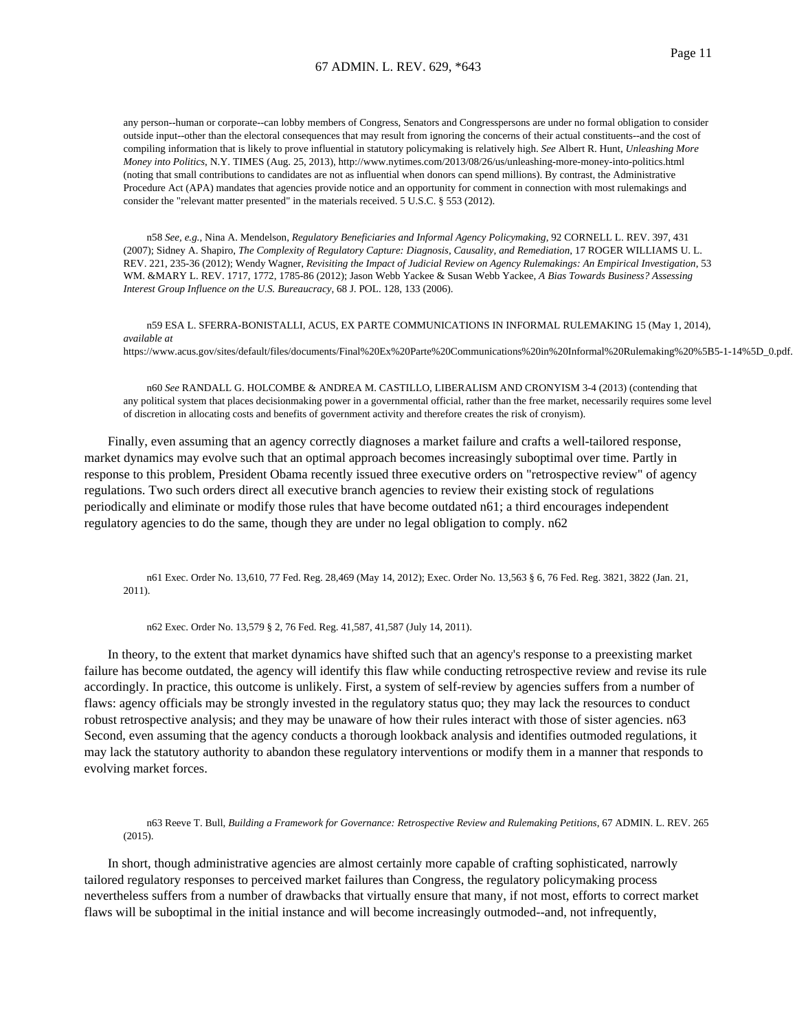any person--human or corporate--can lobby members of Congress, Senators and Congresspersons are under no formal obligation to consider outside input--other than the electoral consequences that may result from ignoring the concerns of their actual constituents--and the cost of compiling information that is likely to prove influential in statutory policymaking is relatively high. *See* Albert R. Hunt, *Unleashing More Money into Politics*, N.Y. TIMES (Aug. 25, 2013), http://www.nytimes.com/2013/08/26/us/unleashing-more-money-into-politics.html (noting that small contributions to candidates are not as influential when donors can spend millions). By contrast, the Administrative Procedure Act (APA) mandates that agencies provide notice and an opportunity for comment in connection with most rulemakings and consider the "relevant matter presented" in the materials received. 5 U.S.C. § 553 (2012).

n58 *See, e.g.*, Nina A. Mendelson, *Regulatory Beneficiaries and Informal Agency Policymaking*, 92 CORNELL L. REV. 397, 431 (2007); Sidney A. Shapiro, *The Complexity of Regulatory Capture: Diagnosis, Causality, and Remediation*, 17 ROGER WILLIAMS U. L. REV. 221, 235-36 (2012); Wendy Wagner, *Revisiting the Impact of Judicial Review on Agency Rulemakings: An Empirical Investigation*, 53 WM. &MARY L. REV. 1717, 1772, 1785-86 (2012); Jason Webb Yackee & Susan Webb Yackee, *A Bias Towards Business? Assessing Interest Group Influence on the U.S. Bureaucracy*, 68 J. POL. 128, 133 (2006).

n59 ESA L. SFERRA-BONISTALLI, ACUS, EX PARTE COMMUNICATIONS IN INFORMAL RULEMAKING 15 (May 1, 2014), *available at* https://www.acus.gov/sites/default/files/documents/Final%20Ex%20Parte%20Communications%20in%20Informal%20Rulemaking%20%5B5-1-14%5D\_0.pdf.

n60 *See* RANDALL G. HOLCOMBE & ANDREA M. CASTILLO, LIBERALISM AND CRONYISM 3-4 (2013) (contending that any political system that places decisionmaking power in a governmental official, rather than the free market, necessarily requires some level of discretion in allocating costs and benefits of government activity and therefore creates the risk of cronyism).

Finally, even assuming that an agency correctly diagnoses a market failure and crafts a well-tailored response, market dynamics may evolve such that an optimal approach becomes increasingly suboptimal over time. Partly in response to this problem, President Obama recently issued three executive orders on "retrospective review" of agency regulations. Two such orders direct all executive branch agencies to review their existing stock of regulations periodically and eliminate or modify those rules that have become outdated n61; a third encourages independent regulatory agencies to do the same, though they are under no legal obligation to comply. n62

n61 Exec. Order No. 13,610, 77 Fed. Reg. 28,469 (May 14, 2012); Exec. Order No. 13,563 § 6, 76 Fed. Reg. 3821, 3822 (Jan. 21, 2011).

n62 Exec. Order No. 13,579 § 2, 76 Fed. Reg. 41,587, 41,587 (July 14, 2011).

In theory, to the extent that market dynamics have shifted such that an agency's response to a preexisting market failure has become outdated, the agency will identify this flaw while conducting retrospective review and revise its rule accordingly. In practice, this outcome is unlikely. First, a system of self-review by agencies suffers from a number of flaws: agency officials may be strongly invested in the regulatory status quo; they may lack the resources to conduct robust retrospective analysis; and they may be unaware of how their rules interact with those of sister agencies. n63 Second, even assuming that the agency conducts a thorough lookback analysis and identifies outmoded regulations, it may lack the statutory authority to abandon these regulatory interventions or modify them in a manner that responds to evolving market forces.

n63 Reeve T. Bull, *Building a Framework for Governance: Retrospective Review and Rulemaking Petitions*, 67 ADMIN. L. REV. 265 (2015).

In short, though administrative agencies are almost certainly more capable of crafting sophisticated, narrowly tailored regulatory responses to perceived market failures than Congress, the regulatory policymaking process nevertheless suffers from a number of drawbacks that virtually ensure that many, if not most, efforts to correct market flaws will be suboptimal in the initial instance and will become increasingly outmoded--and, not infrequently,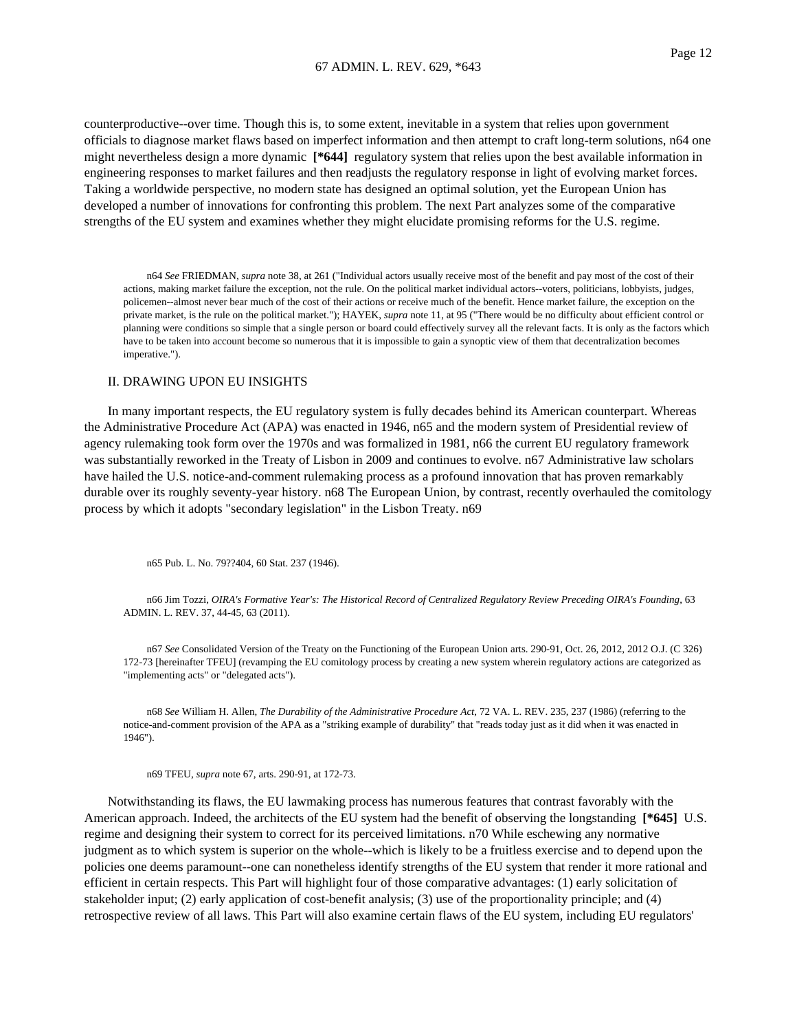counterproductive--over time. Though this is, to some extent, inevitable in a system that relies upon government officials to diagnose market flaws based on imperfect information and then attempt to craft long-term solutions, n64 one might nevertheless design a more dynamic **[\*644]** regulatory system that relies upon the best available information in engineering responses to market failures and then readjusts the regulatory response in light of evolving market forces. Taking a worldwide perspective, no modern state has designed an optimal solution, yet the European Union has developed a number of innovations for confronting this problem. The next Part analyzes some of the comparative strengths of the EU system and examines whether they might elucidate promising reforms for the U.S. regime.

n64 *See* FRIEDMAN, *supra* note 38, at 261 ("Individual actors usually receive most of the benefit and pay most of the cost of their actions, making market failure the exception, not the rule. On the political market individual actors--voters, politicians, lobbyists, judges, policemen--almost never bear much of the cost of their actions or receive much of the benefit. Hence market failure, the exception on the private market, is the rule on the political market."); HAYEK, *supra* note 11, at 95 ("There would be no difficulty about efficient control or planning were conditions so simple that a single person or board could effectively survey all the relevant facts. It is only as the factors which have to be taken into account become so numerous that it is impossible to gain a synoptic view of them that decentralization becomes imperative.").

### II. DRAWING UPON EU INSIGHTS

In many important respects, the EU regulatory system is fully decades behind its American counterpart. Whereas the Administrative Procedure Act (APA) was enacted in 1946, n65 and the modern system of Presidential review of agency rulemaking took form over the 1970s and was formalized in 1981, n66 the current EU regulatory framework was substantially reworked in the Treaty of Lisbon in 2009 and continues to evolve. n67 Administrative law scholars have hailed the U.S. notice-and-comment rulemaking process as a profound innovation that has proven remarkably durable over its roughly seventy-year history. n68 The European Union, by contrast, recently overhauled the comitology process by which it adopts "secondary legislation" in the Lisbon Treaty. n69

n65 Pub. L. No. 79??404, 60 Stat. 237 (1946).

n66 Jim Tozzi, *OIRA's Formative Year's: The Historical Record of Centralized Regulatory Review Preceding OIRA's Founding*, 63 ADMIN. L. REV. 37, 44-45, 63 (2011).

n67 *See* Consolidated Version of the Treaty on the Functioning of the European Union arts. 290-91, Oct. 26, 2012, 2012 O.J. (C 326) 172-73 [hereinafter TFEU] (revamping the EU comitology process by creating a new system wherein regulatory actions are categorized as "implementing acts" or "delegated acts").

n68 *See* William H. Allen, *The Durability of the Administrative Procedure Act*, 72 VA. L. REV. 235, 237 (1986) (referring to the notice-and-comment provision of the APA as a "striking example of durability" that "reads today just as it did when it was enacted in 1946").

n69 TFEU, *supra* note 67, arts. 290-91, at 172-73.

Notwithstanding its flaws, the EU lawmaking process has numerous features that contrast favorably with the American approach. Indeed, the architects of the EU system had the benefit of observing the longstanding **[\*645]** U.S. regime and designing their system to correct for its perceived limitations. n70 While eschewing any normative judgment as to which system is superior on the whole--which is likely to be a fruitless exercise and to depend upon the policies one deems paramount--one can nonetheless identify strengths of the EU system that render it more rational and efficient in certain respects. This Part will highlight four of those comparative advantages: (1) early solicitation of stakeholder input; (2) early application of cost-benefit analysis; (3) use of the proportionality principle; and (4) retrospective review of all laws. This Part will also examine certain flaws of the EU system, including EU regulators'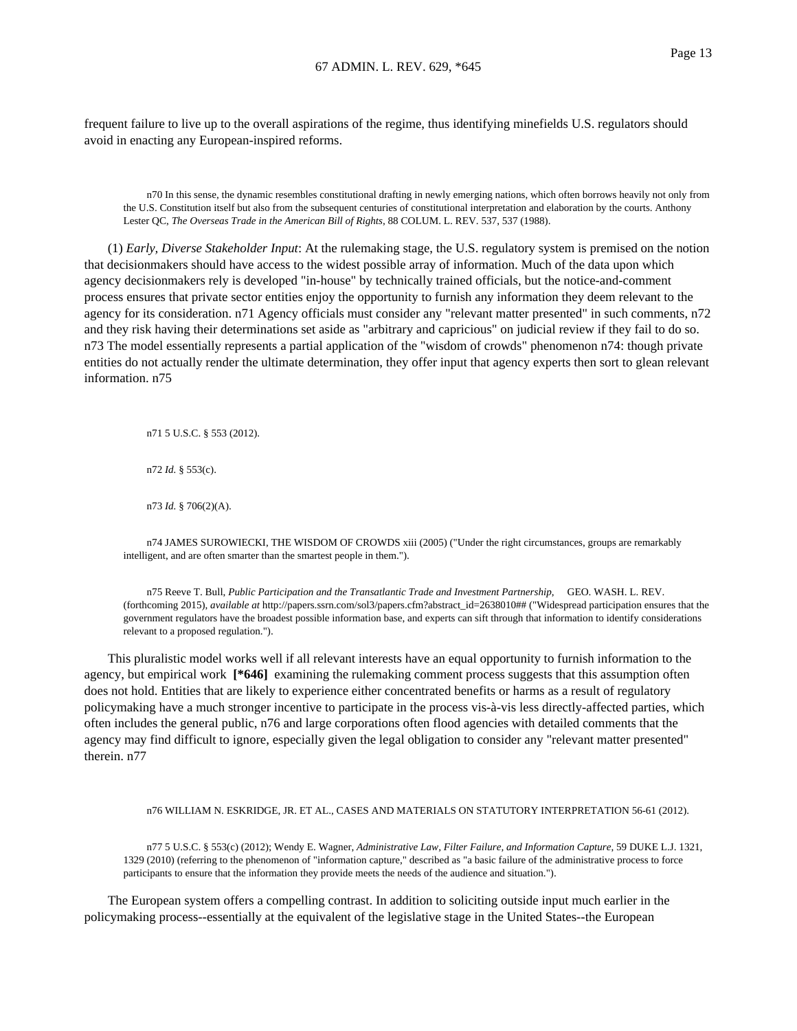frequent failure to live up to the overall aspirations of the regime, thus identifying minefields U.S. regulators should avoid in enacting any European-inspired reforms.

n70 In this sense, the dynamic resembles constitutional drafting in newly emerging nations, which often borrows heavily not only from the U.S. Constitution itself but also from the subsequent centuries of constitutional interpretation and elaboration by the courts. Anthony Lester QC, *The Overseas Trade in the American Bill of Rights*, 88 COLUM. L. REV. 537, 537 (1988).

(1) *Early, Diverse Stakeholder Input*: At the rulemaking stage, the U.S. regulatory system is premised on the notion that decisionmakers should have access to the widest possible array of information. Much of the data upon which agency decisionmakers rely is developed "in-house" by technically trained officials, but the notice-and-comment process ensures that private sector entities enjoy the opportunity to furnish any information they deem relevant to the agency for its consideration. n71 Agency officials must consider any "relevant matter presented" in such comments, n72 and they risk having their determinations set aside as "arbitrary and capricious" on judicial review if they fail to do so. n73 The model essentially represents a partial application of the "wisdom of crowds" phenomenon n74: though private entities do not actually render the ultimate determination, they offer input that agency experts then sort to glean relevant information. n75

n71 5 U.S.C. § 553 (2012).

n72 *Id.* § 553(c).

n73 *Id.* § 706(2)(A).

n74 JAMES SUROWIECKI, THE WISDOM OF CROWDS xiii (2005) ("Under the right circumstances, groups are remarkably intelligent, and are often smarter than the smartest people in them.").

n75 Reeve T. Bull, *Public Participation and the Transatlantic Trade and Investment Partnership*, GEO. WASH. L. REV. (forthcoming 2015), *available at* http://papers.ssrn.com/sol3/papers.cfm?abstract\_id=2638010## ("Widespread participation ensures that the government regulators have the broadest possible information base, and experts can sift through that information to identify considerations relevant to a proposed regulation.").

This pluralistic model works well if all relevant interests have an equal opportunity to furnish information to the agency, but empirical work **[\*646]** examining the rulemaking comment process suggests that this assumption often does not hold. Entities that are likely to experience either concentrated benefits or harms as a result of regulatory policymaking have a much stronger incentive to participate in the process vis-à-vis less directly-affected parties, which often includes the general public, n76 and large corporations often flood agencies with detailed comments that the agency may find difficult to ignore, especially given the legal obligation to consider any "relevant matter presented" therein. n77

#### n76 WILLIAM N. ESKRIDGE, JR. ET AL., CASES AND MATERIALS ON STATUTORY INTERPRETATION 56-61 (2012).

n77 5 U.S.C. § 553(c) (2012); Wendy E. Wagner, *Administrative Law, Filter Failure, and Information Capture*, 59 DUKE L.J. 1321, 1329 (2010) (referring to the phenomenon of "information capture," described as "a basic failure of the administrative process to force participants to ensure that the information they provide meets the needs of the audience and situation.").

The European system offers a compelling contrast. In addition to soliciting outside input much earlier in the policymaking process--essentially at the equivalent of the legislative stage in the United States--the European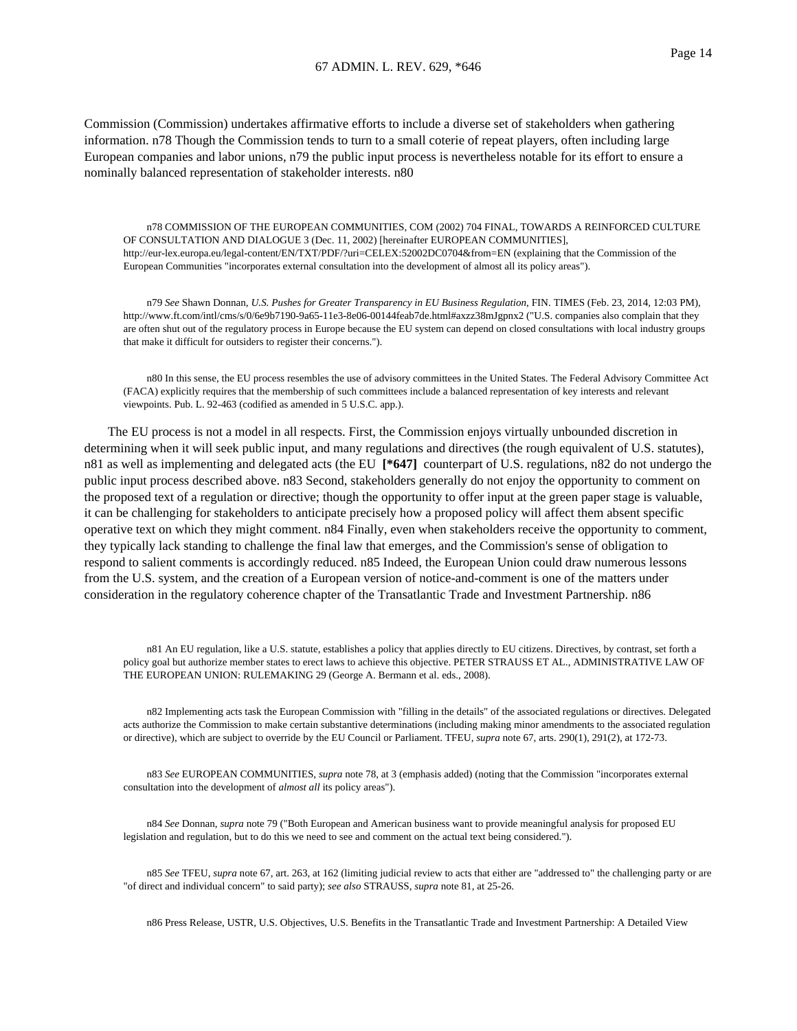Commission (Commission) undertakes affirmative efforts to include a diverse set of stakeholders when gathering information. n78 Though the Commission tends to turn to a small coterie of repeat players, often including large European companies and labor unions, n79 the public input process is nevertheless notable for its effort to ensure a nominally balanced representation of stakeholder interests. n80

n78 COMMISSION OF THE EUROPEAN COMMUNITIES, COM (2002) 704 FINAL, TOWARDS A REINFORCED CULTURE OF CONSULTATION AND DIALOGUE 3 (Dec. 11, 2002) [hereinafter EUROPEAN COMMUNITIES], http://eur-lex.europa.eu/legal-content/EN/TXT/PDF/?uri=CELEX:52002DC0704&from=EN (explaining that the Commission of the European Communities "incorporates external consultation into the development of almost all its policy areas").

n79 *See* Shawn Donnan, *U.S. Pushes for Greater Transparency in EU Business Regulation*, FIN. TIMES (Feb. 23, 2014, 12:03 PM), http://www.ft.com/intl/cms/s/0/6e9b7190-9a65-11e3-8e06-00144feab7de.html#axzz38mJgpnx2 ("U.S. companies also complain that they are often shut out of the regulatory process in Europe because the EU system can depend on closed consultations with local industry groups that make it difficult for outsiders to register their concerns.").

n80 In this sense, the EU process resembles the use of advisory committees in the United States. The Federal Advisory Committee Act (FACA) explicitly requires that the membership of such committees include a balanced representation of key interests and relevant viewpoints. Pub. L. 92-463 (codified as amended in 5 U.S.C. app.).

The EU process is not a model in all respects. First, the Commission enjoys virtually unbounded discretion in determining when it will seek public input, and many regulations and directives (the rough equivalent of U.S. statutes), n81 as well as implementing and delegated acts (the EU **[\*647]** counterpart of U.S. regulations, n82 do not undergo the public input process described above. n83 Second, stakeholders generally do not enjoy the opportunity to comment on the proposed text of a regulation or directive; though the opportunity to offer input at the green paper stage is valuable, it can be challenging for stakeholders to anticipate precisely how a proposed policy will affect them absent specific operative text on which they might comment. n84 Finally, even when stakeholders receive the opportunity to comment, they typically lack standing to challenge the final law that emerges, and the Commission's sense of obligation to respond to salient comments is accordingly reduced. n85 Indeed, the European Union could draw numerous lessons from the U.S. system, and the creation of a European version of notice-and-comment is one of the matters under consideration in the regulatory coherence chapter of the Transatlantic Trade and Investment Partnership. n86

n81 An EU regulation, like a U.S. statute, establishes a policy that applies directly to EU citizens. Directives, by contrast, set forth a policy goal but authorize member states to erect laws to achieve this objective. PETER STRAUSS ET AL., ADMINISTRATIVE LAW OF THE EUROPEAN UNION: RULEMAKING 29 (George A. Bermann et al. eds., 2008).

n82 Implementing acts task the European Commission with "filling in the details" of the associated regulations or directives. Delegated acts authorize the Commission to make certain substantive determinations (including making minor amendments to the associated regulation or directive), which are subject to override by the EU Council or Parliament. TFEU, *supra* note 67, arts. 290(1), 291(2), at 172-73.

n83 *See* EUROPEAN COMMUNITIES, *supra* note 78, at 3 (emphasis added) (noting that the Commission "incorporates external consultation into the development of *almost all* its policy areas").

n84 *See* Donnan, *supra* note 79 ("Both European and American business want to provide meaningful analysis for proposed EU legislation and regulation, but to do this we need to see and comment on the actual text being considered.").

n85 *See* TFEU, *supra* note 67, art. 263, at 162 (limiting judicial review to acts that either are "addressed to" the challenging party or are "of direct and individual concern" to said party); *see also* STRAUSS, *supra* note 81, at 25-26.

n86 Press Release, USTR, U.S. Objectives, U.S. Benefits in the Transatlantic Trade and Investment Partnership: A Detailed View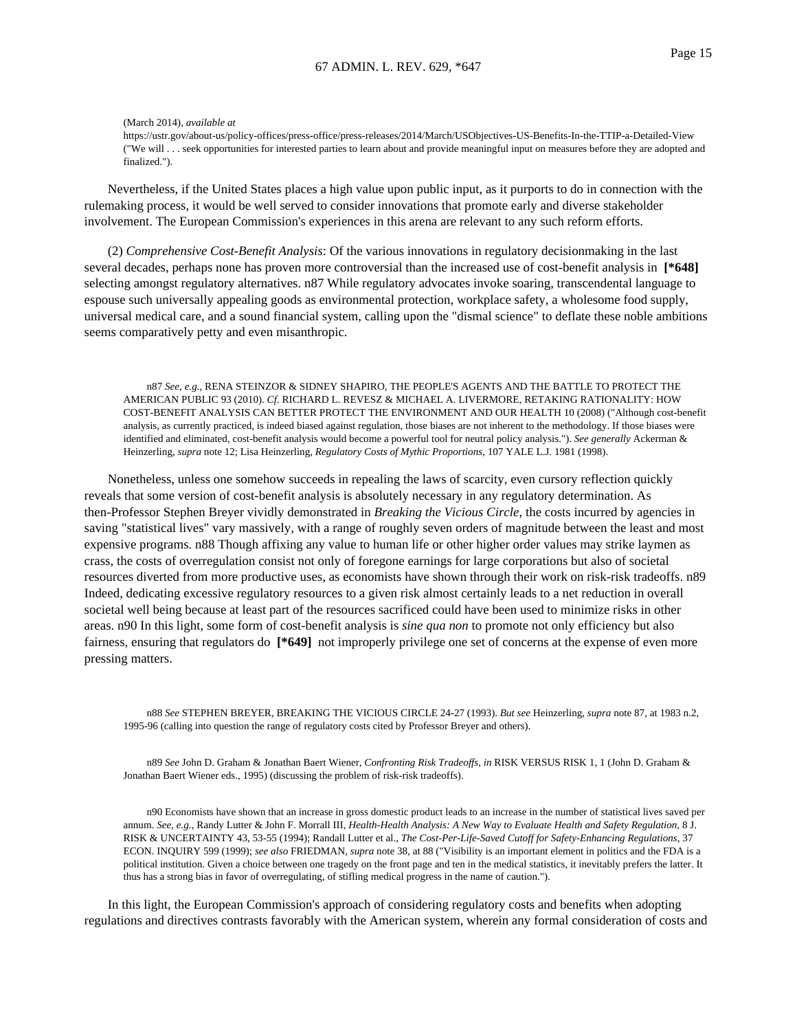(March 2014), *available at*

https://ustr.gov/about-us/policy-offices/press-office/press-releases/2014/March/USObjectives-US-Benefits-In-the-TTIP-a-Detailed-View ("We will . . . seek opportunities for interested parties to learn about and provide meaningful input on measures before they are adopted and finalized.").

Nevertheless, if the United States places a high value upon public input, as it purports to do in connection with the rulemaking process, it would be well served to consider innovations that promote early and diverse stakeholder involvement. The European Commission's experiences in this arena are relevant to any such reform efforts.

(2) *Comprehensive Cost-Benefit Analysis*: Of the various innovations in regulatory decisionmaking in the last several decades, perhaps none has proven more controversial than the increased use of cost-benefit analysis in **[\*648]** selecting amongst regulatory alternatives. n87 While regulatory advocates invoke soaring, transcendental language to espouse such universally appealing goods as environmental protection, workplace safety, a wholesome food supply, universal medical care, and a sound financial system, calling upon the "dismal science" to deflate these noble ambitions seems comparatively petty and even misanthropic.

n87 *See, e.g.*, RENA STEINZOR & SIDNEY SHAPIRO, THE PEOPLE'S AGENTS AND THE BATTLE TO PROTECT THE AMERICAN PUBLIC 93 (2010). *Cf.* RICHARD L. REVESZ & MICHAEL A. LIVERMORE, RETAKING RATIONALITY: HOW COST-BENEFIT ANALYSIS CAN BETTER PROTECT THE ENVIRONMENT AND OUR HEALTH 10 (2008) ("Although cost-benefit analysis, as currently practiced, is indeed biased against regulation, those biases are not inherent to the methodology. If those biases were identified and eliminated, cost-benefit analysis would become a powerful tool for neutral policy analysis."). *See generally* Ackerman & Heinzerling, *supra* note 12; Lisa Heinzerling, *Regulatory Costs of Mythic Proportions*, 107 YALE L.J. 1981 (1998).

Nonetheless, unless one somehow succeeds in repealing the laws of scarcity, even cursory reflection quickly reveals that some version of cost-benefit analysis is absolutely necessary in any regulatory determination. As then-Professor Stephen Breyer vividly demonstrated in *Breaking the Vicious Circle*, the costs incurred by agencies in saving "statistical lives" vary massively, with a range of roughly seven orders of magnitude between the least and most expensive programs. n88 Though affixing any value to human life or other higher order values may strike laymen as crass, the costs of overregulation consist not only of foregone earnings for large corporations but also of societal resources diverted from more productive uses, as economists have shown through their work on risk-risk tradeoffs. n89 Indeed, dedicating excessive regulatory resources to a given risk almost certainly leads to a net reduction in overall societal well being because at least part of the resources sacrificed could have been used to minimize risks in other areas. n90 In this light, some form of cost-benefit analysis is *sine qua non* to promote not only efficiency but also fairness, ensuring that regulators do **[\*649]** not improperly privilege one set of concerns at the expense of even more pressing matters.

n88 *See* STEPHEN BREYER, BREAKING THE VICIOUS CIRCLE 24-27 (1993). *But see* Heinzerling, *supra* note 87, at 1983 n.2, 1995-96 (calling into question the range of regulatory costs cited by Professor Breyer and others).

n89 *See* John D. Graham & Jonathan Baert Wiener, *Confronting Risk Tradeoffs, in* RISK VERSUS RISK 1, 1 (John D. Graham & Jonathan Baert Wiener eds., 1995) (discussing the problem of risk-risk tradeoffs).

n90 Economists have shown that an increase in gross domestic product leads to an increase in the number of statistical lives saved per annum. *See, e.g.*, Randy Lutter & John F. Morrall III, *Health-Health Analysis: A New Way to Evaluate Health and Safety Regulation*, 8 J. RISK & UNCERTAINTY 43, 53-55 (1994); Randall Lutter et al., *The Cost-Per-Life-Saved Cutoff for Safety-Enhancing Regulations*, 37 ECON. INQUIRY 599 (1999); *see also* FRIEDMAN, *supra* note 38, at 88 ("Visibility is an important element in politics and the FDA is a political institution. Given a choice between one tragedy on the front page and ten in the medical statistics, it inevitably prefers the latter. It thus has a strong bias in favor of overregulating, of stifling medical progress in the name of caution.").

In this light, the European Commission's approach of considering regulatory costs and benefits when adopting regulations and directives contrasts favorably with the American system, wherein any formal consideration of costs and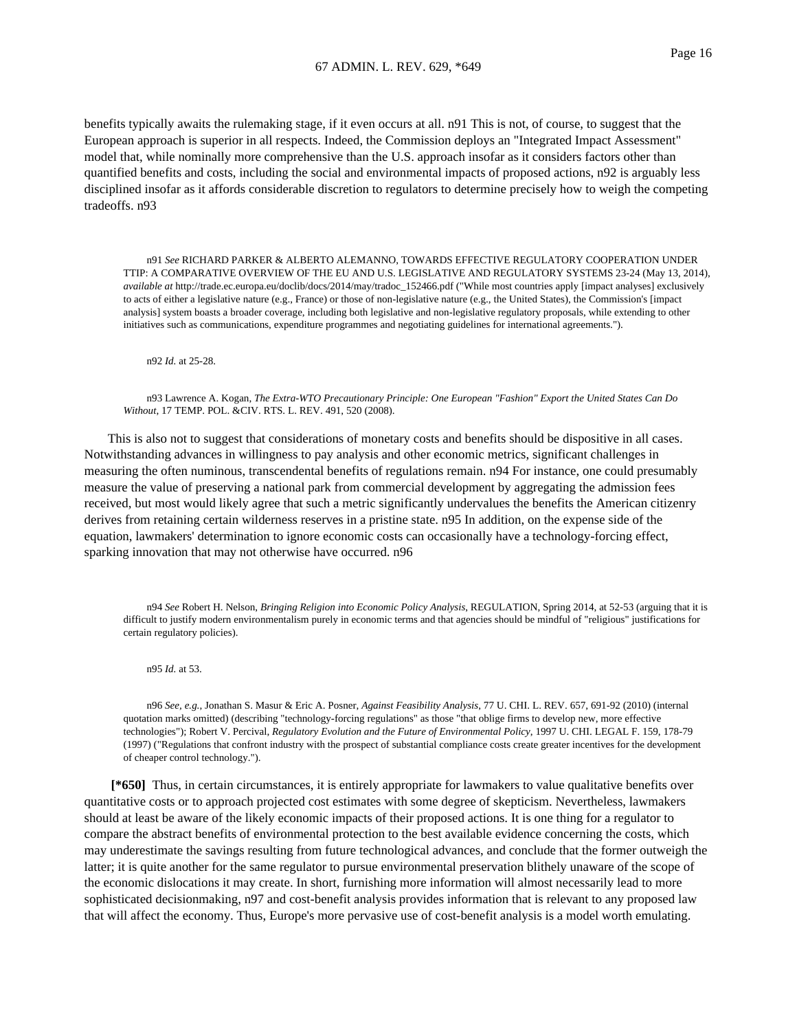benefits typically awaits the rulemaking stage, if it even occurs at all. n91 This is not, of course, to suggest that the European approach is superior in all respects. Indeed, the Commission deploys an "Integrated Impact Assessment" model that, while nominally more comprehensive than the U.S. approach insofar as it considers factors other than quantified benefits and costs, including the social and environmental impacts of proposed actions, n92 is arguably less disciplined insofar as it affords considerable discretion to regulators to determine precisely how to weigh the competing tradeoffs. n93

n91 *See* RICHARD PARKER & ALBERTO ALEMANNO, TOWARDS EFFECTIVE REGULATORY COOPERATION UNDER TTIP: A COMPARATIVE OVERVIEW OF THE EU AND U.S. LEGISLATIVE AND REGULATORY SYSTEMS 23-24 (May 13, 2014), *available at* http://trade.ec.europa.eu/doclib/docs/2014/may/tradoc\_152466.pdf ("While most countries apply [impact analyses] exclusively to acts of either a legislative nature (e.g., France) or those of non-legislative nature (e.g., the United States), the Commission's [impact analysis] system boasts a broader coverage, including both legislative and non-legislative regulatory proposals, while extending to other initiatives such as communications, expenditure programmes and negotiating guidelines for international agreements.").

n92 *Id.* at 25-28.

n93 Lawrence A. Kogan, *The Extra-WTO Precautionary Principle: One European "Fashion" Export the United States Can Do Without*, 17 TEMP. POL. &CIV. RTS. L. REV. 491, 520 (2008).

This is also not to suggest that considerations of monetary costs and benefits should be dispositive in all cases. Notwithstanding advances in willingness to pay analysis and other economic metrics, significant challenges in measuring the often numinous, transcendental benefits of regulations remain. n94 For instance, one could presumably measure the value of preserving a national park from commercial development by aggregating the admission fees received, but most would likely agree that such a metric significantly undervalues the benefits the American citizenry derives from retaining certain wilderness reserves in a pristine state. n95 In addition, on the expense side of the equation, lawmakers' determination to ignore economic costs can occasionally have a technology-forcing effect, sparking innovation that may not otherwise have occurred. n96

n94 *See* Robert H. Nelson, *Bringing Religion into Economic Policy Analysis*, REGULATION, Spring 2014, at 52-53 (arguing that it is difficult to justify modern environmentalism purely in economic terms and that agencies should be mindful of "religious" justifications for certain regulatory policies).

n95 *Id.* at 53.

n96 *See, e.g.*, Jonathan S. Masur & Eric A. Posner, *Against Feasibility Analysis*, 77 U. CHI. L. REV. 657, 691-92 (2010) (internal quotation marks omitted) (describing "technology-forcing regulations" as those "that oblige firms to develop new, more effective technologies"); Robert V. Percival, *Regulatory Evolution and the Future of Environmental Policy*, 1997 U. CHI. LEGAL F. 159, 178-79 (1997) ("Regulations that confront industry with the prospect of substantial compliance costs create greater incentives for the development of cheaper control technology.").

**[\*650]** Thus, in certain circumstances, it is entirely appropriate for lawmakers to value qualitative benefits over quantitative costs or to approach projected cost estimates with some degree of skepticism. Nevertheless, lawmakers should at least be aware of the likely economic impacts of their proposed actions. It is one thing for a regulator to compare the abstract benefits of environmental protection to the best available evidence concerning the costs, which may underestimate the savings resulting from future technological advances, and conclude that the former outweigh the latter; it is quite another for the same regulator to pursue environmental preservation blithely unaware of the scope of the economic dislocations it may create. In short, furnishing more information will almost necessarily lead to more sophisticated decisionmaking, n97 and cost-benefit analysis provides information that is relevant to any proposed law that will affect the economy. Thus, Europe's more pervasive use of cost-benefit analysis is a model worth emulating.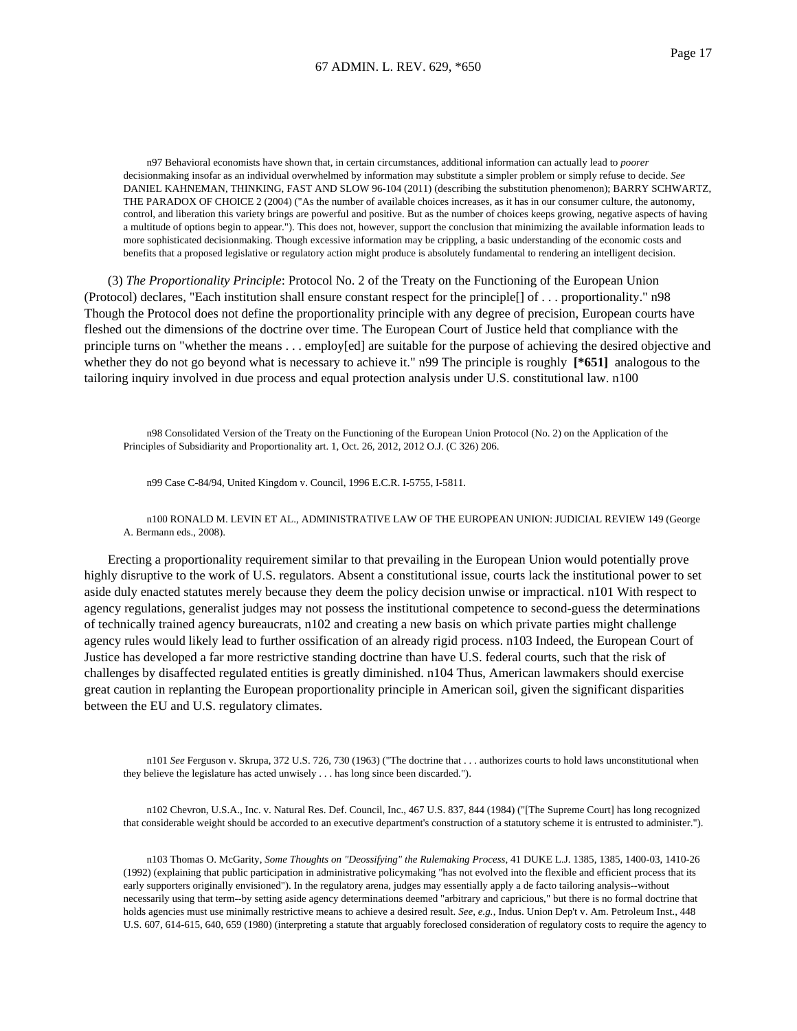n97 Behavioral economists have shown that, in certain circumstances, additional information can actually lead to *poorer* decisionmaking insofar as an individual overwhelmed by information may substitute a simpler problem or simply refuse to decide. *See* DANIEL KAHNEMAN, THINKING, FAST AND SLOW 96-104 (2011) (describing the substitution phenomenon); BARRY SCHWARTZ, THE PARADOX OF CHOICE 2 (2004) ("As the number of available choices increases, as it has in our consumer culture, the autonomy, control, and liberation this variety brings are powerful and positive. But as the number of choices keeps growing, negative aspects of having a multitude of options begin to appear."). This does not, however, support the conclusion that minimizing the available information leads to more sophisticated decisionmaking. Though excessive information may be crippling, a basic understanding of the economic costs and benefits that a proposed legislative or regulatory action might produce is absolutely fundamental to rendering an intelligent decision.

(3) *The Proportionality Principle*: Protocol No. 2 of the Treaty on the Functioning of the European Union (Protocol) declares, "Each institution shall ensure constant respect for the principle[] of . . . proportionality." n98 Though the Protocol does not define the proportionality principle with any degree of precision, European courts have fleshed out the dimensions of the doctrine over time. The European Court of Justice held that compliance with the principle turns on "whether the means . . . employ[ed] are suitable for the purpose of achieving the desired objective and whether they do not go beyond what is necessary to achieve it." n99 The principle is roughly [\***651**] analogous to the tailoring inquiry involved in due process and equal protection analysis under U.S. constitutional law. n100

n98 Consolidated Version of the Treaty on the Functioning of the European Union Protocol (No. 2) on the Application of the Principles of Subsidiarity and Proportionality art. 1, Oct. 26, 2012, 2012 O.J. (C 326) 206.

n99 Case C-84/94, United Kingdom v. Council, 1996 E.C.R. I-5755, I-5811.

n100 RONALD M. LEVIN ET AL., ADMINISTRATIVE LAW OF THE EUROPEAN UNION: JUDICIAL REVIEW 149 (George A. Bermann eds., 2008).

Erecting a proportionality requirement similar to that prevailing in the European Union would potentially prove highly disruptive to the work of U.S. regulators. Absent a constitutional issue, courts lack the institutional power to set aside duly enacted statutes merely because they deem the policy decision unwise or impractical. n101 With respect to agency regulations, generalist judges may not possess the institutional competence to second-guess the determinations of technically trained agency bureaucrats, n102 and creating a new basis on which private parties might challenge agency rules would likely lead to further ossification of an already rigid process. n103 Indeed, the European Court of Justice has developed a far more restrictive standing doctrine than have U.S. federal courts, such that the risk of challenges by disaffected regulated entities is greatly diminished. n104 Thus, American lawmakers should exercise great caution in replanting the European proportionality principle in American soil, given the significant disparities between the EU and U.S. regulatory climates.

n101 *See* Ferguson v. Skrupa, 372 U.S. 726, 730 (1963) ("The doctrine that . . . authorizes courts to hold laws unconstitutional when they believe the legislature has acted unwisely . . . has long since been discarded.").

n102 Chevron, U.S.A., Inc. v. Natural Res. Def. Council, Inc., 467 U.S. 837, 844 (1984) ("[The Supreme Court] has long recognized that considerable weight should be accorded to an executive department's construction of a statutory scheme it is entrusted to administer.").

n103 Thomas O. McGarity, *Some Thoughts on "Deossifying" the Rulemaking Process*, 41 DUKE L.J. 1385, 1385, 1400-03, 1410-26 (1992) (explaining that public participation in administrative policymaking "has not evolved into the flexible and efficient process that its early supporters originally envisioned"). In the regulatory arena, judges may essentially apply a de facto tailoring analysis--without necessarily using that term--by setting aside agency determinations deemed "arbitrary and capricious," but there is no formal doctrine that holds agencies must use minimally restrictive means to achieve a desired result. *See, e.g.*, Indus. Union Dep't v. Am. Petroleum Inst., 448 U.S. 607, 614-615, 640, 659 (1980) (interpreting a statute that arguably foreclosed consideration of regulatory costs to require the agency to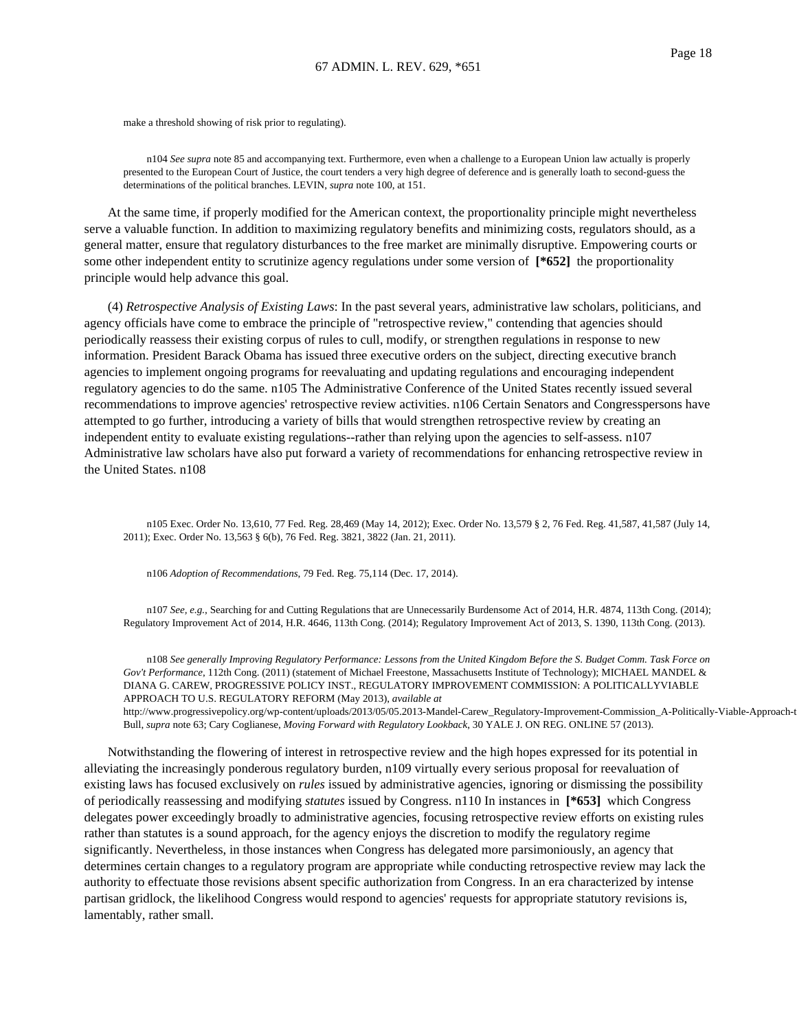make a threshold showing of risk prior to regulating).

n104 *See supra* note 85 and accompanying text. Furthermore, even when a challenge to a European Union law actually is properly presented to the European Court of Justice, the court tenders a very high degree of deference and is generally loath to second-guess the determinations of the political branches. LEVIN, *supra* note 100, at 151.

At the same time, if properly modified for the American context, the proportionality principle might nevertheless serve a valuable function. In addition to maximizing regulatory benefits and minimizing costs, regulators should, as a general matter, ensure that regulatory disturbances to the free market are minimally disruptive. Empowering courts or some other independent entity to scrutinize agency regulations under some version of **[\*652]** the proportionality principle would help advance this goal.

(4) *Retrospective Analysis of Existing Laws*: In the past several years, administrative law scholars, politicians, and agency officials have come to embrace the principle of "retrospective review," contending that agencies should periodically reassess their existing corpus of rules to cull, modify, or strengthen regulations in response to new information. President Barack Obama has issued three executive orders on the subject, directing executive branch agencies to implement ongoing programs for reevaluating and updating regulations and encouraging independent regulatory agencies to do the same. n105 The Administrative Conference of the United States recently issued several recommendations to improve agencies' retrospective review activities. n106 Certain Senators and Congresspersons have attempted to go further, introducing a variety of bills that would strengthen retrospective review by creating an independent entity to evaluate existing regulations--rather than relying upon the agencies to self-assess. n107 Administrative law scholars have also put forward a variety of recommendations for enhancing retrospective review in the United States. n108

n105 Exec. Order No. 13,610, 77 Fed. Reg. 28,469 (May 14, 2012); Exec. Order No. 13,579 § 2, 76 Fed. Reg. 41,587, 41,587 (July 14, 2011); Exec. Order No. 13,563 § 6(b), 76 Fed. Reg. 3821, 3822 (Jan. 21, 2011).

n106 *Adoption of Recommendations*, 79 Fed. Reg. 75,114 (Dec. 17, 2014).

n107 *See, e.g.*, Searching for and Cutting Regulations that are Unnecessarily Burdensome Act of 2014, H.R. 4874, 113th Cong. (2014); Regulatory Improvement Act of 2014, H.R. 4646, 113th Cong. (2014); Regulatory Improvement Act of 2013, S. 1390, 113th Cong. (2013).

n108 *See generally Improving Regulatory Performance: Lessons from the United Kingdom Before the S*. *Budget Comm. Task Force on Gov't Performance*, 112th Cong. (2011) (statement of Michael Freestone, Massachusetts Institute of Technology); MICHAEL MANDEL & DIANA G. CAREW, PROGRESSIVE POLICY INST., REGULATORY IMPROVEMENT COMMISSION: A POLITICALLYVIABLE APPROACH TO U.S. REGULATORY REFORM (May 2013), *available at* http://www.progressivepolicy.org/wp-content/uploads/2013/05/05.2013-Mandel-Carew\_Regulatory-Improvement-Commission\_A-Politically-Viable-Approach-to-

Bull, *supra* note 63; Cary Coglianese, *Moving Forward with Regulatory Lookback*, 30 YALE J. ON REG. ONLINE 57 (2013).

Notwithstanding the flowering of interest in retrospective review and the high hopes expressed for its potential in alleviating the increasingly ponderous regulatory burden, n109 virtually every serious proposal for reevaluation of existing laws has focused exclusively on *rules* issued by administrative agencies, ignoring or dismissing the possibility of periodically reassessing and modifying *statutes* issued by Congress. n110 In instances in **[\*653]** which Congress delegates power exceedingly broadly to administrative agencies, focusing retrospective review efforts on existing rules rather than statutes is a sound approach, for the agency enjoys the discretion to modify the regulatory regime significantly. Nevertheless, in those instances when Congress has delegated more parsimoniously, an agency that determines certain changes to a regulatory program are appropriate while conducting retrospective review may lack the authority to effectuate those revisions absent specific authorization from Congress. In an era characterized by intense partisan gridlock, the likelihood Congress would respond to agencies' requests for appropriate statutory revisions is, lamentably, rather small.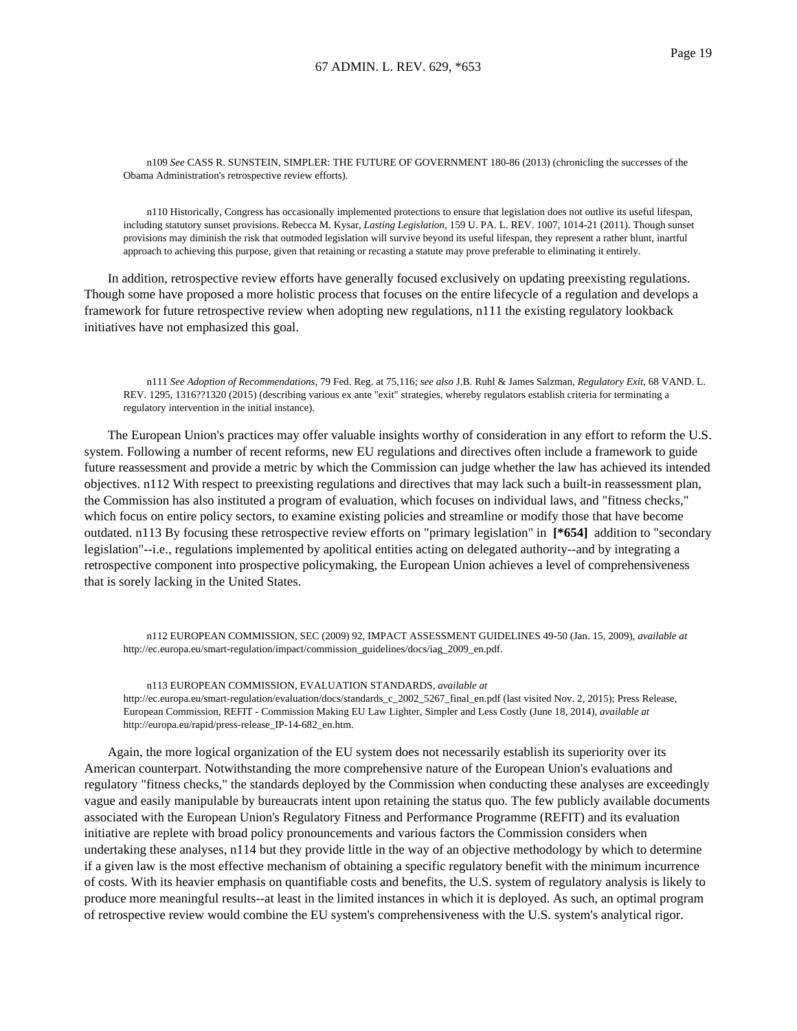n109 *See* CASS R. SUNSTEIN, SIMPLER: THE FUTURE OF GOVERNMENT 180-86 (2013) (chronicling the successes of the Obama Administration's retrospective review efforts).

n110 Historically, Congress has occasionally implemented protections to ensure that legislation does not outlive its useful lifespan, including statutory sunset provisions. Rebecca M. Kysar, *Lasting Legislation*, 159 U. PA. L. REV. 1007, 1014-21 (2011). Though sunset provisions may diminish the risk that outmoded legislation will survive beyond its useful lifespan, they represent a rather blunt, inartful approach to achieving this purpose, given that retaining or recasting a statute may prove preferable to eliminating it entirely.

In addition, retrospective review efforts have generally focused exclusively on updating preexisting regulations. Though some have proposed a more holistic process that focuses on the entire lifecycle of a regulation and develops a framework for future retrospective review when adopting new regulations, n111 the existing regulatory lookback initiatives have not emphasized this goal.

n111 *See Adoption of Recommendations*, 79 Fed. Reg. at 75,116; *see also* J.B. Ruhl & James Salzman, *Regulatory Exit*, 68 VAND. L. REV. 1295, 1316??1320 (2015) (describing various ex ante "exit" strategies, whereby regulators establish criteria for terminating a regulatory intervention in the initial instance).

The European Union's practices may offer valuable insights worthy of consideration in any effort to reform the U.S. system. Following a number of recent reforms, new EU regulations and directives often include a framework to guide future reassessment and provide a metric by which the Commission can judge whether the law has achieved its intended objectives. n112 With respect to preexisting regulations and directives that may lack such a built-in reassessment plan, the Commission has also instituted a program of evaluation, which focuses on individual laws, and "fitness checks," which focus on entire policy sectors, to examine existing policies and streamline or modify those that have become outdated. n113 By focusing these retrospective review efforts on "primary legislation" in **[\*654]** addition to "secondary legislation"--i.e., regulations implemented by apolitical entities acting on delegated authority--and by integrating a retrospective component into prospective policymaking, the European Union achieves a level of comprehensiveness that is sorely lacking in the United States.

n112 EUROPEAN COMMISSION, SEC (2009) 92, IMPACT ASSESSMENT GUIDELINES 49-50 (Jan. 15, 2009), *available at* http://ec.europa.eu/smart-regulation/impact/commission\_guidelines/docs/iag\_2009\_en.pdf.

n113 EUROPEAN COMMISSION, EVALUATION STANDARDS, *available at* http://ec.europa.eu/smart-regulation/evaluation/docs/standards\_c\_2002\_5267\_final\_en.pdf (last visited Nov. 2, 2015); Press Release, European Commission, REFIT - Commission Making EU Law Lighter, Simpler and Less Costly (June 18, 2014), *available at* http://europa.eu/rapid/press-release\_IP-14-682\_en.htm.

Again, the more logical organization of the EU system does not necessarily establish its superiority over its American counterpart. Notwithstanding the more comprehensive nature of the European Union's evaluations and regulatory "fitness checks," the standards deployed by the Commission when conducting these analyses are exceedingly vague and easily manipulable by bureaucrats intent upon retaining the status quo. The few publicly available documents associated with the European Union's Regulatory Fitness and Performance Programme (REFIT) and its evaluation initiative are replete with broad policy pronouncements and various factors the Commission considers when undertaking these analyses, n114 but they provide little in the way of an objective methodology by which to determine if a given law is the most effective mechanism of obtaining a specific regulatory benefit with the minimum incurrence of costs. With its heavier emphasis on quantifiable costs and benefits, the U.S. system of regulatory analysis is likely to produce more meaningful results--at least in the limited instances in which it is deployed. As such, an optimal program of retrospective review would combine the EU system's comprehensiveness with the U.S. system's analytical rigor.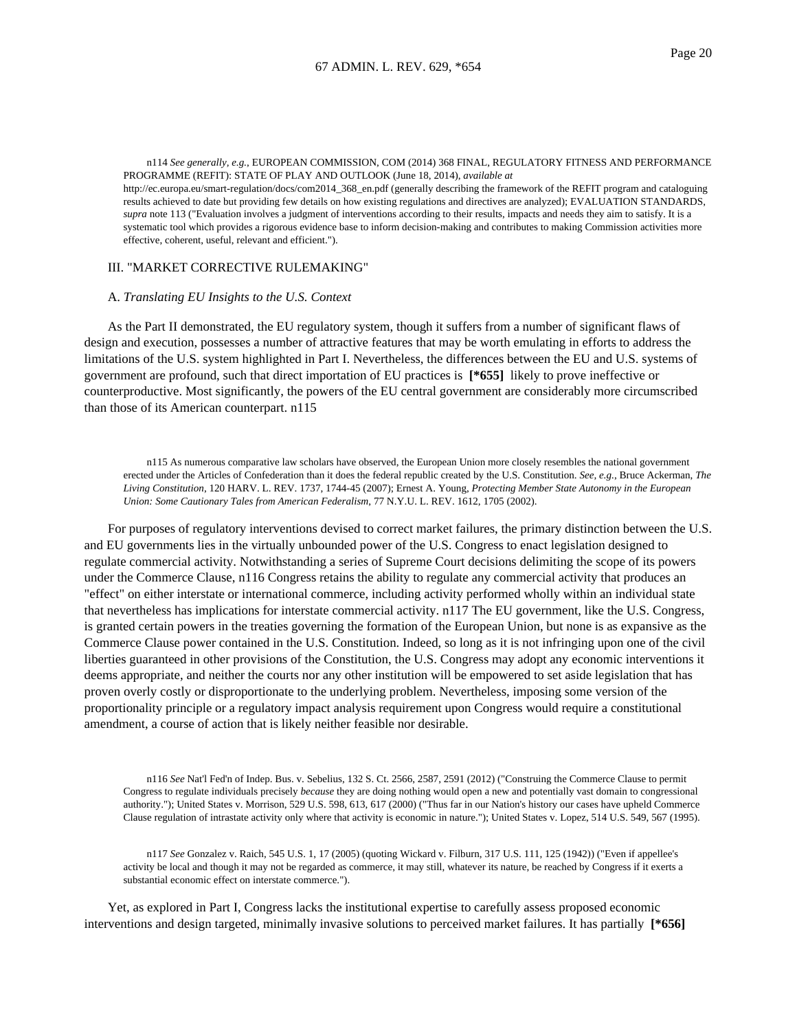n114 *See generally, e.g.*, EUROPEAN COMMISSION, COM (2014) 368 FINAL, REGULATORY FITNESS AND PERFORMANCE PROGRAMME (REFIT): STATE OF PLAY AND OUTLOOK (June 18, 2014), *available at*

http://ec.europa.eu/smart-regulation/docs/com2014\_368\_en.pdf (generally describing the framework of the REFIT program and cataloguing results achieved to date but providing few details on how existing regulations and directives are analyzed); EVALUATION STANDARDS, *supra* note 113 ("Evaluation involves a judgment of interventions according to their results, impacts and needs they aim to satisfy. It is a systematic tool which provides a rigorous evidence base to inform decision-making and contributes to making Commission activities more effective, coherent, useful, relevant and efficient.").

## III. "MARKET CORRECTIVE RULEMAKING"

#### A. *Translating EU Insights to the U.S. Context*

As the Part II demonstrated, the EU regulatory system, though it suffers from a number of significant flaws of design and execution, possesses a number of attractive features that may be worth emulating in efforts to address the limitations of the U.S. system highlighted in Part I. Nevertheless, the differences between the EU and U.S. systems of government are profound, such that direct importation of EU practices is **[\*655]** likely to prove ineffective or counterproductive. Most significantly, the powers of the EU central government are considerably more circumscribed than those of its American counterpart. n115

n115 As numerous comparative law scholars have observed, the European Union more closely resembles the national government erected under the Articles of Confederation than it does the federal republic created by the U.S. Constitution. *See, e.g.*, Bruce Ackerman, *The Living Constitution*, 120 HARV. L. REV. 1737, 1744-45 (2007); Ernest A. Young, *Protecting Member State Autonomy in the European Union: Some Cautionary Tales from American Federalism*, 77 N.Y.U. L. REV. 1612, 1705 (2002).

For purposes of regulatory interventions devised to correct market failures, the primary distinction between the U.S. and EU governments lies in the virtually unbounded power of the U.S. Congress to enact legislation designed to regulate commercial activity. Notwithstanding a series of Supreme Court decisions delimiting the scope of its powers under the Commerce Clause, n116 Congress retains the ability to regulate any commercial activity that produces an "effect" on either interstate or international commerce, including activity performed wholly within an individual state that nevertheless has implications for interstate commercial activity. n117 The EU government, like the U.S. Congress, is granted certain powers in the treaties governing the formation of the European Union, but none is as expansive as the Commerce Clause power contained in the U.S. Constitution. Indeed, so long as it is not infringing upon one of the civil liberties guaranteed in other provisions of the Constitution, the U.S. Congress may adopt any economic interventions it deems appropriate, and neither the courts nor any other institution will be empowered to set aside legislation that has proven overly costly or disproportionate to the underlying problem. Nevertheless, imposing some version of the proportionality principle or a regulatory impact analysis requirement upon Congress would require a constitutional amendment, a course of action that is likely neither feasible nor desirable.

n116 *See* Nat'l Fed'n of Indep. Bus. v. Sebelius, 132 S. Ct. 2566, 2587, 2591 (2012) ("Construing the Commerce Clause to permit Congress to regulate individuals precisely *because* they are doing nothing would open a new and potentially vast domain to congressional authority."); United States v. Morrison, 529 U.S. 598, 613, 617 (2000) ("Thus far in our Nation's history our cases have upheld Commerce Clause regulation of intrastate activity only where that activity is economic in nature."); United States v. Lopez, 514 U.S. 549, 567 (1995).

n117 *See* Gonzalez v. Raich, 545 U.S. 1, 17 (2005) (quoting Wickard v. Filburn, 317 U.S. 111, 125 (1942)) ("Even if appellee's activity be local and though it may not be regarded as commerce, it may still, whatever its nature, be reached by Congress if it exerts a substantial economic effect on interstate commerce.").

Yet, as explored in Part I, Congress lacks the institutional expertise to carefully assess proposed economic interventions and design targeted, minimally invasive solutions to perceived market failures. It has partially **[\*656]**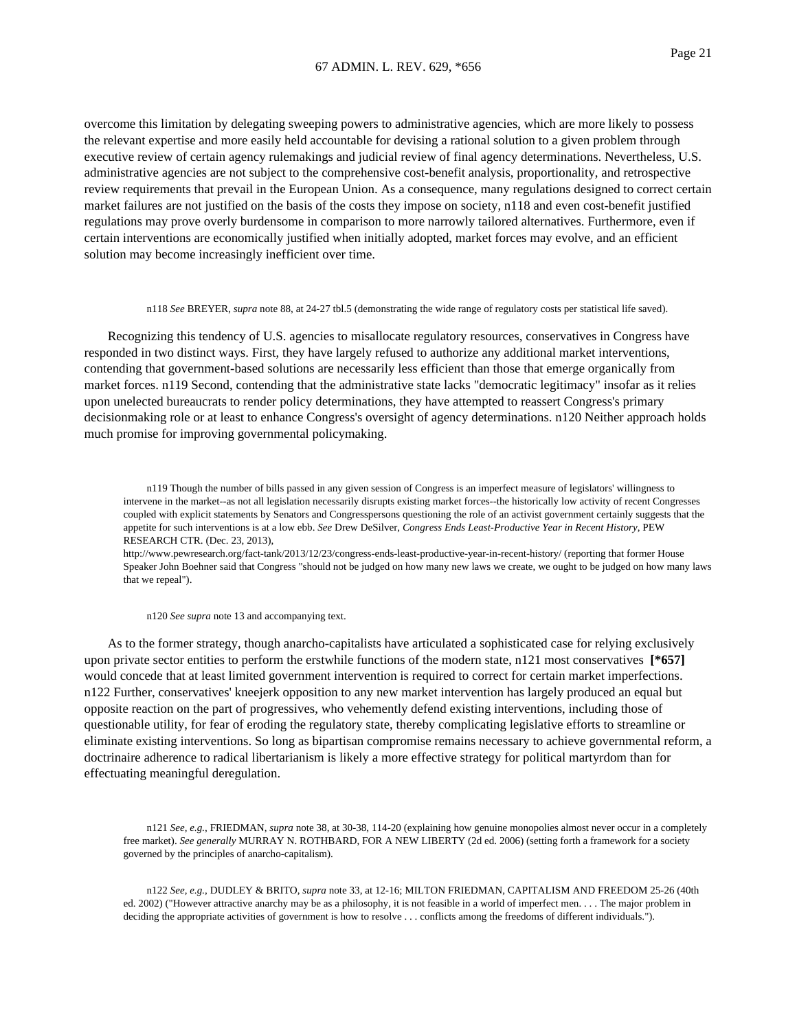overcome this limitation by delegating sweeping powers to administrative agencies, which are more likely to possess the relevant expertise and more easily held accountable for devising a rational solution to a given problem through executive review of certain agency rulemakings and judicial review of final agency determinations. Nevertheless, U.S. administrative agencies are not subject to the comprehensive cost-benefit analysis, proportionality, and retrospective review requirements that prevail in the European Union. As a consequence, many regulations designed to correct certain market failures are not justified on the basis of the costs they impose on society, n118 and even cost-benefit justified regulations may prove overly burdensome in comparison to more narrowly tailored alternatives. Furthermore, even if certain interventions are economically justified when initially adopted, market forces may evolve, and an efficient solution may become increasingly inefficient over time.

#### n118 *See* BREYER, *supra* note 88, at 24-27 tbl.5 (demonstrating the wide range of regulatory costs per statistical life saved).

Recognizing this tendency of U.S. agencies to misallocate regulatory resources, conservatives in Congress have responded in two distinct ways. First, they have largely refused to authorize any additional market interventions, contending that government-based solutions are necessarily less efficient than those that emerge organically from market forces. n119 Second, contending that the administrative state lacks "democratic legitimacy" insofar as it relies upon unelected bureaucrats to render policy determinations, they have attempted to reassert Congress's primary decisionmaking role or at least to enhance Congress's oversight of agency determinations. n120 Neither approach holds much promise for improving governmental policymaking.

n119 Though the number of bills passed in any given session of Congress is an imperfect measure of legislators' willingness to intervene in the market--as not all legislation necessarily disrupts existing market forces--the historically low activity of recent Congresses coupled with explicit statements by Senators and Congresspersons questioning the role of an activist government certainly suggests that the appetite for such interventions is at a low ebb. *See* Drew DeSilver, *Congress Ends Least-Productive Year in Recent History*, PEW RESEARCH CTR. (Dec. 23, 2013),

http://www.pewresearch.org/fact-tank/2013/12/23/congress-ends-least-productive-year-in-recent-history/ (reporting that former House Speaker John Boehner said that Congress "should not be judged on how many new laws we create, we ought to be judged on how many laws that we repeal").

n120 *See supra* note 13 and accompanying text.

As to the former strategy, though anarcho-capitalists have articulated a sophisticated case for relying exclusively upon private sector entities to perform the erstwhile functions of the modern state, n121 most conservatives **[\*657]** would concede that at least limited government intervention is required to correct for certain market imperfections. n122 Further, conservatives' kneejerk opposition to any new market intervention has largely produced an equal but opposite reaction on the part of progressives, who vehemently defend existing interventions, including those of questionable utility, for fear of eroding the regulatory state, thereby complicating legislative efforts to streamline or eliminate existing interventions. So long as bipartisan compromise remains necessary to achieve governmental reform, a doctrinaire adherence to radical libertarianism is likely a more effective strategy for political martyrdom than for effectuating meaningful deregulation.

n121 *See, e.g.*, FRIEDMAN, *supra* note 38, at 30-38, 114-20 (explaining how genuine monopolies almost never occur in a completely free market). *See generally* MURRAY N. ROTHBARD, FOR A NEW LIBERTY (2d ed. 2006) (setting forth a framework for a society governed by the principles of anarcho-capitalism).

n122 *See, e.g.*, DUDLEY & BRITO, *supra* note 33, at 12-16; MILTON FRIEDMAN, CAPITALISM AND FREEDOM 25-26 (40th ed. 2002) ("However attractive anarchy may be as a philosophy, it is not feasible in a world of imperfect men. . . . The major problem in deciding the appropriate activities of government is how to resolve . . . conflicts among the freedoms of different individuals.").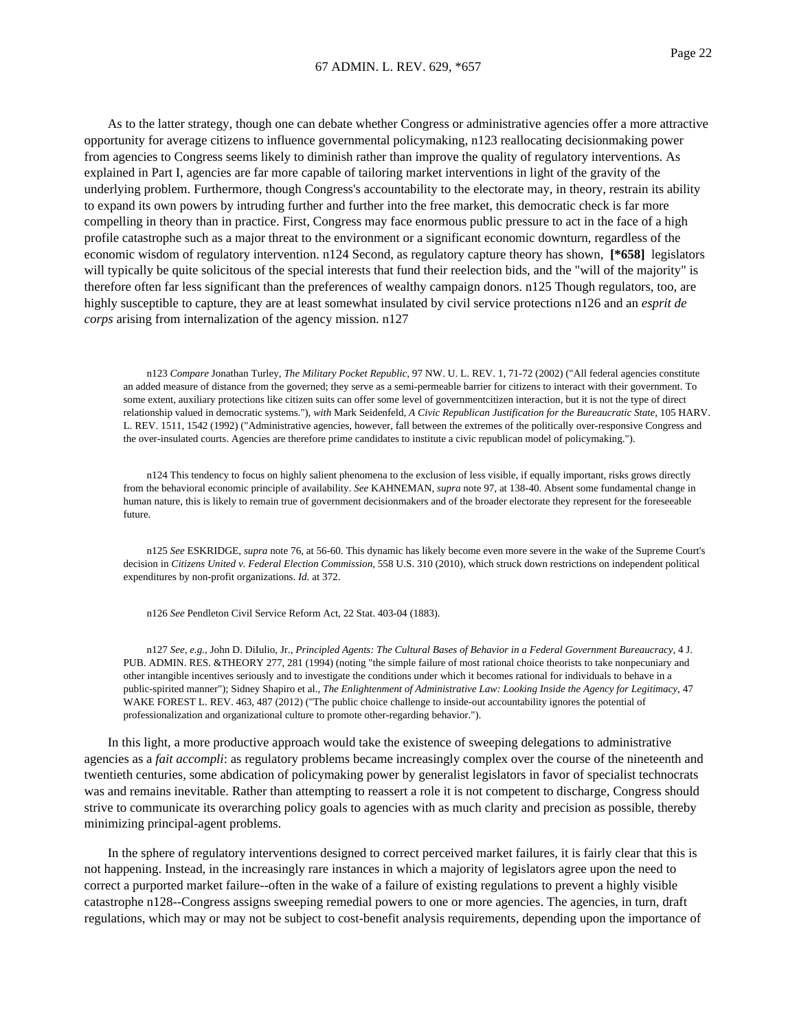As to the latter strategy, though one can debate whether Congress or administrative agencies offer a more attractive opportunity for average citizens to influence governmental policymaking, n123 reallocating decisionmaking power from agencies to Congress seems likely to diminish rather than improve the quality of regulatory interventions. As explained in Part I, agencies are far more capable of tailoring market interventions in light of the gravity of the underlying problem. Furthermore, though Congress's accountability to the electorate may, in theory, restrain its ability to expand its own powers by intruding further and further into the free market, this democratic check is far more compelling in theory than in practice. First, Congress may face enormous public pressure to act in the face of a high profile catastrophe such as a major threat to the environment or a significant economic downturn, regardless of the economic wisdom of regulatory intervention. n124 Second, as regulatory capture theory has shown, **[\*658]** legislators will typically be quite solicitous of the special interests that fund their reelection bids, and the "will of the majority" is therefore often far less significant than the preferences of wealthy campaign donors. n125 Though regulators, too, are highly susceptible to capture, they are at least somewhat insulated by civil service protections n126 and an *esprit de corps* arising from internalization of the agency mission. n127

n123 *Compare* Jonathan Turley, *The Military Pocket Republic*, 97 NW. U. L. REV. 1, 71-72 (2002) ("All federal agencies constitute an added measure of distance from the governed; they serve as a semi-permeable barrier for citizens to interact with their government. To some extent, auxiliary protections like citizen suits can offer some level of governmentcitizen interaction, but it is not the type of direct relationship valued in democratic systems."), *with* Mark Seidenfeld, *A Civic Republican Justification for the Bureaucratic State*, 105 HARV. L. REV. 1511, 1542 (1992) ("Administrative agencies, however, fall between the extremes of the politically over-responsive Congress and the over-insulated courts. Agencies are therefore prime candidates to institute a civic republican model of policymaking.").

n124 This tendency to focus on highly salient phenomena to the exclusion of less visible, if equally important, risks grows directly from the behavioral economic principle of availability. *See* KAHNEMAN, *supra* note 97, at 138-40. Absent some fundamental change in human nature, this is likely to remain true of government decisionmakers and of the broader electorate they represent for the foreseeable future.

n125 *See* ESKRIDGE, *supra* note 76, at 56-60. This dynamic has likely become even more severe in the wake of the Supreme Court's decision in *Citizens United v. Federal Election Commission*, 558 U.S. 310 (2010), which struck down restrictions on independent political expenditures by non-profit organizations. *Id.* at 372.

n126 *See* Pendleton Civil Service Reform Act, 22 Stat. 403-04 (1883).

n127 *See, e.g.*, John D. DiIulio, Jr., *Principled Agents: The Cultural Bases of Behavior in a Federal Government Bureaucracy*, 4 J. PUB. ADMIN. RES. &THEORY 277, 281 (1994) (noting "the simple failure of most rational choice theorists to take nonpecuniary and other intangible incentives seriously and to investigate the conditions under which it becomes rational for individuals to behave in a public-spirited manner"); Sidney Shapiro et al., *The Enlightenment of Administrative Law: Looking Inside the Agency for Legitimacy*, 47 WAKE FOREST L. REV. 463, 487 (2012) ("The public choice challenge to inside-out accountability ignores the potential of professionalization and organizational culture to promote other-regarding behavior.").

In this light, a more productive approach would take the existence of sweeping delegations to administrative agencies as a *fait accompli*: as regulatory problems became increasingly complex over the course of the nineteenth and twentieth centuries, some abdication of policymaking power by generalist legislators in favor of specialist technocrats was and remains inevitable. Rather than attempting to reassert a role it is not competent to discharge, Congress should strive to communicate its overarching policy goals to agencies with as much clarity and precision as possible, thereby minimizing principal-agent problems.

In the sphere of regulatory interventions designed to correct perceived market failures, it is fairly clear that this is not happening. Instead, in the increasingly rare instances in which a majority of legislators agree upon the need to correct a purported market failure--often in the wake of a failure of existing regulations to prevent a highly visible catastrophe n128--Congress assigns sweeping remedial powers to one or more agencies. The agencies, in turn, draft regulations, which may or may not be subject to cost-benefit analysis requirements, depending upon the importance of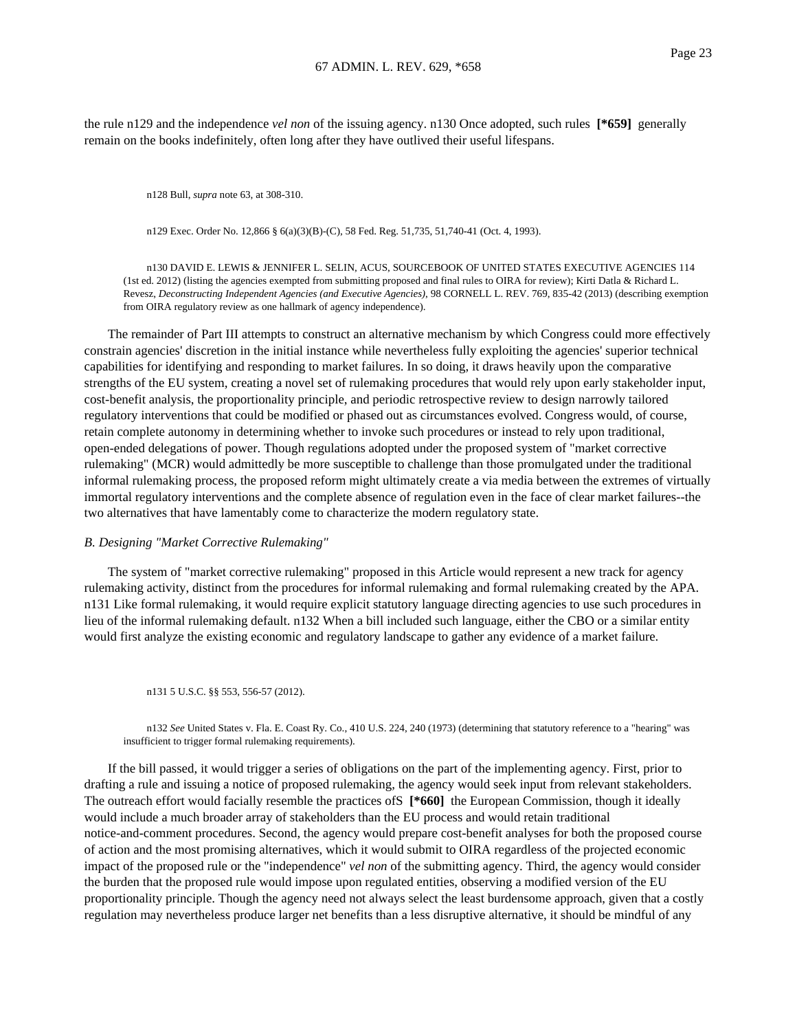the rule n129 and the independence *vel non* of the issuing agency. n130 Once adopted, such rules **[\*659]** generally remain on the books indefinitely, often long after they have outlived their useful lifespans.

n128 Bull, *supra* note 63, at 308-310.

n129 Exec. Order No. 12,866 § 6(a)(3)(B)-(C), 58 Fed. Reg. 51,735, 51,740-41 (Oct. 4, 1993).

n130 DAVID E. LEWIS & JENNIFER L. SELIN, ACUS, SOURCEBOOK OF UNITED STATES EXECUTIVE AGENCIES 114 (1st ed. 2012) (listing the agencies exempted from submitting proposed and final rules to OIRA for review); Kirti Datla & Richard L. Revesz, *Deconstructing Independent Agencies (and Executive Agencies)*, 98 CORNELL L. REV. 769, 835-42 (2013) (describing exemption from OIRA regulatory review as one hallmark of agency independence).

The remainder of Part III attempts to construct an alternative mechanism by which Congress could more effectively constrain agencies' discretion in the initial instance while nevertheless fully exploiting the agencies' superior technical capabilities for identifying and responding to market failures. In so doing, it draws heavily upon the comparative strengths of the EU system, creating a novel set of rulemaking procedures that would rely upon early stakeholder input, cost-benefit analysis, the proportionality principle, and periodic retrospective review to design narrowly tailored regulatory interventions that could be modified or phased out as circumstances evolved. Congress would, of course, retain complete autonomy in determining whether to invoke such procedures or instead to rely upon traditional, open-ended delegations of power. Though regulations adopted under the proposed system of "market corrective rulemaking" (MCR) would admittedly be more susceptible to challenge than those promulgated under the traditional informal rulemaking process, the proposed reform might ultimately create a via media between the extremes of virtually immortal regulatory interventions and the complete absence of regulation even in the face of clear market failures--the two alternatives that have lamentably come to characterize the modern regulatory state.

## *B. Designing "Market Corrective Rulemaking"*

The system of "market corrective rulemaking" proposed in this Article would represent a new track for agency rulemaking activity, distinct from the procedures for informal rulemaking and formal rulemaking created by the APA. n131 Like formal rulemaking, it would require explicit statutory language directing agencies to use such procedures in lieu of the informal rulemaking default. n132 When a bill included such language, either the CBO or a similar entity would first analyze the existing economic and regulatory landscape to gather any evidence of a market failure.

n131 5 U.S.C. §§ 553, 556-57 (2012).

n132 *See* United States v. Fla. E. Coast Ry. Co., 410 U.S. 224, 240 (1973) (determining that statutory reference to a "hearing" was insufficient to trigger formal rulemaking requirements).

If the bill passed, it would trigger a series of obligations on the part of the implementing agency. First, prior to drafting a rule and issuing a notice of proposed rulemaking, the agency would seek input from relevant stakeholders. The outreach effort would facially resemble the practices ofS **[\*660]** the European Commission, though it ideally would include a much broader array of stakeholders than the EU process and would retain traditional notice-and-comment procedures. Second, the agency would prepare cost-benefit analyses for both the proposed course of action and the most promising alternatives, which it would submit to OIRA regardless of the projected economic impact of the proposed rule or the "independence" *vel non* of the submitting agency. Third, the agency would consider the burden that the proposed rule would impose upon regulated entities, observing a modified version of the EU proportionality principle. Though the agency need not always select the least burdensome approach, given that a costly regulation may nevertheless produce larger net benefits than a less disruptive alternative, it should be mindful of any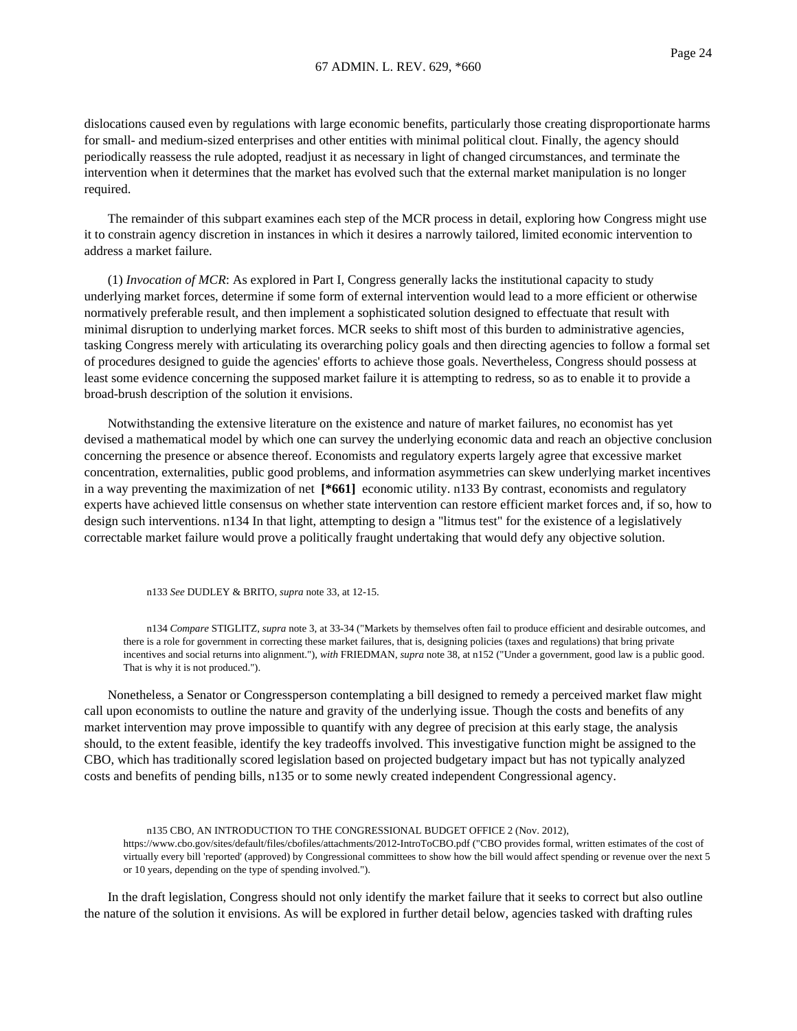dislocations caused even by regulations with large economic benefits, particularly those creating disproportionate harms for small- and medium-sized enterprises and other entities with minimal political clout. Finally, the agency should periodically reassess the rule adopted, readjust it as necessary in light of changed circumstances, and terminate the intervention when it determines that the market has evolved such that the external market manipulation is no longer required.

The remainder of this subpart examines each step of the MCR process in detail, exploring how Congress might use it to constrain agency discretion in instances in which it desires a narrowly tailored, limited economic intervention to address a market failure.

(1) *Invocation of MCR*: As explored in Part I, Congress generally lacks the institutional capacity to study underlying market forces, determine if some form of external intervention would lead to a more efficient or otherwise normatively preferable result, and then implement a sophisticated solution designed to effectuate that result with minimal disruption to underlying market forces. MCR seeks to shift most of this burden to administrative agencies, tasking Congress merely with articulating its overarching policy goals and then directing agencies to follow a formal set of procedures designed to guide the agencies' efforts to achieve those goals. Nevertheless, Congress should possess at least some evidence concerning the supposed market failure it is attempting to redress, so as to enable it to provide a broad-brush description of the solution it envisions.

Notwithstanding the extensive literature on the existence and nature of market failures, no economist has yet devised a mathematical model by which one can survey the underlying economic data and reach an objective conclusion concerning the presence or absence thereof. Economists and regulatory experts largely agree that excessive market concentration, externalities, public good problems, and information asymmetries can skew underlying market incentives in a way preventing the maximization of net **[\*661]** economic utility. n133 By contrast, economists and regulatory experts have achieved little consensus on whether state intervention can restore efficient market forces and, if so, how to design such interventions. n134 In that light, attempting to design a "litmus test" for the existence of a legislatively correctable market failure would prove a politically fraught undertaking that would defy any objective solution.

n133 *See* DUDLEY & BRITO, *supra* note 33, at 12-15.

n134 *Compare* STIGLITZ, *supra* note 3, at 33-34 ("Markets by themselves often fail to produce efficient and desirable outcomes, and there is a role for government in correcting these market failures, that is, designing policies (taxes and regulations) that bring private incentives and social returns into alignment."), *with* FRIEDMAN, *supra* note 38, at n152 ("Under a government, good law is a public good. That is why it is not produced.").

Nonetheless, a Senator or Congressperson contemplating a bill designed to remedy a perceived market flaw might call upon economists to outline the nature and gravity of the underlying issue. Though the costs and benefits of any market intervention may prove impossible to quantify with any degree of precision at this early stage, the analysis should, to the extent feasible, identify the key tradeoffs involved. This investigative function might be assigned to the CBO, which has traditionally scored legislation based on projected budgetary impact but has not typically analyzed costs and benefits of pending bills, n135 or to some newly created independent Congressional agency.

n135 CBO, AN INTRODUCTION TO THE CONGRESSIONAL BUDGET OFFICE 2 (Nov. 2012), https://www.cbo.gov/sites/default/files/cbofiles/attachments/2012-IntroToCBO.pdf ("CBO provides formal, written estimates of the cost of virtually every bill 'reported' (approved) by Congressional committees to show how the bill would affect spending or revenue over the next 5 or 10 years, depending on the type of spending involved.").

In the draft legislation, Congress should not only identify the market failure that it seeks to correct but also outline the nature of the solution it envisions. As will be explored in further detail below, agencies tasked with drafting rules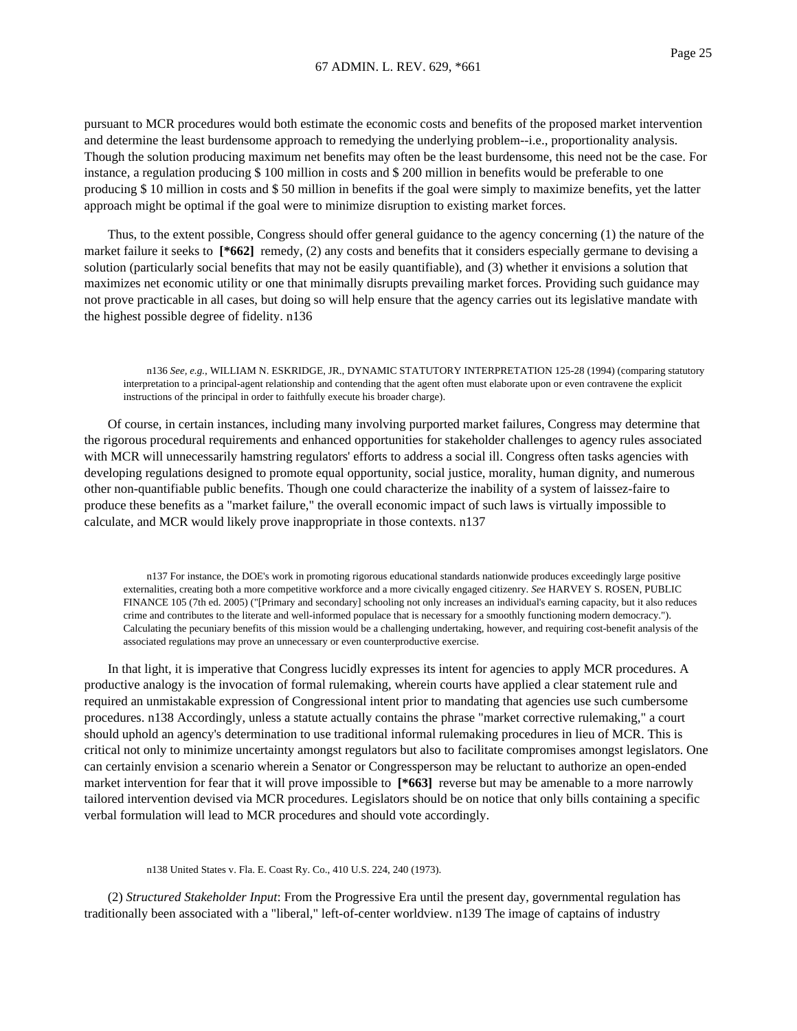pursuant to MCR procedures would both estimate the economic costs and benefits of the proposed market intervention and determine the least burdensome approach to remedying the underlying problem--i.e., proportionality analysis. Though the solution producing maximum net benefits may often be the least burdensome, this need not be the case. For instance, a regulation producing \$ 100 million in costs and \$ 200 million in benefits would be preferable to one producing \$ 10 million in costs and \$ 50 million in benefits if the goal were simply to maximize benefits, yet the latter approach might be optimal if the goal were to minimize disruption to existing market forces.

Thus, to the extent possible, Congress should offer general guidance to the agency concerning (1) the nature of the market failure it seeks to  $[ *662]$  remedy, (2) any costs and benefits that it considers especially germane to devising a solution (particularly social benefits that may not be easily quantifiable), and (3) whether it envisions a solution that maximizes net economic utility or one that minimally disrupts prevailing market forces. Providing such guidance may not prove practicable in all cases, but doing so will help ensure that the agency carries out its legislative mandate with the highest possible degree of fidelity. n136

n136 *See, e.g.*, WILLIAM N. ESKRIDGE, JR., DYNAMIC STATUTORY INTERPRETATION 125-28 (1994) (comparing statutory interpretation to a principal-agent relationship and contending that the agent often must elaborate upon or even contravene the explicit instructions of the principal in order to faithfully execute his broader charge).

Of course, in certain instances, including many involving purported market failures, Congress may determine that the rigorous procedural requirements and enhanced opportunities for stakeholder challenges to agency rules associated with MCR will unnecessarily hamstring regulators' efforts to address a social ill. Congress often tasks agencies with developing regulations designed to promote equal opportunity, social justice, morality, human dignity, and numerous other non-quantifiable public benefits. Though one could characterize the inability of a system of laissez-faire to produce these benefits as a "market failure," the overall economic impact of such laws is virtually impossible to calculate, and MCR would likely prove inappropriate in those contexts. n137

n137 For instance, the DOE's work in promoting rigorous educational standards nationwide produces exceedingly large positive externalities, creating both a more competitive workforce and a more civically engaged citizenry. *See* HARVEY S. ROSEN, PUBLIC FINANCE 105 (7th ed. 2005) ("[Primary and secondary] schooling not only increases an individual's earning capacity, but it also reduces crime and contributes to the literate and well-informed populace that is necessary for a smoothly functioning modern democracy."). Calculating the pecuniary benefits of this mission would be a challenging undertaking, however, and requiring cost-benefit analysis of the associated regulations may prove an unnecessary or even counterproductive exercise.

In that light, it is imperative that Congress lucidly expresses its intent for agencies to apply MCR procedures. A productive analogy is the invocation of formal rulemaking, wherein courts have applied a clear statement rule and required an unmistakable expression of Congressional intent prior to mandating that agencies use such cumbersome procedures. n138 Accordingly, unless a statute actually contains the phrase "market corrective rulemaking," a court should uphold an agency's determination to use traditional informal rulemaking procedures in lieu of MCR. This is critical not only to minimize uncertainty amongst regulators but also to facilitate compromises amongst legislators. One can certainly envision a scenario wherein a Senator or Congressperson may be reluctant to authorize an open-ended market intervention for fear that it will prove impossible to **[\*663]** reverse but may be amenable to a more narrowly tailored intervention devised via MCR procedures. Legislators should be on notice that only bills containing a specific verbal formulation will lead to MCR procedures and should vote accordingly.

n138 United States v. Fla. E. Coast Ry. Co., 410 U.S. 224, 240 (1973).

(2) *Structured Stakeholder Input*: From the Progressive Era until the present day, governmental regulation has traditionally been associated with a "liberal," left-of-center worldview. n139 The image of captains of industry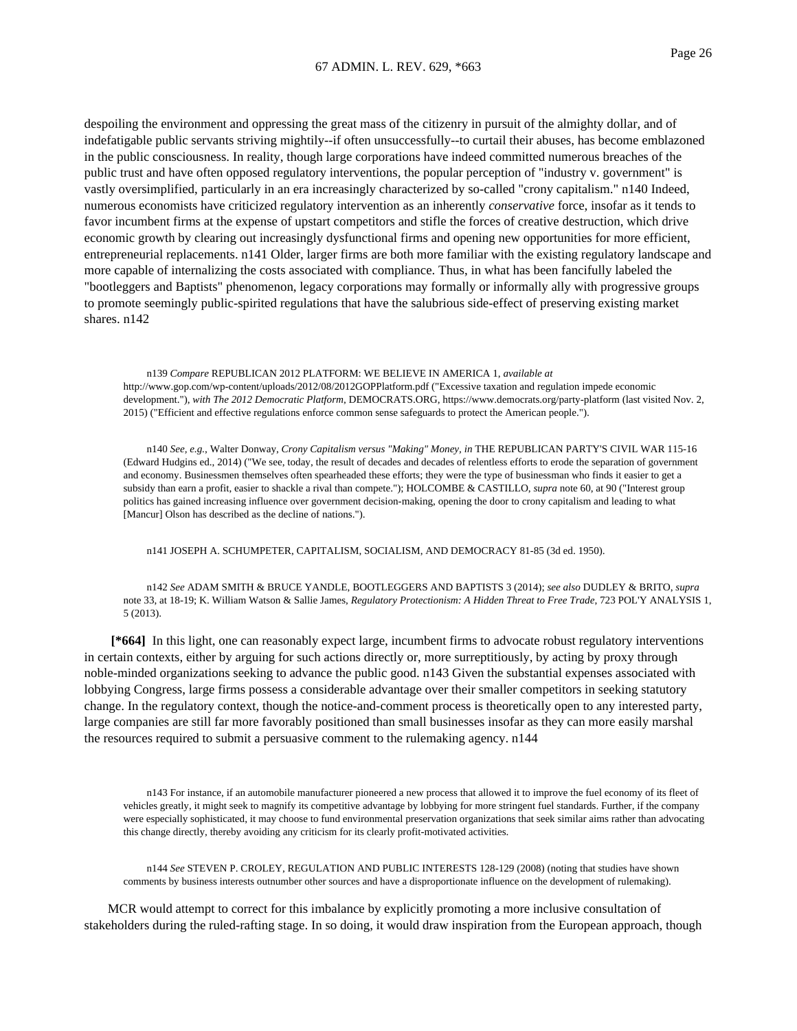despoiling the environment and oppressing the great mass of the citizenry in pursuit of the almighty dollar, and of indefatigable public servants striving mightily--if often unsuccessfully--to curtail their abuses, has become emblazoned in the public consciousness. In reality, though large corporations have indeed committed numerous breaches of the public trust and have often opposed regulatory interventions, the popular perception of "industry v. government" is vastly oversimplified, particularly in an era increasingly characterized by so-called "crony capitalism." n140 Indeed, numerous economists have criticized regulatory intervention as an inherently *conservative* force, insofar as it tends to favor incumbent firms at the expense of upstart competitors and stifle the forces of creative destruction, which drive economic growth by clearing out increasingly dysfunctional firms and opening new opportunities for more efficient, entrepreneurial replacements. n141 Older, larger firms are both more familiar with the existing regulatory landscape and more capable of internalizing the costs associated with compliance. Thus, in what has been fancifully labeled the "bootleggers and Baptists" phenomenon, legacy corporations may formally or informally ally with progressive groups to promote seemingly public-spirited regulations that have the salubrious side-effect of preserving existing market shares. n142

n139 *Compare* REPUBLICAN 2012 PLATFORM: WE BELIEVE IN AMERICA 1, *available at* http://www.gop.com/wp-content/uploads/2012/08/2012GOPPlatform.pdf ("Excessive taxation and regulation impede economic development."), *with The 2012 Democratic Platform*, DEMOCRATS.ORG, https://www.democrats.org/party-platform (last visited Nov. 2, 2015) ("Efficient and effective regulations enforce common sense safeguards to protect the American people.").

n140 *See, e.g.*, Walter Donway, *Crony Capitalism versus "Making" Money, in* THE REPUBLICAN PARTY'S CIVIL WAR 115-16 (Edward Hudgins ed., 2014) ("We see, today, the result of decades and decades of relentless efforts to erode the separation of government and economy. Businessmen themselves often spearheaded these efforts; they were the type of businessman who finds it easier to get a subsidy than earn a profit, easier to shackle a rival than compete."); HOLCOMBE & CASTILLO, *supra* note 60, at 90 ("Interest group politics has gained increasing influence over government decision-making, opening the door to crony capitalism and leading to what [Mancur] Olson has described as the decline of nations.").

n141 JOSEPH A. SCHUMPETER, CAPITALISM, SOCIALISM, AND DEMOCRACY 81-85 (3d ed. 1950).

n142 *See* ADAM SMITH & BRUCE YANDLE, BOOTLEGGERS AND BAPTISTS 3 (2014); *see also* DUDLEY & BRITO, *supra* note 33, at 18-19; K. William Watson & Sallie James, *Regulatory Protectionism: A Hidden Threat to Free Trade*, 723 POL'Y ANALYSIS 1, 5 (2013).

**[\*664]** In this light, one can reasonably expect large, incumbent firms to advocate robust regulatory interventions in certain contexts, either by arguing for such actions directly or, more surreptitiously, by acting by proxy through noble-minded organizations seeking to advance the public good. n143 Given the substantial expenses associated with lobbying Congress, large firms possess a considerable advantage over their smaller competitors in seeking statutory change. In the regulatory context, though the notice-and-comment process is theoretically open to any interested party, large companies are still far more favorably positioned than small businesses insofar as they can more easily marshal the resources required to submit a persuasive comment to the rulemaking agency. n144

n143 For instance, if an automobile manufacturer pioneered a new process that allowed it to improve the fuel economy of its fleet of vehicles greatly, it might seek to magnify its competitive advantage by lobbying for more stringent fuel standards. Further, if the company were especially sophisticated, it may choose to fund environmental preservation organizations that seek similar aims rather than advocating this change directly, thereby avoiding any criticism for its clearly profit-motivated activities.

n144 *See* STEVEN P. CROLEY, REGULATION AND PUBLIC INTERESTS 128-129 (2008) (noting that studies have shown comments by business interests outnumber other sources and have a disproportionate influence on the development of rulemaking).

MCR would attempt to correct for this imbalance by explicitly promoting a more inclusive consultation of stakeholders during the ruled-rafting stage. In so doing, it would draw inspiration from the European approach, though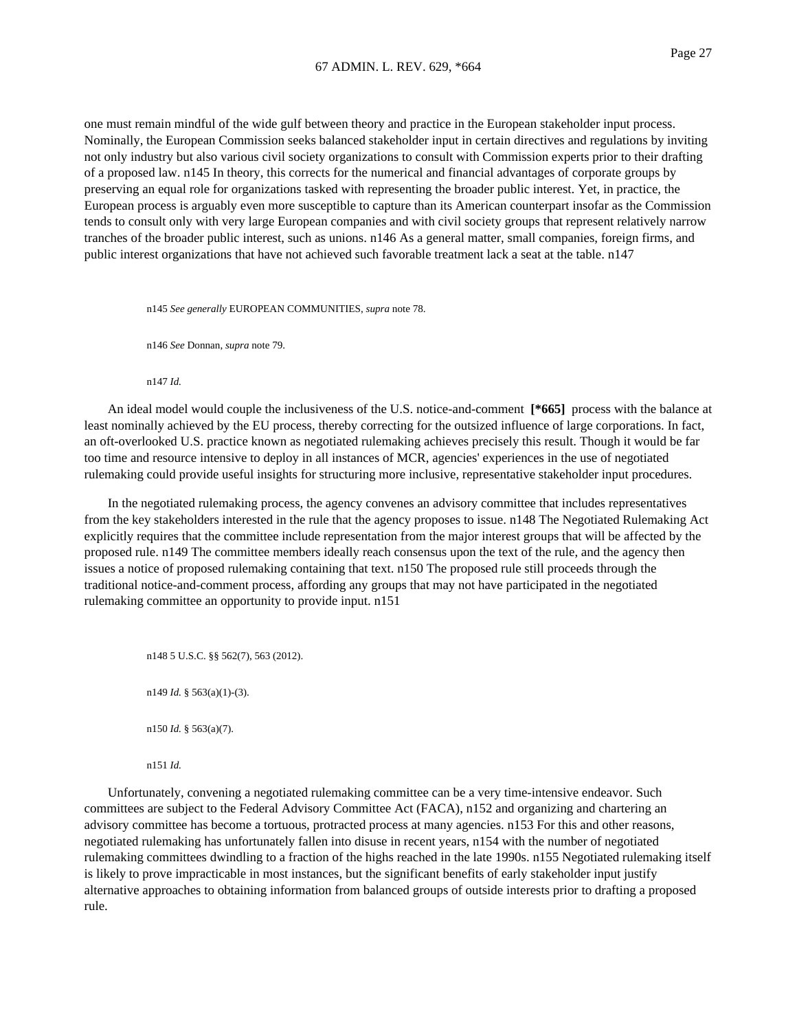one must remain mindful of the wide gulf between theory and practice in the European stakeholder input process. Nominally, the European Commission seeks balanced stakeholder input in certain directives and regulations by inviting not only industry but also various civil society organizations to consult with Commission experts prior to their drafting of a proposed law. n145 In theory, this corrects for the numerical and financial advantages of corporate groups by preserving an equal role for organizations tasked with representing the broader public interest. Yet, in practice, the European process is arguably even more susceptible to capture than its American counterpart insofar as the Commission tends to consult only with very large European companies and with civil society groups that represent relatively narrow tranches of the broader public interest, such as unions. n146 As a general matter, small companies, foreign firms, and public interest organizations that have not achieved such favorable treatment lack a seat at the table. n147

n145 *See generally* EUROPEAN COMMUNITIES, *supra* note 78.

n146 *See* Donnan, *supra* note 79.

n147 *Id.*

An ideal model would couple the inclusiveness of the U.S. notice-and-comment **[\*665]** process with the balance at least nominally achieved by the EU process, thereby correcting for the outsized influence of large corporations. In fact, an oft-overlooked U.S. practice known as negotiated rulemaking achieves precisely this result. Though it would be far too time and resource intensive to deploy in all instances of MCR, agencies' experiences in the use of negotiated rulemaking could provide useful insights for structuring more inclusive, representative stakeholder input procedures.

In the negotiated rulemaking process, the agency convenes an advisory committee that includes representatives from the key stakeholders interested in the rule that the agency proposes to issue. n148 The Negotiated Rulemaking Act explicitly requires that the committee include representation from the major interest groups that will be affected by the proposed rule. n149 The committee members ideally reach consensus upon the text of the rule, and the agency then issues a notice of proposed rulemaking containing that text. n150 The proposed rule still proceeds through the traditional notice-and-comment process, affording any groups that may not have participated in the negotiated rulemaking committee an opportunity to provide input. n151

n148 5 U.S.C. §§ 562(7), 563 (2012). n149 *Id.* § 563(a)(1)-(3). n150 *Id.* § 563(a)(7). n151 *Id.*

Unfortunately, convening a negotiated rulemaking committee can be a very time-intensive endeavor. Such committees are subject to the Federal Advisory Committee Act (FACA), n152 and organizing and chartering an advisory committee has become a tortuous, protracted process at many agencies. n153 For this and other reasons, negotiated rulemaking has unfortunately fallen into disuse in recent years, n154 with the number of negotiated rulemaking committees dwindling to a fraction of the highs reached in the late 1990s. n155 Negotiated rulemaking itself is likely to prove impracticable in most instances, but the significant benefits of early stakeholder input justify alternative approaches to obtaining information from balanced groups of outside interests prior to drafting a proposed rule.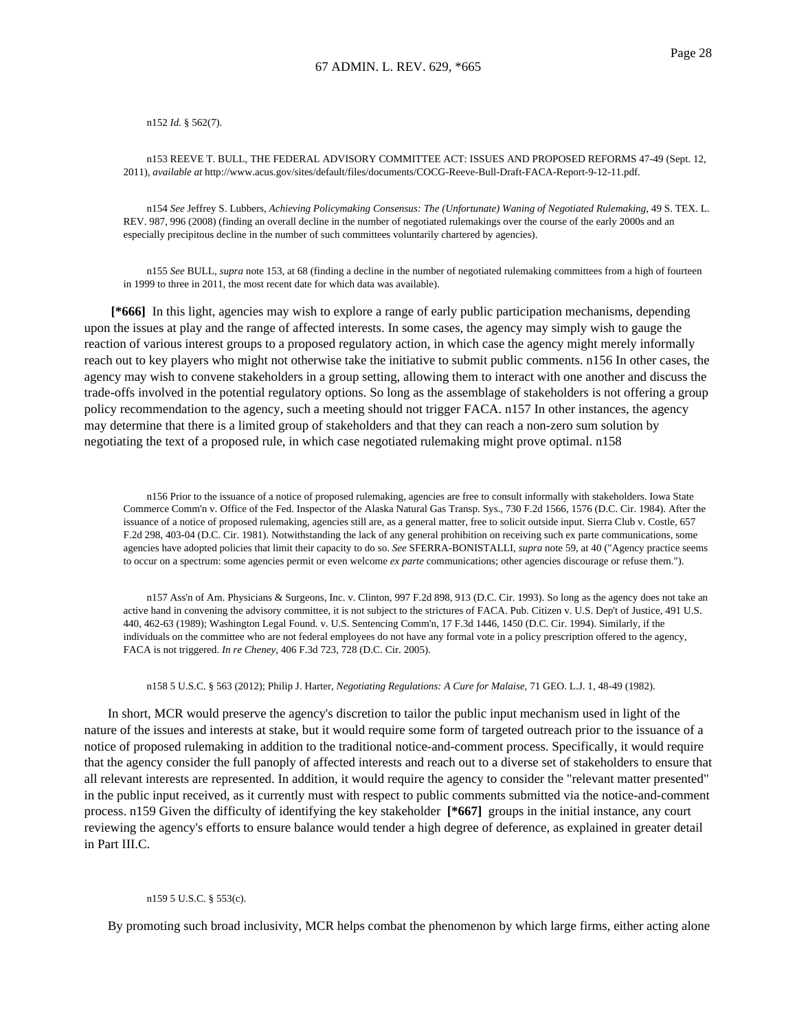n152 *Id.* § 562(7).

n153 REEVE T. BULL, THE FEDERAL ADVISORY COMMITTEE ACT: ISSUES AND PROPOSED REFORMS 47-49 (Sept. 12, 2011), *available at* http://www.acus.gov/sites/default/files/documents/COCG-Reeve-Bull-Draft-FACA-Report-9-12-11.pdf.

n154 *See* Jeffrey S. Lubbers, *Achieving Policymaking Consensus: The (Unfortunate) Waning of Negotiated Rulemaking*, 49 S. TEX. L. REV. 987, 996 (2008) (finding an overall decline in the number of negotiated rulemakings over the course of the early 2000s and an especially precipitous decline in the number of such committees voluntarily chartered by agencies).

n155 *See* BULL, *supra* note 153, at 68 (finding a decline in the number of negotiated rulemaking committees from a high of fourteen in 1999 to three in 2011, the most recent date for which data was available).

**[\*666]** In this light, agencies may wish to explore a range of early public participation mechanisms, depending upon the issues at play and the range of affected interests. In some cases, the agency may simply wish to gauge the reaction of various interest groups to a proposed regulatory action, in which case the agency might merely informally reach out to key players who might not otherwise take the initiative to submit public comments. n156 In other cases, the agency may wish to convene stakeholders in a group setting, allowing them to interact with one another and discuss the trade-offs involved in the potential regulatory options. So long as the assemblage of stakeholders is not offering a group policy recommendation to the agency, such a meeting should not trigger FACA. n157 In other instances, the agency may determine that there is a limited group of stakeholders and that they can reach a non-zero sum solution by negotiating the text of a proposed rule, in which case negotiated rulemaking might prove optimal. n158

n156 Prior to the issuance of a notice of proposed rulemaking, agencies are free to consult informally with stakeholders. Iowa State Commerce Comm'n v. Office of the Fed. Inspector of the Alaska Natural Gas Transp. Sys., 730 F.2d 1566, 1576 (D.C. Cir. 1984). After the issuance of a notice of proposed rulemaking, agencies still are, as a general matter, free to solicit outside input. Sierra Club v. Costle, 657 F.2d 298, 403-04 (D.C. Cir. 1981). Notwithstanding the lack of any general prohibition on receiving such ex parte communications, some agencies have adopted policies that limit their capacity to do so. *See* SFERRA-BONISTALLI, *supra* note 59, at 40 ("Agency practice seems to occur on a spectrum: some agencies permit or even welcome *ex parte* communications; other agencies discourage or refuse them.").

n157 Ass'n of Am. Physicians & Surgeons, Inc. v. Clinton, 997 F.2d 898, 913 (D.C. Cir. 1993). So long as the agency does not take an active hand in convening the advisory committee, it is not subject to the strictures of FACA. Pub. Citizen v. U.S. Dep't of Justice, 491 U.S. 440, 462-63 (1989); Washington Legal Found. v. U.S. Sentencing Comm'n, 17 F.3d 1446, 1450 (D.C. Cir. 1994). Similarly, if the individuals on the committee who are not federal employees do not have any formal vote in a policy prescription offered to the agency, FACA is not triggered. *In re Cheney*, 406 F.3d 723, 728 (D.C. Cir. 2005).

n158 5 U.S.C. § 563 (2012); Philip J. Harter, *Negotiating Regulations: A Cure for Malaise*, 71 GEO. L.J. 1, 48-49 (1982).

In short, MCR would preserve the agency's discretion to tailor the public input mechanism used in light of the nature of the issues and interests at stake, but it would require some form of targeted outreach prior to the issuance of a notice of proposed rulemaking in addition to the traditional notice-and-comment process. Specifically, it would require that the agency consider the full panoply of affected interests and reach out to a diverse set of stakeholders to ensure that all relevant interests are represented. In addition, it would require the agency to consider the "relevant matter presented" in the public input received, as it currently must with respect to public comments submitted via the notice-and-comment process. n159 Given the difficulty of identifying the key stakeholder **[\*667]** groups in the initial instance, any court reviewing the agency's efforts to ensure balance would tender a high degree of deference, as explained in greater detail in Part III.C.

#### n159 5 U.S.C. § 553(c).

By promoting such broad inclusivity, MCR helps combat the phenomenon by which large firms, either acting alone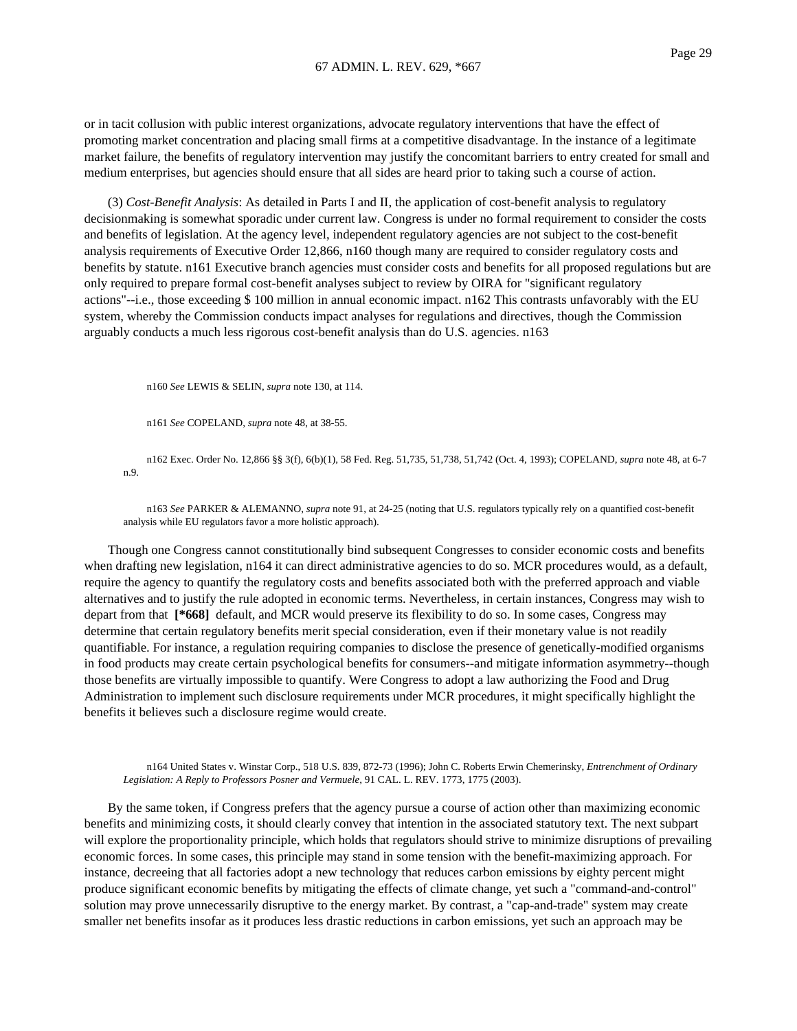or in tacit collusion with public interest organizations, advocate regulatory interventions that have the effect of promoting market concentration and placing small firms at a competitive disadvantage. In the instance of a legitimate market failure, the benefits of regulatory intervention may justify the concomitant barriers to entry created for small and medium enterprises, but agencies should ensure that all sides are heard prior to taking such a course of action.

(3) *Cost-Benefit Analysis*: As detailed in Parts I and II, the application of cost-benefit analysis to regulatory decisionmaking is somewhat sporadic under current law. Congress is under no formal requirement to consider the costs and benefits of legislation. At the agency level, independent regulatory agencies are not subject to the cost-benefit analysis requirements of Executive Order 12,866, n160 though many are required to consider regulatory costs and benefits by statute. n161 Executive branch agencies must consider costs and benefits for all proposed regulations but are only required to prepare formal cost-benefit analyses subject to review by OIRA for "significant regulatory actions"--i.e., those exceeding \$ 100 million in annual economic impact. n162 This contrasts unfavorably with the EU system, whereby the Commission conducts impact analyses for regulations and directives, though the Commission arguably conducts a much less rigorous cost-benefit analysis than do U.S. agencies. n163

n160 *See* LEWIS & SELIN, *supra* note 130, at 114.

n161 *See* COPELAND, *supra* note 48, at 38-55.

n162 Exec. Order No. 12,866 §§ 3(f), 6(b)(1), 58 Fed. Reg. 51,735, 51,738, 51,742 (Oct. 4, 1993); COPELAND, *supra* note 48, at 6-7 n.9.

n163 *See* PARKER & ALEMANNO, *supra* note 91, at 24-25 (noting that U.S. regulators typically rely on a quantified cost-benefit analysis while EU regulators favor a more holistic approach).

Though one Congress cannot constitutionally bind subsequent Congresses to consider economic costs and benefits when drafting new legislation, n164 it can direct administrative agencies to do so. MCR procedures would, as a default, require the agency to quantify the regulatory costs and benefits associated both with the preferred approach and viable alternatives and to justify the rule adopted in economic terms. Nevertheless, in certain instances, Congress may wish to depart from that **[\*668]** default, and MCR would preserve its flexibility to do so. In some cases, Congress may determine that certain regulatory benefits merit special consideration, even if their monetary value is not readily quantifiable. For instance, a regulation requiring companies to disclose the presence of genetically-modified organisms in food products may create certain psychological benefits for consumers--and mitigate information asymmetry--though those benefits are virtually impossible to quantify. Were Congress to adopt a law authorizing the Food and Drug Administration to implement such disclosure requirements under MCR procedures, it might specifically highlight the benefits it believes such a disclosure regime would create.

n164 United States v. Winstar Corp., 518 U.S. 839, 872-73 (1996); John C. Roberts Erwin Chemerinsky, *Entrenchment of Ordinary Legislation: A Reply to Professors Posner and Vermuele*, 91 CAL. L. REV. 1773, 1775 (2003).

By the same token, if Congress prefers that the agency pursue a course of action other than maximizing economic benefits and minimizing costs, it should clearly convey that intention in the associated statutory text. The next subpart will explore the proportionality principle, which holds that regulators should strive to minimize disruptions of prevailing economic forces. In some cases, this principle may stand in some tension with the benefit-maximizing approach. For instance, decreeing that all factories adopt a new technology that reduces carbon emissions by eighty percent might produce significant economic benefits by mitigating the effects of climate change, yet such a "command-and-control" solution may prove unnecessarily disruptive to the energy market. By contrast, a "cap-and-trade" system may create smaller net benefits insofar as it produces less drastic reductions in carbon emissions, yet such an approach may be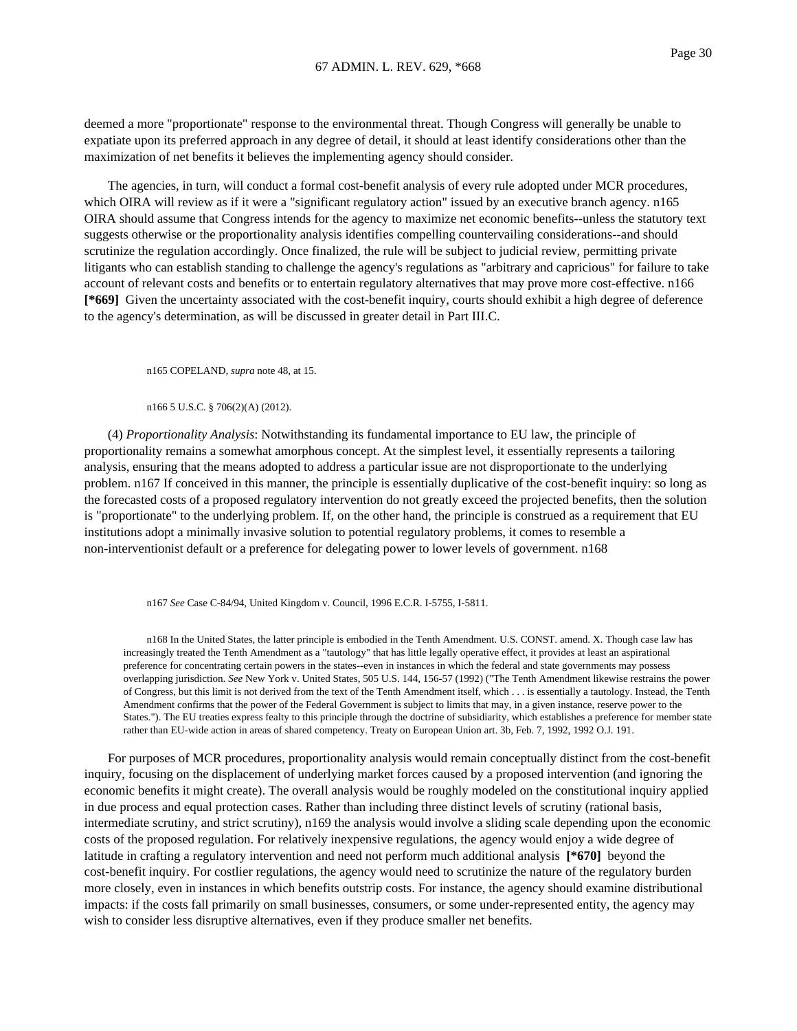deemed a more "proportionate" response to the environmental threat. Though Congress will generally be unable to expatiate upon its preferred approach in any degree of detail, it should at least identify considerations other than the maximization of net benefits it believes the implementing agency should consider.

The agencies, in turn, will conduct a formal cost-benefit analysis of every rule adopted under MCR procedures, which OIRA will review as if it were a "significant regulatory action" issued by an executive branch agency. n165 OIRA should assume that Congress intends for the agency to maximize net economic benefits--unless the statutory text suggests otherwise or the proportionality analysis identifies compelling countervailing considerations--and should scrutinize the regulation accordingly. Once finalized, the rule will be subject to judicial review, permitting private litigants who can establish standing to challenge the agency's regulations as "arbitrary and capricious" for failure to take account of relevant costs and benefits or to entertain regulatory alternatives that may prove more cost-effective. n166 **[\*669]** Given the uncertainty associated with the cost-benefit inquiry, courts should exhibit a high degree of deference to the agency's determination, as will be discussed in greater detail in Part III.C.

n165 COPELAND, *supra* note 48, at 15.

n166 5 U.S.C. § 706(2)(A) (2012).

(4) *Proportionality Analysis*: Notwithstanding its fundamental importance to EU law, the principle of proportionality remains a somewhat amorphous concept. At the simplest level, it essentially represents a tailoring analysis, ensuring that the means adopted to address a particular issue are not disproportionate to the underlying problem. n167 If conceived in this manner, the principle is essentially duplicative of the cost-benefit inquiry: so long as the forecasted costs of a proposed regulatory intervention do not greatly exceed the projected benefits, then the solution is "proportionate" to the underlying problem. If, on the other hand, the principle is construed as a requirement that EU institutions adopt a minimally invasive solution to potential regulatory problems, it comes to resemble a non-interventionist default or a preference for delegating power to lower levels of government. n168

n167 *See* Case C-84/94, United Kingdom v. Council, 1996 E.C.R. I-5755, I-5811.

n168 In the United States, the latter principle is embodied in the Tenth Amendment. U.S. CONST. amend. X. Though case law has increasingly treated the Tenth Amendment as a "tautology" that has little legally operative effect, it provides at least an aspirational preference for concentrating certain powers in the states--even in instances in which the federal and state governments may possess overlapping jurisdiction. *See* New York v. United States, 505 U.S. 144, 156-57 (1992) ("The Tenth Amendment likewise restrains the power of Congress, but this limit is not derived from the text of the Tenth Amendment itself, which . . . is essentially a tautology. Instead, the Tenth Amendment confirms that the power of the Federal Government is subject to limits that may, in a given instance, reserve power to the States."). The EU treaties express fealty to this principle through the doctrine of subsidiarity, which establishes a preference for member state rather than EU-wide action in areas of shared competency. Treaty on European Union art. 3b, Feb. 7, 1992, 1992 O.J. 191.

For purposes of MCR procedures, proportionality analysis would remain conceptually distinct from the cost-benefit inquiry, focusing on the displacement of underlying market forces caused by a proposed intervention (and ignoring the economic benefits it might create). The overall analysis would be roughly modeled on the constitutional inquiry applied in due process and equal protection cases. Rather than including three distinct levels of scrutiny (rational basis, intermediate scrutiny, and strict scrutiny), n169 the analysis would involve a sliding scale depending upon the economic costs of the proposed regulation. For relatively inexpensive regulations, the agency would enjoy a wide degree of latitude in crafting a regulatory intervention and need not perform much additional analysis **[\*670]** beyond the cost-benefit inquiry. For costlier regulations, the agency would need to scrutinize the nature of the regulatory burden more closely, even in instances in which benefits outstrip costs. For instance, the agency should examine distributional impacts: if the costs fall primarily on small businesses, consumers, or some under-represented entity, the agency may wish to consider less disruptive alternatives, even if they produce smaller net benefits.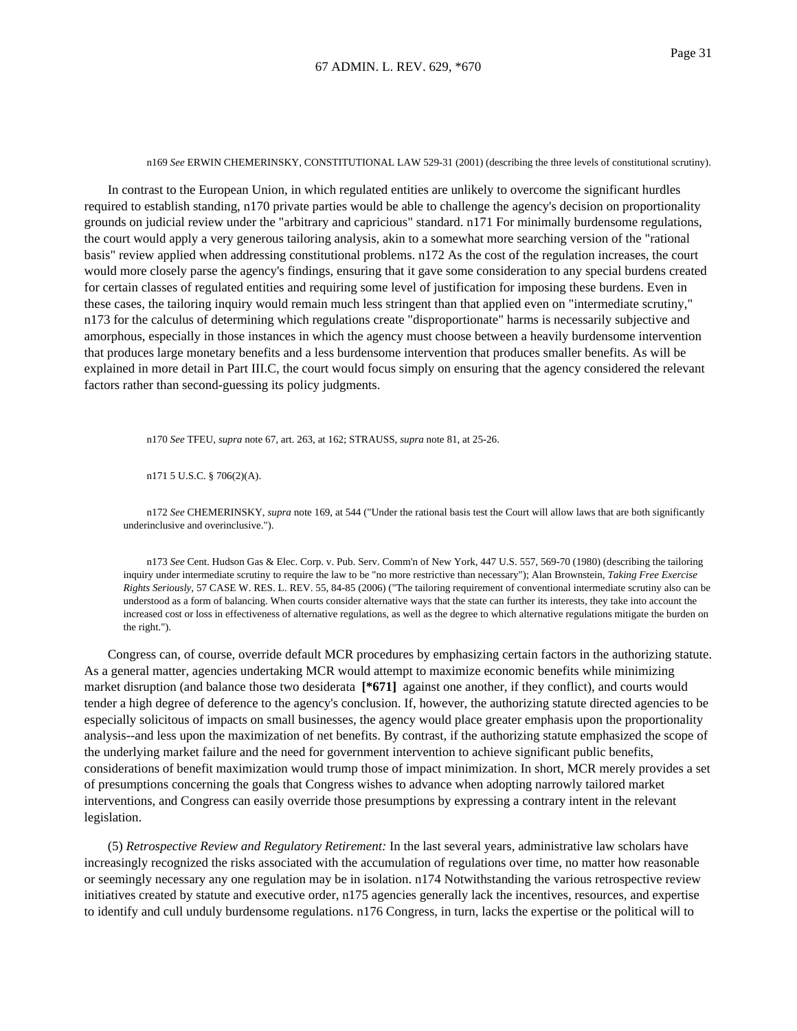#### n169 *See* ERWIN CHEMERINSKY, CONSTITUTIONAL LAW 529-31 (2001) (describing the three levels of constitutional scrutiny).

In contrast to the European Union, in which regulated entities are unlikely to overcome the significant hurdles required to establish standing, n170 private parties would be able to challenge the agency's decision on proportionality grounds on judicial review under the "arbitrary and capricious" standard. n171 For minimally burdensome regulations, the court would apply a very generous tailoring analysis, akin to a somewhat more searching version of the "rational basis" review applied when addressing constitutional problems. n172 As the cost of the regulation increases, the court would more closely parse the agency's findings, ensuring that it gave some consideration to any special burdens created for certain classes of regulated entities and requiring some level of justification for imposing these burdens. Even in these cases, the tailoring inquiry would remain much less stringent than that applied even on "intermediate scrutiny," n173 for the calculus of determining which regulations create "disproportionate" harms is necessarily subjective and amorphous, especially in those instances in which the agency must choose between a heavily burdensome intervention that produces large monetary benefits and a less burdensome intervention that produces smaller benefits. As will be explained in more detail in Part III.C, the court would focus simply on ensuring that the agency considered the relevant factors rather than second-guessing its policy judgments.

n170 *See* TFEU, *supra* note 67, art. 263, at 162; STRAUSS, *supra* note 81, at 25-26.

n171 5 U.S.C. § 706(2)(A).

n172 *See* CHEMERINSKY, *supra* note 169, at 544 ("Under the rational basis test the Court will allow laws that are both significantly underinclusive and overinclusive.").

n173 *See* Cent. Hudson Gas & Elec. Corp. v. Pub. Serv. Comm'n of New York, 447 U.S. 557, 569-70 (1980) (describing the tailoring inquiry under intermediate scrutiny to require the law to be "no more restrictive than necessary"); Alan Brownstein, *Taking Free Exercise Rights Seriously*, 57 CASE W. RES. L. REV. 55, 84-85 (2006) ("The tailoring requirement of conventional intermediate scrutiny also can be understood as a form of balancing. When courts consider alternative ways that the state can further its interests, they take into account the increased cost or loss in effectiveness of alternative regulations, as well as the degree to which alternative regulations mitigate the burden on the right.").

Congress can, of course, override default MCR procedures by emphasizing certain factors in the authorizing statute. As a general matter, agencies undertaking MCR would attempt to maximize economic benefits while minimizing market disruption (and balance those two desiderata **[\*671]** against one another, if they conflict), and courts would tender a high degree of deference to the agency's conclusion. If, however, the authorizing statute directed agencies to be especially solicitous of impacts on small businesses, the agency would place greater emphasis upon the proportionality analysis--and less upon the maximization of net benefits. By contrast, if the authorizing statute emphasized the scope of the underlying market failure and the need for government intervention to achieve significant public benefits, considerations of benefit maximization would trump those of impact minimization. In short, MCR merely provides a set of presumptions concerning the goals that Congress wishes to advance when adopting narrowly tailored market interventions, and Congress can easily override those presumptions by expressing a contrary intent in the relevant legislation.

(5) *Retrospective Review and Regulatory Retirement:* In the last several years, administrative law scholars have increasingly recognized the risks associated with the accumulation of regulations over time, no matter how reasonable or seemingly necessary any one regulation may be in isolation. n174 Notwithstanding the various retrospective review initiatives created by statute and executive order, n175 agencies generally lack the incentives, resources, and expertise to identify and cull unduly burdensome regulations. n176 Congress, in turn, lacks the expertise or the political will to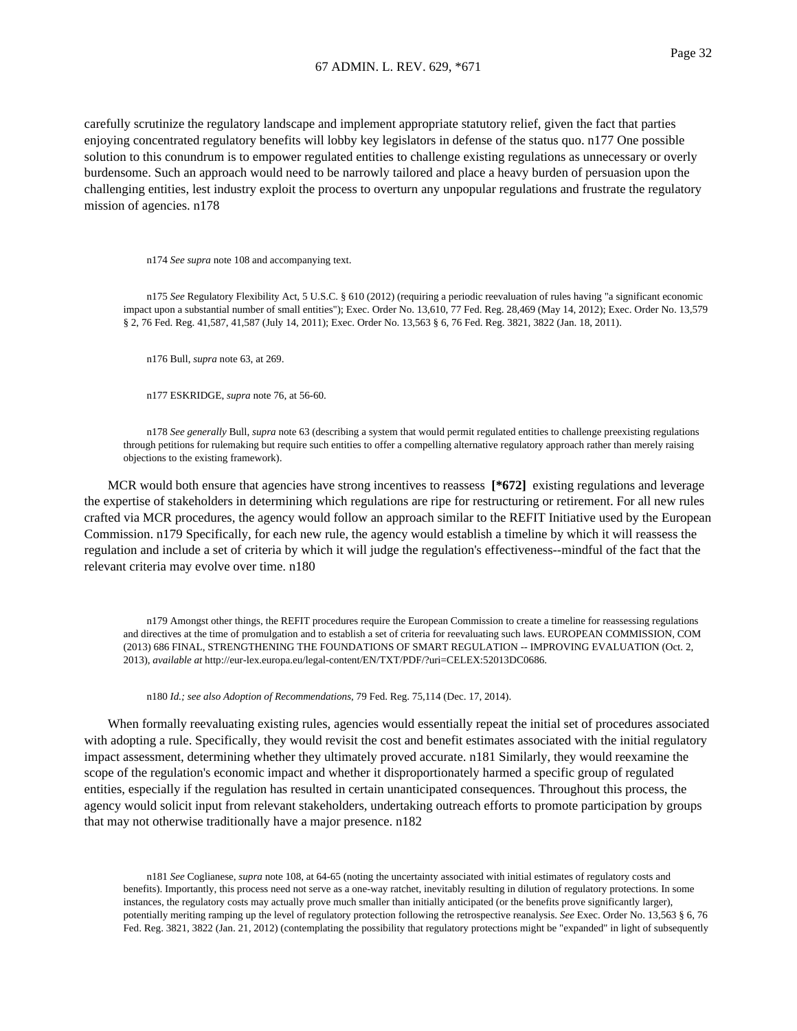carefully scrutinize the regulatory landscape and implement appropriate statutory relief, given the fact that parties enjoying concentrated regulatory benefits will lobby key legislators in defense of the status quo. n177 One possible solution to this conundrum is to empower regulated entities to challenge existing regulations as unnecessary or overly burdensome. Such an approach would need to be narrowly tailored and place a heavy burden of persuasion upon the challenging entities, lest industry exploit the process to overturn any unpopular regulations and frustrate the regulatory mission of agencies. n178

n174 *See supra* note 108 and accompanying text.

n175 *See* Regulatory Flexibility Act, 5 U.S.C. § 610 (2012) (requiring a periodic reevaluation of rules having "a significant economic impact upon a substantial number of small entities"); Exec. Order No. 13,610, 77 Fed. Reg. 28,469 (May 14, 2012); Exec. Order No. 13,579 § 2, 76 Fed. Reg. 41,587, 41,587 (July 14, 2011); Exec. Order No. 13,563 § 6, 76 Fed. Reg. 3821, 3822 (Jan. 18, 2011).

n176 Bull, *supra* note 63, at 269.

n177 ESKRIDGE, *supra* note 76, at 56-60.

n178 *See generally* Bull, *supra* note 63 (describing a system that would permit regulated entities to challenge preexisting regulations through petitions for rulemaking but require such entities to offer a compelling alternative regulatory approach rather than merely raising objections to the existing framework).

MCR would both ensure that agencies have strong incentives to reassess [\*672] existing regulations and leverage the expertise of stakeholders in determining which regulations are ripe for restructuring or retirement. For all new rules crafted via MCR procedures, the agency would follow an approach similar to the REFIT Initiative used by the European Commission. n179 Specifically, for each new rule, the agency would establish a timeline by which it will reassess the regulation and include a set of criteria by which it will judge the regulation's effectiveness--mindful of the fact that the relevant criteria may evolve over time. n180

n179 Amongst other things, the REFIT procedures require the European Commission to create a timeline for reassessing regulations and directives at the time of promulgation and to establish a set of criteria for reevaluating such laws. EUROPEAN COMMISSION, COM (2013) 686 FINAL, STRENGTHENING THE FOUNDATIONS OF SMART REGULATION -- IMPROVING EVALUATION (Oct. 2, 2013), *available at* http://eur-lex.europa.eu/legal-content/EN/TXT/PDF/?uri=CELEX:52013DC0686.

n180 *Id.; see also Adoption of Recommendations*, 79 Fed. Reg. 75,114 (Dec. 17, 2014).

When formally reevaluating existing rules, agencies would essentially repeat the initial set of procedures associated with adopting a rule. Specifically, they would revisit the cost and benefit estimates associated with the initial regulatory impact assessment, determining whether they ultimately proved accurate. n181 Similarly, they would reexamine the scope of the regulation's economic impact and whether it disproportionately harmed a specific group of regulated entities, especially if the regulation has resulted in certain unanticipated consequences. Throughout this process, the agency would solicit input from relevant stakeholders, undertaking outreach efforts to promote participation by groups that may not otherwise traditionally have a major presence. n182

n181 *See* Coglianese, *supra* note 108, at 64-65 (noting the uncertainty associated with initial estimates of regulatory costs and benefits). Importantly, this process need not serve as a one-way ratchet, inevitably resulting in dilution of regulatory protections. In some instances, the regulatory costs may actually prove much smaller than initially anticipated (or the benefits prove significantly larger), potentially meriting ramping up the level of regulatory protection following the retrospective reanalysis. *See* Exec. Order No. 13,563 § 6, 76 Fed. Reg. 3821, 3822 (Jan. 21, 2012) (contemplating the possibility that regulatory protections might be "expanded" in light of subsequently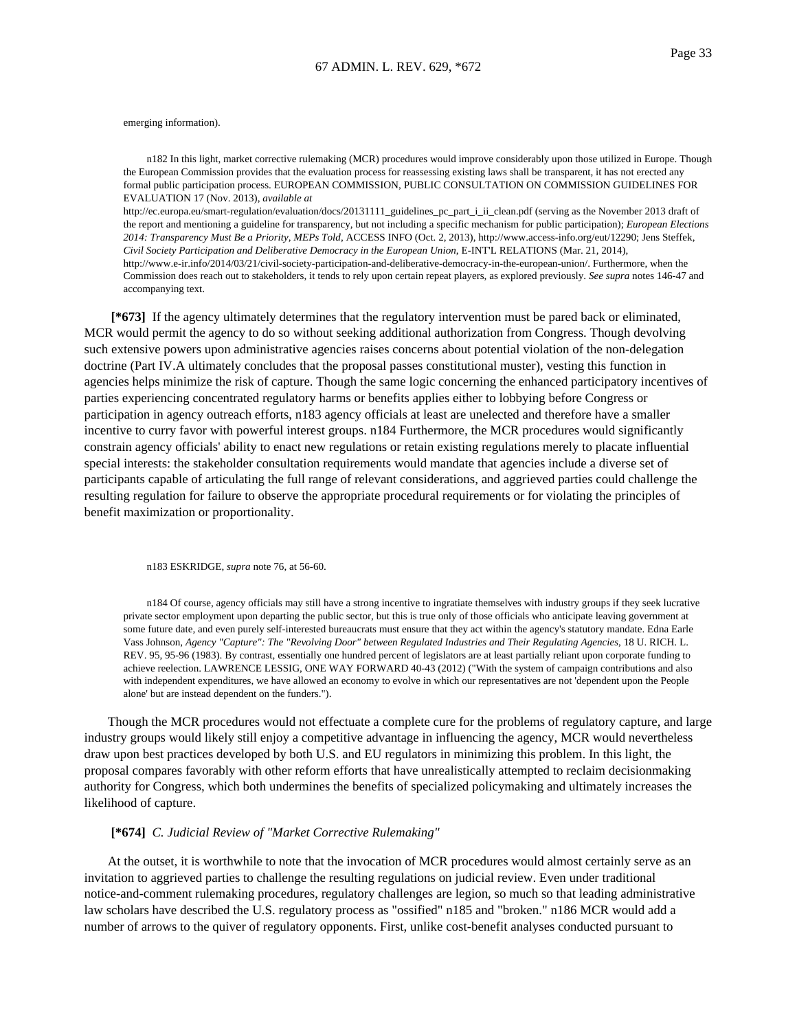emerging information).

n182 In this light, market corrective rulemaking (MCR) procedures would improve considerably upon those utilized in Europe. Though the European Commission provides that the evaluation process for reassessing existing laws shall be transparent, it has not erected any formal public participation process. EUROPEAN COMMISSION, PUBLIC CONSULTATION ON COMMISSION GUIDELINES FOR EVALUATION 17 (Nov. 2013), *available at*

http://ec.europa.eu/smart-regulation/evaluation/docs/20131111\_guidelines\_pc\_part\_i\_ii\_clean.pdf (serving as the November 2013 draft of the report and mentioning a guideline for transparency, but not including a specific mechanism for public participation); *European Elections 2014: Transparency Must Be a Priority, MEPs Told*, ACCESS INFO (Oct. 2, 2013), http://www.access-info.org/eut/12290; Jens Steffek, *Civil Society Participation and Deliberative Democracy in the European Union*, E-INT'L RELATIONS (Mar. 21, 2014), http://www.e-ir.info/2014/03/21/civil-society-participation-and-deliberative-democracy-in-the-european-union/. Furthermore, when the Commission does reach out to stakeholders, it tends to rely upon certain repeat players, as explored previously. *See supra* notes 146-47 and accompanying text.

**[\*673]** If the agency ultimately determines that the regulatory intervention must be pared back or eliminated, MCR would permit the agency to do so without seeking additional authorization from Congress. Though devolving such extensive powers upon administrative agencies raises concerns about potential violation of the non-delegation doctrine (Part IV.A ultimately concludes that the proposal passes constitutional muster), vesting this function in agencies helps minimize the risk of capture. Though the same logic concerning the enhanced participatory incentives of parties experiencing concentrated regulatory harms or benefits applies either to lobbying before Congress or participation in agency outreach efforts, n183 agency officials at least are unelected and therefore have a smaller incentive to curry favor with powerful interest groups. n184 Furthermore, the MCR procedures would significantly constrain agency officials' ability to enact new regulations or retain existing regulations merely to placate influential special interests: the stakeholder consultation requirements would mandate that agencies include a diverse set of participants capable of articulating the full range of relevant considerations, and aggrieved parties could challenge the resulting regulation for failure to observe the appropriate procedural requirements or for violating the principles of benefit maximization or proportionality.

n183 ESKRIDGE, *supra* note 76, at 56-60.

n184 Of course, agency officials may still have a strong incentive to ingratiate themselves with industry groups if they seek lucrative private sector employment upon departing the public sector, but this is true only of those officials who anticipate leaving government at some future date, and even purely self-interested bureaucrats must ensure that they act within the agency's statutory mandate. Edna Earle Vass Johnson, *Agency "Capture": The "Revolving Door" between Regulated Industries and Their Regulating Agencies*, 18 U. RICH. L. REV. 95, 95-96 (1983). By contrast, essentially one hundred percent of legislators are at least partially reliant upon corporate funding to achieve reelection. LAWRENCE LESSIG, ONE WAY FORWARD 40-43 (2012) ("With the system of campaign contributions and also with independent expenditures, we have allowed an economy to evolve in which our representatives are not 'dependent upon the People alone' but are instead dependent on the funders.").

Though the MCR procedures would not effectuate a complete cure for the problems of regulatory capture, and large industry groups would likely still enjoy a competitive advantage in influencing the agency, MCR would nevertheless draw upon best practices developed by both U.S. and EU regulators in minimizing this problem. In this light, the proposal compares favorably with other reform efforts that have unrealistically attempted to reclaim decisionmaking authority for Congress, which both undermines the benefits of specialized policymaking and ultimately increases the likelihood of capture.

## **[\*674]** *C. Judicial Review of "Market Corrective Rulemaking"*

At the outset, it is worthwhile to note that the invocation of MCR procedures would almost certainly serve as an invitation to aggrieved parties to challenge the resulting regulations on judicial review. Even under traditional notice-and-comment rulemaking procedures, regulatory challenges are legion, so much so that leading administrative law scholars have described the U.S. regulatory process as "ossified" n185 and "broken." n186 MCR would add a number of arrows to the quiver of regulatory opponents. First, unlike cost-benefit analyses conducted pursuant to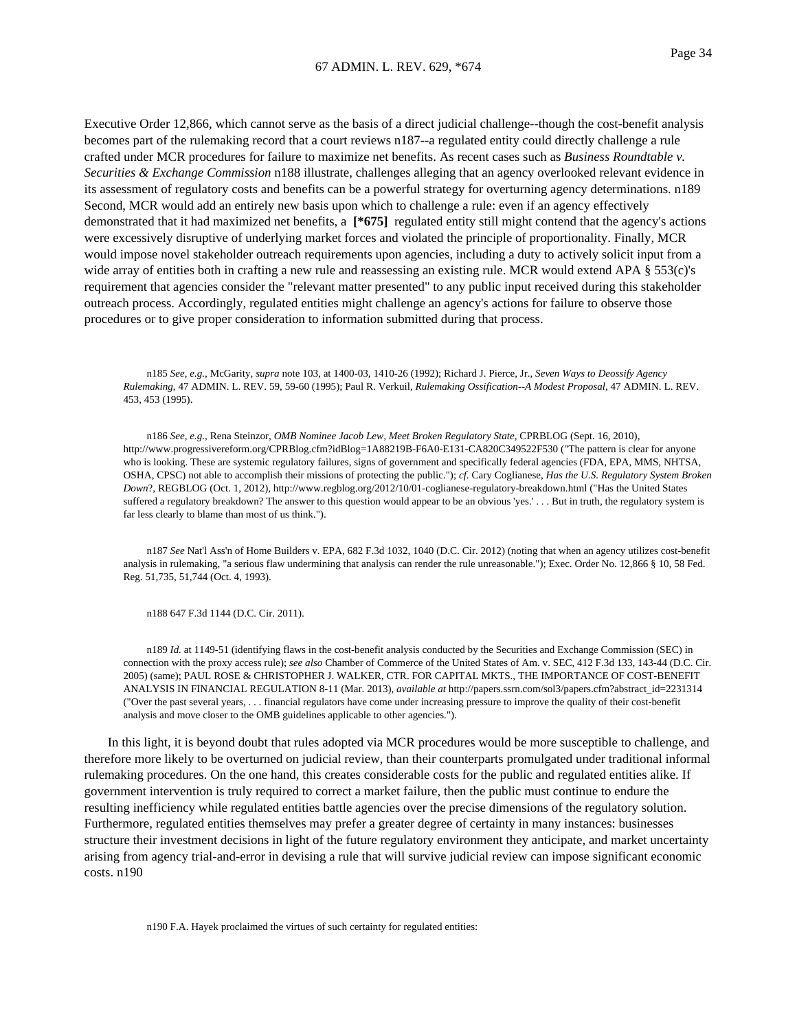Executive Order 12,866, which cannot serve as the basis of a direct judicial challenge--though the cost-benefit analysis becomes part of the rulemaking record that a court reviews n187--a regulated entity could directly challenge a rule crafted under MCR procedures for failure to maximize net benefits. As recent cases such as *Business Roundtable v. Securities & Exchange Commission* n188 illustrate, challenges alleging that an agency overlooked relevant evidence in its assessment of regulatory costs and benefits can be a powerful strategy for overturning agency determinations. n189 Second, MCR would add an entirely new basis upon which to challenge a rule: even if an agency effectively demonstrated that it had maximized net benefits, a **[\*675]** regulated entity still might contend that the agency's actions were excessively disruptive of underlying market forces and violated the principle of proportionality. Finally, MCR would impose novel stakeholder outreach requirements upon agencies, including a duty to actively solicit input from a wide array of entities both in crafting a new rule and reassessing an existing rule. MCR would extend APA § 553(c)'s requirement that agencies consider the "relevant matter presented" to any public input received during this stakeholder outreach process. Accordingly, regulated entities might challenge an agency's actions for failure to observe those procedures or to give proper consideration to information submitted during that process.

n185 *See, e.g.*, McGarity, *supra* note 103, at 1400-03, 1410-26 (1992); Richard J. Pierce, Jr., *Seven Ways to Deossify Agency Rulemaking*, 47 ADMIN. L. REV. 59, 59-60 (1995); Paul R. Verkuil, *Rulemaking Ossification--A Modest Proposal*, 47 ADMIN. L. REV. 453, 453 (1995).

n186 *See, e.g.*, Rena Steinzor, *OMB Nominee Jacob Lew, Meet Broken Regulatory State*, CPRBLOG (Sept. 16, 2010), http://www.progressivereform.org/CPRBlog.cfm?idBlog=1A88219B-F6A0-E131-CA820C349522F530 ("The pattern is clear for anyone who is looking. These are systemic regulatory failures, signs of government and specifically federal agencies (FDA, EPA, MMS, NHTSA, OSHA, CPSC) not able to accomplish their missions of protecting the public."); *cf*. Cary Coglianese, *Has the U.S. Regulatory System Broken Down*?, REGBLOG (Oct. 1, 2012), http://www.regblog.org/2012/10/01-coglianese-regulatory-breakdown.html ("Has the United States suffered a regulatory breakdown? The answer to this question would appear to be an obvious 'yes.' . . . But in truth, the regulatory system is far less clearly to blame than most of us think.").

n187 *See* Nat'l Ass'n of Home Builders v. EPA, 682 F.3d 1032, 1040 (D.C. Cir. 2012) (noting that when an agency utilizes cost-benefit analysis in rulemaking, "a serious flaw undermining that analysis can render the rule unreasonable."); Exec. Order No. 12,866 § 10, 58 Fed. Reg. 51,735, 51,744 (Oct. 4, 1993).

n188 647 F.3d 1144 (D.C. Cir. 2011).

n189 *Id.* at 1149-51 (identifying flaws in the cost-benefit analysis conducted by the Securities and Exchange Commission (SEC) in connection with the proxy access rule); *see also* Chamber of Commerce of the United States of Am. v. SEC, 412 F.3d 133, 143-44 (D.C. Cir. 2005) (same); PAUL ROSE & CHRISTOPHER J. WALKER, CTR. FOR CAPITAL MKTS., THE IMPORTANCE OF COST-BENEFIT ANALYSIS IN FINANCIAL REGULATION 8-11 (Mar. 2013), *available at* http://papers.ssrn.com/sol3/papers.cfm?abstract\_id=2231314 ("Over the past several years, . . . financial regulators have come under increasing pressure to improve the quality of their cost-benefit analysis and move closer to the OMB guidelines applicable to other agencies.").

In this light, it is beyond doubt that rules adopted via MCR procedures would be more susceptible to challenge, and therefore more likely to be overturned on judicial review, than their counterparts promulgated under traditional informal rulemaking procedures. On the one hand, this creates considerable costs for the public and regulated entities alike. If government intervention is truly required to correct a market failure, then the public must continue to endure the resulting inefficiency while regulated entities battle agencies over the precise dimensions of the regulatory solution. Furthermore, regulated entities themselves may prefer a greater degree of certainty in many instances: businesses structure their investment decisions in light of the future regulatory environment they anticipate, and market uncertainty arising from agency trial-and-error in devising a rule that will survive judicial review can impose significant economic costs. n190

n190 F.A. Hayek proclaimed the virtues of such certainty for regulated entities: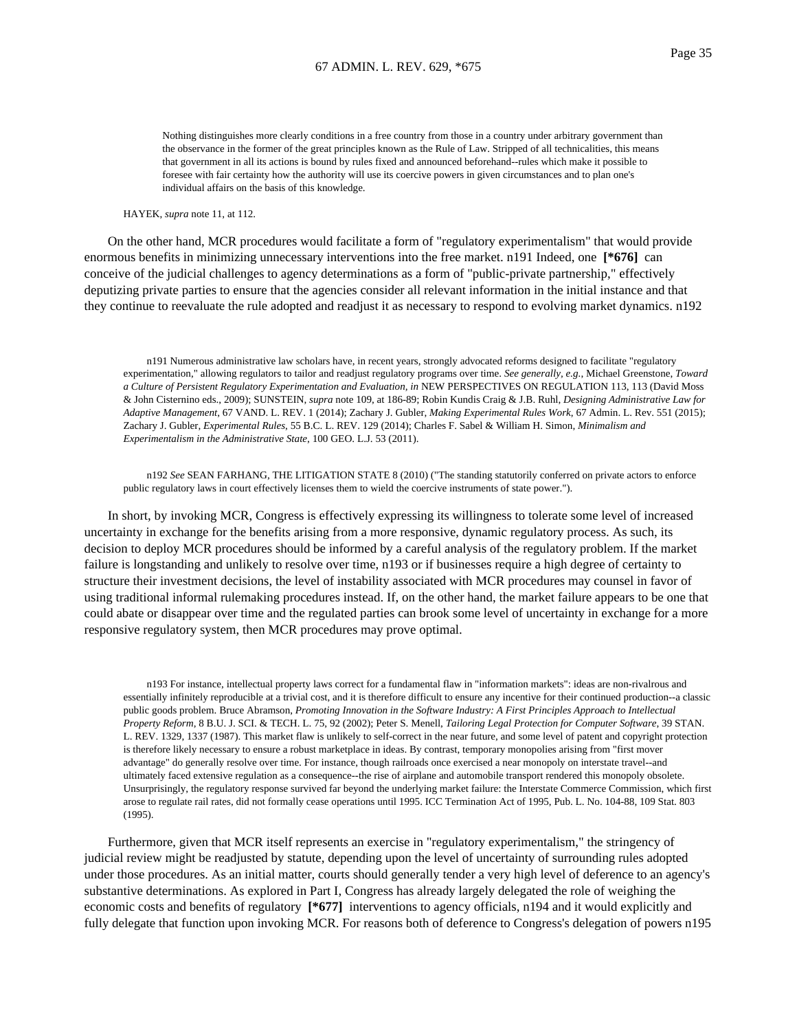Nothing distinguishes more clearly conditions in a free country from those in a country under arbitrary government than the observance in the former of the great principles known as the Rule of Law. Stripped of all technicalities, this means that government in all its actions is bound by rules fixed and announced beforehand--rules which make it possible to foresee with fair certainty how the authority will use its coercive powers in given circumstances and to plan one's individual affairs on the basis of this knowledge.

HAYEK, *supra* note 11, at 112.

On the other hand, MCR procedures would facilitate a form of "regulatory experimentalism" that would provide enormous benefits in minimizing unnecessary interventions into the free market. n191 Indeed, one **[\*676]** can conceive of the judicial challenges to agency determinations as a form of "public-private partnership," effectively deputizing private parties to ensure that the agencies consider all relevant information in the initial instance and that they continue to reevaluate the rule adopted and readjust it as necessary to respond to evolving market dynamics. n192

n191 Numerous administrative law scholars have, in recent years, strongly advocated reforms designed to facilitate "regulatory experimentation," allowing regulators to tailor and readjust regulatory programs over time. *See generally, e.g.*, Michael Greenstone, *Toward a Culture of Persistent Regulatory Experimentation and Evaluation, in* NEW PERSPECTIVES ON REGULATION 113, 113 (David Moss & John Cisternino eds., 2009); SUNSTEIN, *supra* note 109, at 186-89; Robin Kundis Craig & J.B. Ruhl, *Designing Administrative Law for Adaptive Management*, 67 VAND. L. REV. 1 (2014); Zachary J. Gubler, *Making Experimental Rules Work*, 67 Admin. L. Rev. 551 (2015); Zachary J. Gubler, *Experimental Rules*, 55 B.C. L. REV. 129 (2014); Charles F. Sabel & William H. Simon, *Minimalism and Experimentalism in the Administrative State*, 100 GEO. L.J. 53 (2011).

n192 *See* SEAN FARHANG, THE LITIGATION STATE 8 (2010) ("The standing statutorily conferred on private actors to enforce public regulatory laws in court effectively licenses them to wield the coercive instruments of state power.").

In short, by invoking MCR, Congress is effectively expressing its willingness to tolerate some level of increased uncertainty in exchange for the benefits arising from a more responsive, dynamic regulatory process. As such, its decision to deploy MCR procedures should be informed by a careful analysis of the regulatory problem. If the market failure is longstanding and unlikely to resolve over time, n193 or if businesses require a high degree of certainty to structure their investment decisions, the level of instability associated with MCR procedures may counsel in favor of using traditional informal rulemaking procedures instead. If, on the other hand, the market failure appears to be one that could abate or disappear over time and the regulated parties can brook some level of uncertainty in exchange for a more responsive regulatory system, then MCR procedures may prove optimal.

n193 For instance, intellectual property laws correct for a fundamental flaw in "information markets": ideas are non-rivalrous and essentially infinitely reproducible at a trivial cost, and it is therefore difficult to ensure any incentive for their continued production--a classic public goods problem. Bruce Abramson, *Promoting Innovation in the Software Industry: A First Principles Approach to Intellectual Property Reform*, 8 B.U. J. SCI. & TECH. L. 75, 92 (2002); Peter S. Menell, *Tailoring Legal Protection for Computer Software*, 39 STAN. L. REV. 1329, 1337 (1987). This market flaw is unlikely to self-correct in the near future, and some level of patent and copyright protection is therefore likely necessary to ensure a robust marketplace in ideas. By contrast, temporary monopolies arising from "first mover advantage" do generally resolve over time. For instance, though railroads once exercised a near monopoly on interstate travel--and ultimately faced extensive regulation as a consequence--the rise of airplane and automobile transport rendered this monopoly obsolete. Unsurprisingly, the regulatory response survived far beyond the underlying market failure: the Interstate Commerce Commission, which first arose to regulate rail rates, did not formally cease operations until 1995. ICC Termination Act of 1995, Pub. L. No. 104-88, 109 Stat. 803 (1995).

Furthermore, given that MCR itself represents an exercise in "regulatory experimentalism," the stringency of judicial review might be readjusted by statute, depending upon the level of uncertainty of surrounding rules adopted under those procedures. As an initial matter, courts should generally tender a very high level of deference to an agency's substantive determinations. As explored in Part I, Congress has already largely delegated the role of weighing the economic costs and benefits of regulatory **[\*677]** interventions to agency officials, n194 and it would explicitly and fully delegate that function upon invoking MCR. For reasons both of deference to Congress's delegation of powers n195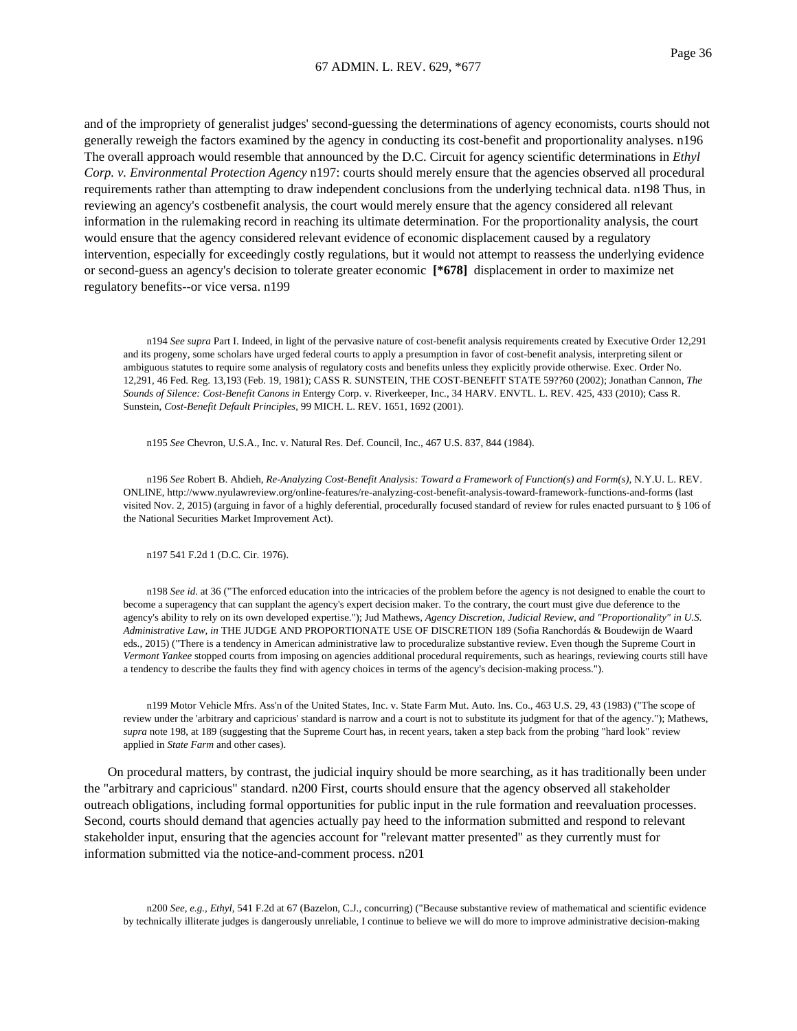and of the impropriety of generalist judges' second-guessing the determinations of agency economists, courts should not generally reweigh the factors examined by the agency in conducting its cost-benefit and proportionality analyses. n196 The overall approach would resemble that announced by the D.C. Circuit for agency scientific determinations in *Ethyl Corp. v. Environmental Protection Agency* n197: courts should merely ensure that the agencies observed all procedural requirements rather than attempting to draw independent conclusions from the underlying technical data. n198 Thus, in reviewing an agency's costbenefit analysis, the court would merely ensure that the agency considered all relevant information in the rulemaking record in reaching its ultimate determination. For the proportionality analysis, the court would ensure that the agency considered relevant evidence of economic displacement caused by a regulatory intervention, especially for exceedingly costly regulations, but it would not attempt to reassess the underlying evidence or second-guess an agency's decision to tolerate greater economic **[\*678]** displacement in order to maximize net regulatory benefits--or vice versa. n199

n194 *See supra* Part I. Indeed, in light of the pervasive nature of cost-benefit analysis requirements created by Executive Order 12,291 and its progeny, some scholars have urged federal courts to apply a presumption in favor of cost-benefit analysis, interpreting silent or ambiguous statutes to require some analysis of regulatory costs and benefits unless they explicitly provide otherwise. Exec. Order No. 12,291, 46 Fed. Reg. 13,193 (Feb. 19, 1981); CASS R. SUNSTEIN, THE COST-BENEFIT STATE 59??60 (2002); Jonathan Cannon, *The Sounds of Silence: Cost-Benefit Canons in* Entergy Corp. v. Riverkeeper, Inc., 34 HARV. ENVTL. L. REV. 425, 433 (2010); Cass R. Sunstein, *Cost-Benefit Default Principles*, 99 MICH. L. REV. 1651, 1692 (2001).

n195 *See* Chevron, U.S.A., Inc. v. Natural Res. Def. Council, Inc., 467 U.S. 837, 844 (1984).

n196 *See* Robert B. Ahdieh, *Re-Analyzing Cost-Benefit Analysis: Toward a Framework of Function(s) and Form(s)*, N.Y.U. L. REV. ONLINE, http://www.nyulawreview.org/online-features/re-analyzing-cost-benefit-analysis-toward-framework-functions-and-forms (last visited Nov. 2, 2015) (arguing in favor of a highly deferential, procedurally focused standard of review for rules enacted pursuant to § 106 of the National Securities Market Improvement Act).

n197 541 F.2d 1 (D.C. Cir. 1976).

n198 *See id.* at 36 ("The enforced education into the intricacies of the problem before the agency is not designed to enable the court to become a superagency that can supplant the agency's expert decision maker. To the contrary, the court must give due deference to the agency's ability to rely on its own developed expertise."); Jud Mathews, *Agency Discretion, Judicial Review, and "Proportionality" in U.S. Administrative Law, in* THE JUDGE AND PROPORTIONATE USE OF DISCRETION 189 (Sofia Ranchordás & Boudewijn de Waard eds., 2015) ("There is a tendency in American administrative law to proceduralize substantive review. Even though the Supreme Court in *Vermont Yankee* stopped courts from imposing on agencies additional procedural requirements, such as hearings, reviewing courts still have a tendency to describe the faults they find with agency choices in terms of the agency's decision-making process.").

n199 Motor Vehicle Mfrs. Ass'n of the United States, Inc. v. State Farm Mut. Auto. Ins. Co., 463 U.S. 29, 43 (1983) ("The scope of review under the 'arbitrary and capricious' standard is narrow and a court is not to substitute its judgment for that of the agency."); Mathews, *supra* note 198, at 189 (suggesting that the Supreme Court has, in recent years, taken a step back from the probing "hard look" review applied in *State Farm* and other cases).

On procedural matters, by contrast, the judicial inquiry should be more searching, as it has traditionally been under the "arbitrary and capricious" standard. n200 First, courts should ensure that the agency observed all stakeholder outreach obligations, including formal opportunities for public input in the rule formation and reevaluation processes. Second, courts should demand that agencies actually pay heed to the information submitted and respond to relevant stakeholder input, ensuring that the agencies account for "relevant matter presented" as they currently must for information submitted via the notice-and-comment process. n201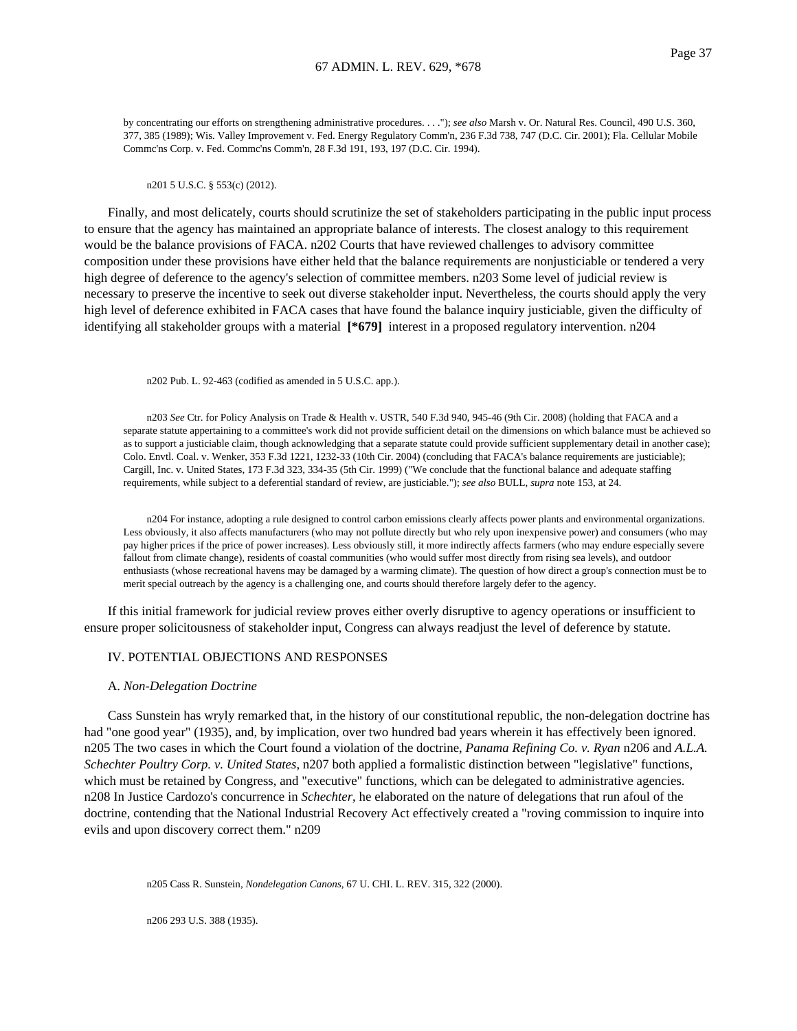by concentrating our efforts on strengthening administrative procedures. . . ."); *see also* Marsh v. Or. Natural Res. Council, 490 U.S. 360, 377, 385 (1989); Wis. Valley Improvement v. Fed. Energy Regulatory Comm'n, 236 F.3d 738, 747 (D.C. Cir. 2001); Fla. Cellular Mobile Commc'ns Corp. v. Fed. Commc'ns Comm'n, 28 F.3d 191, 193, 197 (D.C. Cir. 1994).

n201 5 U.S.C. § 553(c) (2012).

Finally, and most delicately, courts should scrutinize the set of stakeholders participating in the public input process to ensure that the agency has maintained an appropriate balance of interests. The closest analogy to this requirement would be the balance provisions of FACA. n202 Courts that have reviewed challenges to advisory committee composition under these provisions have either held that the balance requirements are nonjusticiable or tendered a very high degree of deference to the agency's selection of committee members. n203 Some level of judicial review is necessary to preserve the incentive to seek out diverse stakeholder input. Nevertheless, the courts should apply the very high level of deference exhibited in FACA cases that have found the balance inquiry justiciable, given the difficulty of identifying all stakeholder groups with a material **[\*679]** interest in a proposed regulatory intervention. n204

n202 Pub. L. 92-463 (codified as amended in 5 U.S.C. app.).

n203 *See* Ctr. for Policy Analysis on Trade & Health v. USTR, 540 F.3d 940, 945-46 (9th Cir. 2008) (holding that FACA and a separate statute appertaining to a committee's work did not provide sufficient detail on the dimensions on which balance must be achieved so as to support a justiciable claim, though acknowledging that a separate statute could provide sufficient supplementary detail in another case); Colo. Envtl. Coal. v. Wenker, 353 F.3d 1221, 1232-33 (10th Cir. 2004) (concluding that FACA's balance requirements are justiciable); Cargill, Inc. v. United States, 173 F.3d 323, 334-35 (5th Cir. 1999) ("We conclude that the functional balance and adequate staffing requirements, while subject to a deferential standard of review, are justiciable."); *see also* BULL, *supra* note 153, at 24.

n204 For instance, adopting a rule designed to control carbon emissions clearly affects power plants and environmental organizations. Less obviously, it also affects manufacturers (who may not pollute directly but who rely upon inexpensive power) and consumers (who may pay higher prices if the price of power increases). Less obviously still, it more indirectly affects farmers (who may endure especially severe fallout from climate change), residents of coastal communities (who would suffer most directly from rising sea levels), and outdoor enthusiasts (whose recreational havens may be damaged by a warming climate). The question of how direct a group's connection must be to merit special outreach by the agency is a challenging one, and courts should therefore largely defer to the agency.

If this initial framework for judicial review proves either overly disruptive to agency operations or insufficient to ensure proper solicitousness of stakeholder input, Congress can always readjust the level of deference by statute.

## IV. POTENTIAL OBJECTIONS AND RESPONSES

#### A. *Non-Delegation Doctrine*

Cass Sunstein has wryly remarked that, in the history of our constitutional republic, the non-delegation doctrine has had "one good year" (1935), and, by implication, over two hundred bad years wherein it has effectively been ignored. n205 The two cases in which the Court found a violation of the doctrine, *Panama Refining Co. v. Ryan* n206 and *A.L.A. Schechter Poultry Corp. v. United States*, n207 both applied a formalistic distinction between "legislative" functions, which must be retained by Congress, and "executive" functions, which can be delegated to administrative agencies. n208 In Justice Cardozo's concurrence in *Schechter*, he elaborated on the nature of delegations that run afoul of the doctrine, contending that the National Industrial Recovery Act effectively created a "roving commission to inquire into evils and upon discovery correct them." n209

n205 Cass R. Sunstein, *Nondelegation Canons*, 67 U. CHI. L. REV. 315, 322 (2000).

n206 293 U.S. 388 (1935).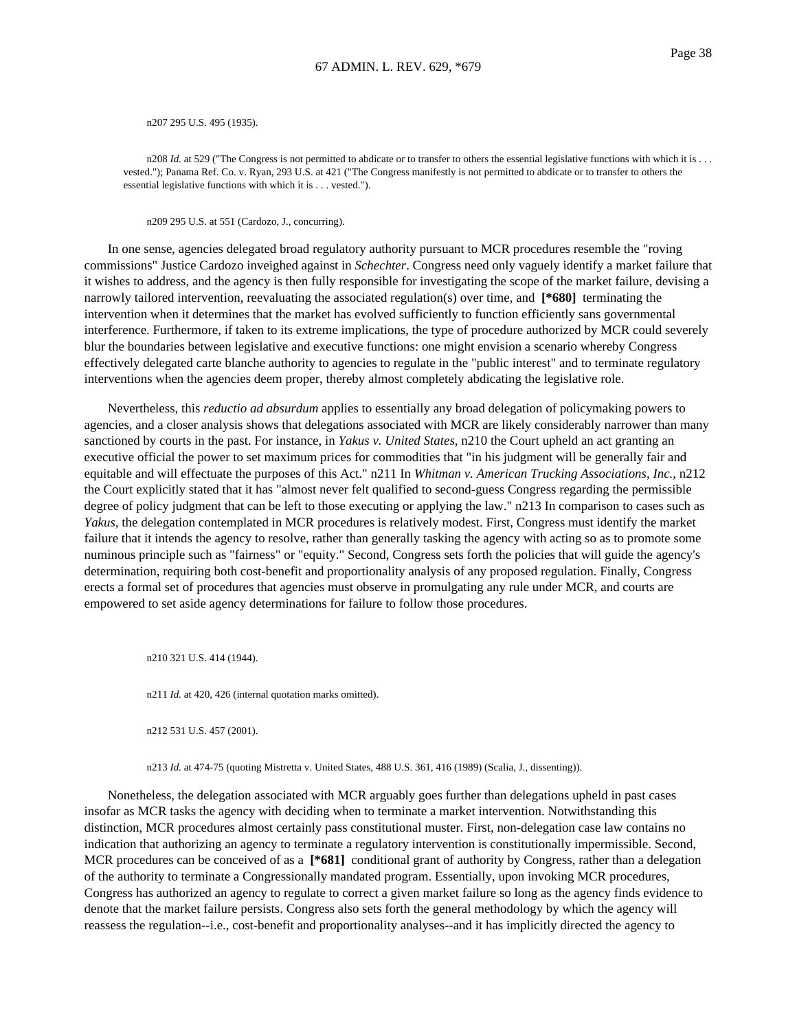n207 295 U.S. 495 (1935).

n208 *Id.* at 529 ("The Congress is not permitted to abdicate or to transfer to others the essential legislative functions with which it is . . . vested."); Panama Ref. Co. v. Ryan, 293 U.S. at 421 ("The Congress manifestly is not permitted to abdicate or to transfer to others the essential legislative functions with which it is . . . vested.").

n209 295 U.S. at 551 (Cardozo, J., concurring).

In one sense, agencies delegated broad regulatory authority pursuant to MCR procedures resemble the "roving commissions" Justice Cardozo inveighed against in *Schechter*. Congress need only vaguely identify a market failure that it wishes to address, and the agency is then fully responsible for investigating the scope of the market failure, devising a narrowly tailored intervention, reevaluating the associated regulation(s) over time, and **[\*680]** terminating the intervention when it determines that the market has evolved sufficiently to function efficiently sans governmental interference. Furthermore, if taken to its extreme implications, the type of procedure authorized by MCR could severely blur the boundaries between legislative and executive functions: one might envision a scenario whereby Congress effectively delegated carte blanche authority to agencies to regulate in the "public interest" and to terminate regulatory interventions when the agencies deem proper, thereby almost completely abdicating the legislative role.

Nevertheless, this *reductio ad absurdum* applies to essentially any broad delegation of policymaking powers to agencies, and a closer analysis shows that delegations associated with MCR are likely considerably narrower than many sanctioned by courts in the past. For instance, in *Yakus v. United States*, n210 the Court upheld an act granting an executive official the power to set maximum prices for commodities that "in his judgment will be generally fair and equitable and will effectuate the purposes of this Act." n211 In *Whitman v. American Trucking Associations, Inc.*, n212 the Court explicitly stated that it has "almost never felt qualified to second-guess Congress regarding the permissible degree of policy judgment that can be left to those executing or applying the law." n213 In comparison to cases such as *Yakus*, the delegation contemplated in MCR procedures is relatively modest. First, Congress must identify the market failure that it intends the agency to resolve, rather than generally tasking the agency with acting so as to promote some numinous principle such as "fairness" or "equity." Second, Congress sets forth the policies that will guide the agency's determination, requiring both cost-benefit and proportionality analysis of any proposed regulation. Finally, Congress erects a formal set of procedures that agencies must observe in promulgating any rule under MCR, and courts are empowered to set aside agency determinations for failure to follow those procedures.

n210 321 U.S. 414 (1944).

n211 *Id.* at 420, 426 (internal quotation marks omitted).

n212 531 U.S. 457 (2001).

n213 *Id.* at 474-75 (quoting Mistretta v. United States, 488 U.S. 361, 416 (1989) (Scalia, J., dissenting)).

Nonetheless, the delegation associated with MCR arguably goes further than delegations upheld in past cases insofar as MCR tasks the agency with deciding when to terminate a market intervention. Notwithstanding this distinction, MCR procedures almost certainly pass constitutional muster. First, non-delegation case law contains no indication that authorizing an agency to terminate a regulatory intervention is constitutionally impermissible. Second, MCR procedures can be conceived of as a [\*681] conditional grant of authority by Congress, rather than a delegation of the authority to terminate a Congressionally mandated program. Essentially, upon invoking MCR procedures, Congress has authorized an agency to regulate to correct a given market failure so long as the agency finds evidence to denote that the market failure persists. Congress also sets forth the general methodology by which the agency will reassess the regulation--i.e., cost-benefit and proportionality analyses--and it has implicitly directed the agency to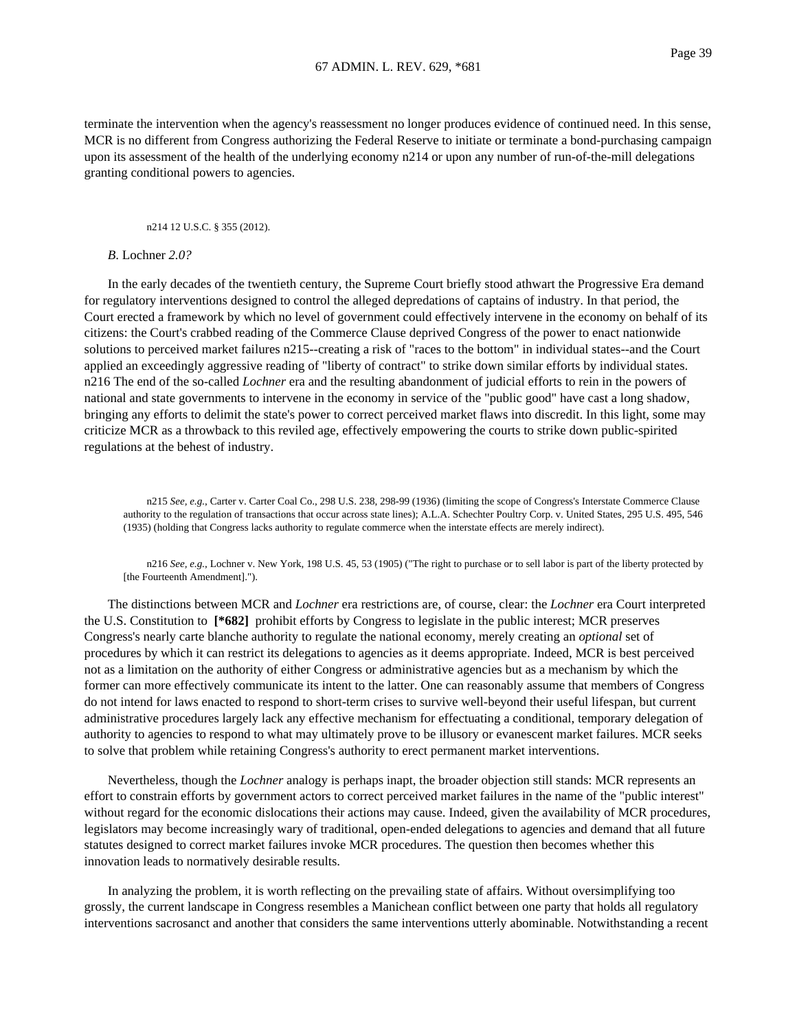terminate the intervention when the agency's reassessment no longer produces evidence of continued need. In this sense, MCR is no different from Congress authorizing the Federal Reserve to initiate or terminate a bond-purchasing campaign upon its assessment of the health of the underlying economy n214 or upon any number of run-of-the-mill delegations granting conditional powers to agencies.

### n214 12 U.S.C. § 355 (2012).

## *B*. Lochner *2.0?*

In the early decades of the twentieth century, the Supreme Court briefly stood athwart the Progressive Era demand for regulatory interventions designed to control the alleged depredations of captains of industry. In that period, the Court erected a framework by which no level of government could effectively intervene in the economy on behalf of its citizens: the Court's crabbed reading of the Commerce Clause deprived Congress of the power to enact nationwide solutions to perceived market failures n215--creating a risk of "races to the bottom" in individual states--and the Court applied an exceedingly aggressive reading of "liberty of contract" to strike down similar efforts by individual states. n216 The end of the so-called *Lochner* era and the resulting abandonment of judicial efforts to rein in the powers of national and state governments to intervene in the economy in service of the "public good" have cast a long shadow, bringing any efforts to delimit the state's power to correct perceived market flaws into discredit. In this light, some may criticize MCR as a throwback to this reviled age, effectively empowering the courts to strike down public-spirited regulations at the behest of industry.

n215 *See, e.g.*, Carter v. Carter Coal Co., 298 U.S. 238, 298-99 (1936) (limiting the scope of Congress's Interstate Commerce Clause authority to the regulation of transactions that occur across state lines); A.L.A. Schechter Poultry Corp. v. United States, 295 U.S. 495, 546 (1935) (holding that Congress lacks authority to regulate commerce when the interstate effects are merely indirect).

n216 *See, e.g.*, Lochner v. New York, 198 U.S. 45, 53 (1905) ("The right to purchase or to sell labor is part of the liberty protected by [the Fourteenth Amendment].").

The distinctions between MCR and *Lochner* era restrictions are, of course, clear: the *Lochner* era Court interpreted the U.S. Constitution to **[\*682]** prohibit efforts by Congress to legislate in the public interest; MCR preserves Congress's nearly carte blanche authority to regulate the national economy, merely creating an *optional* set of procedures by which it can restrict its delegations to agencies as it deems appropriate. Indeed, MCR is best perceived not as a limitation on the authority of either Congress or administrative agencies but as a mechanism by which the former can more effectively communicate its intent to the latter. One can reasonably assume that members of Congress do not intend for laws enacted to respond to short-term crises to survive well-beyond their useful lifespan, but current administrative procedures largely lack any effective mechanism for effectuating a conditional, temporary delegation of authority to agencies to respond to what may ultimately prove to be illusory or evanescent market failures. MCR seeks to solve that problem while retaining Congress's authority to erect permanent market interventions.

Nevertheless, though the *Lochner* analogy is perhaps inapt, the broader objection still stands: MCR represents an effort to constrain efforts by government actors to correct perceived market failures in the name of the "public interest" without regard for the economic dislocations their actions may cause. Indeed, given the availability of MCR procedures, legislators may become increasingly wary of traditional, open-ended delegations to agencies and demand that all future statutes designed to correct market failures invoke MCR procedures. The question then becomes whether this innovation leads to normatively desirable results.

In analyzing the problem, it is worth reflecting on the prevailing state of affairs. Without oversimplifying too grossly, the current landscape in Congress resembles a Manichean conflict between one party that holds all regulatory interventions sacrosanct and another that considers the same interventions utterly abominable. Notwithstanding a recent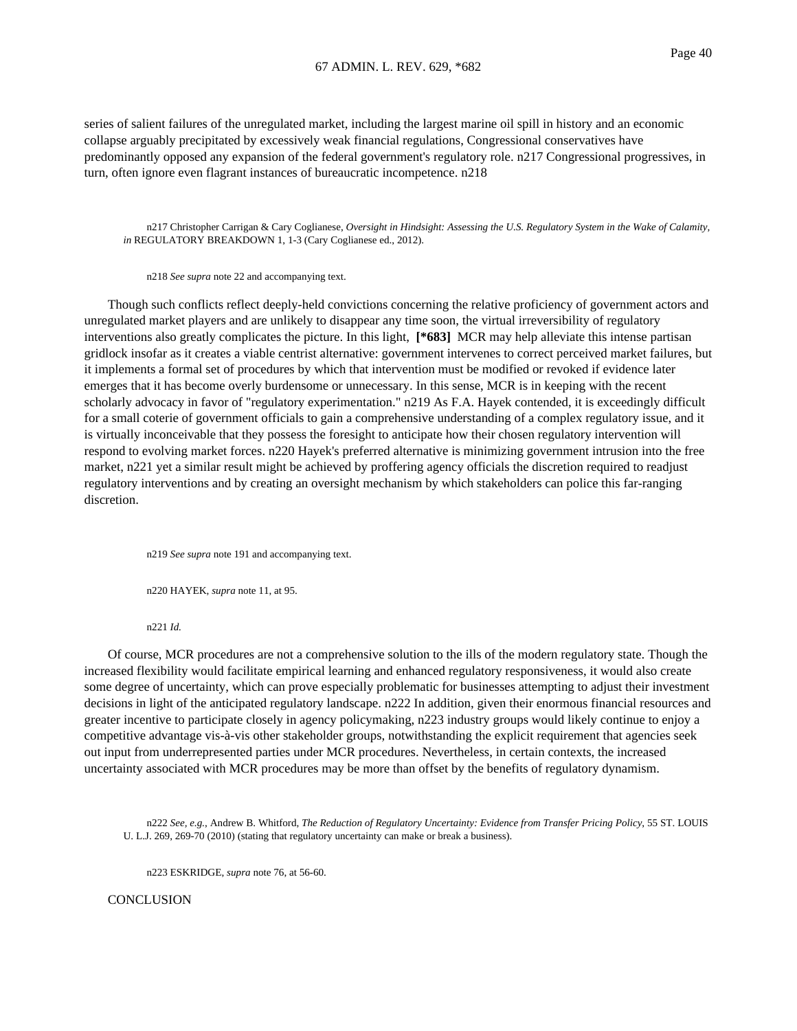series of salient failures of the unregulated market, including the largest marine oil spill in history and an economic collapse arguably precipitated by excessively weak financial regulations, Congressional conservatives have predominantly opposed any expansion of the federal government's regulatory role. n217 Congressional progressives, in turn, often ignore even flagrant instances of bureaucratic incompetence. n218

n217 Christopher Carrigan & Cary Coglianese, *Oversight in Hindsight: Assessing the U.S. Regulatory System in the Wake of Calamity, in* REGULATORY BREAKDOWN 1, 1-3 (Cary Coglianese ed., 2012).

n218 *See supra* note 22 and accompanying text.

Though such conflicts reflect deeply-held convictions concerning the relative proficiency of government actors and unregulated market players and are unlikely to disappear any time soon, the virtual irreversibility of regulatory interventions also greatly complicates the picture. In this light, **[\*683]** MCR may help alleviate this intense partisan gridlock insofar as it creates a viable centrist alternative: government intervenes to correct perceived market failures, but it implements a formal set of procedures by which that intervention must be modified or revoked if evidence later emerges that it has become overly burdensome or unnecessary. In this sense, MCR is in keeping with the recent scholarly advocacy in favor of "regulatory experimentation." n219 As F.A. Hayek contended, it is exceedingly difficult for a small coterie of government officials to gain a comprehensive understanding of a complex regulatory issue, and it is virtually inconceivable that they possess the foresight to anticipate how their chosen regulatory intervention will respond to evolving market forces. n220 Hayek's preferred alternative is minimizing government intrusion into the free market, n221 yet a similar result might be achieved by proffering agency officials the discretion required to readjust regulatory interventions and by creating an oversight mechanism by which stakeholders can police this far-ranging discretion.

n219 *See supra* note 191 and accompanying text.

n220 HAYEK, *supra* note 11, at 95.

n221 *Id.*

Of course, MCR procedures are not a comprehensive solution to the ills of the modern regulatory state. Though the increased flexibility would facilitate empirical learning and enhanced regulatory responsiveness, it would also create some degree of uncertainty, which can prove especially problematic for businesses attempting to adjust their investment decisions in light of the anticipated regulatory landscape. n222 In addition, given their enormous financial resources and greater incentive to participate closely in agency policymaking, n223 industry groups would likely continue to enjoy a competitive advantage vis-à-vis other stakeholder groups, notwithstanding the explicit requirement that agencies seek out input from underrepresented parties under MCR procedures. Nevertheless, in certain contexts, the increased uncertainty associated with MCR procedures may be more than offset by the benefits of regulatory dynamism.

n222 *See, e.g.*, Andrew B. Whitford, *The Reduction of Regulatory Uncertainty: Evidence from Transfer Pricing Policy*, 55 ST. LOUIS U. L.J. 269, 269-70 (2010) (stating that regulatory uncertainty can make or break a business).

n223 ESKRIDGE, *supra* note 76, at 56-60.

**CONCLUSION**